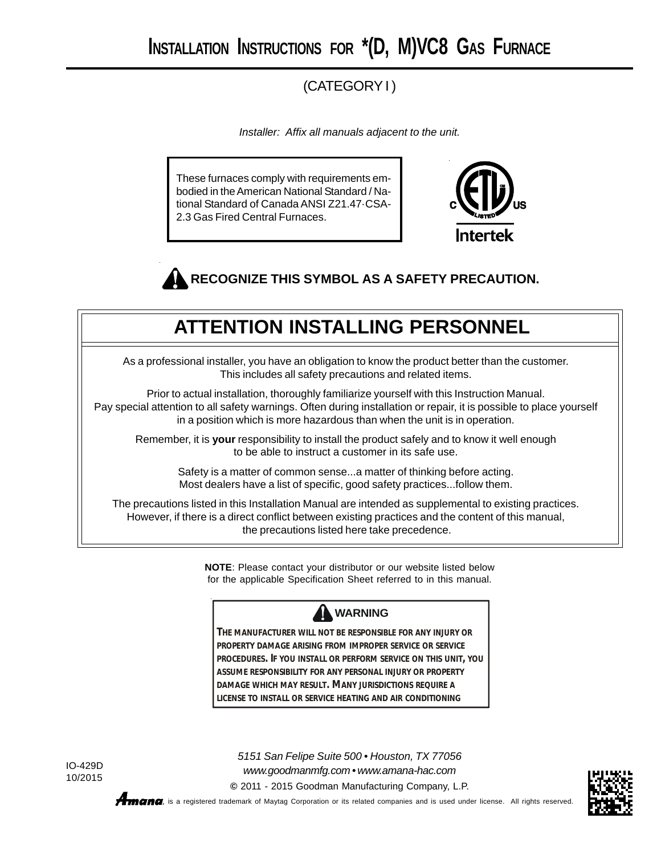# (CATEGORY I )

*Installer: Affix all manuals adjacent to the unit.*

These furnaces comply with requirements embodied in the American National Standard / National Standard of Canada ANSI Z21.47·CSA-2.3 Gas Fired Central Furnaces.



# **RECOGNIZE THIS SYMBOL AS A SAFETY PRECAUTION.**

# **ATTENTION INSTALLING PERSONNEL**

As a professional installer, you have an obligation to know the product better than the customer. This includes all safety precautions and related items.

Prior to actual installation, thoroughly familiarize yourself with this Instruction Manual. Pay special attention to all safety warnings. Often during installation or repair, it is possible to place yourself in a position which is more hazardous than when the unit is in operation.

Remember, it is **your** responsibility to install the product safely and to know it well enough to be able to instruct a customer in its safe use.

> Safety is a matter of common sense...a matter of thinking before acting. Most dealers have a list of specific, good safety practices...follow them.

The precautions listed in this Installation Manual are intended as supplemental to existing practices. However, if there is a direct conflict between existing practices and the content of this manual, the precautions listed here take precedence.

> **NOTE**: Please contact your distributor or our website listed below for the applicable Specification Sheet referred to in this manual.

# **WARNING**

**THE MANUFACTURER WILL NOT BE RESPONSIBLE FOR ANY INJURY OR PROPERTY DAMAGE ARISING FROM IMPROPER SERVICE OR SERVICE PROCEDURES. IF YOU INSTALL OR PERFORM SERVICE ON THIS UNIT, YOU ASSUME RESPONSIBILITY FOR ANY PERSONAL INJURY OR PROPERTY DAMAGE WHICH MAY RESULT. MANY JURISDICTIONS REQUIRE A LICENSE TO INSTALL OR SERVICE HEATING AND AIR CONDITIONING**

IO-429D 10/2015

*5151 San Felipe Suite 500 • Houston, TX 77056 www.goodmanmfg.com • www.amana-hac.com* **©** 2011 - 2015 Goodman Manufacturing Company, L.P.

**fimana**, is a registered trademark of Maytag Corporation or its related companies and is used under license. All rights reserved.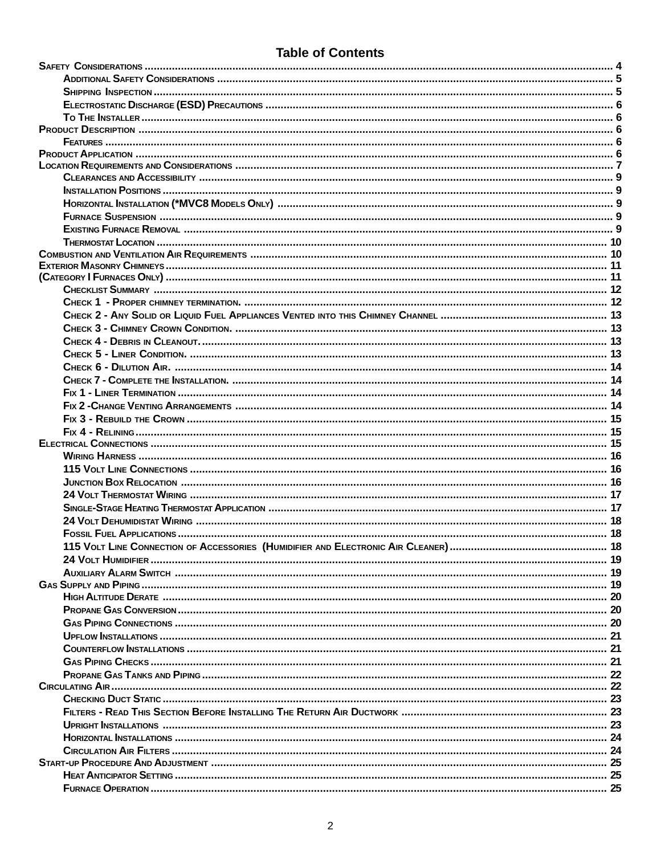# **Table of Contents**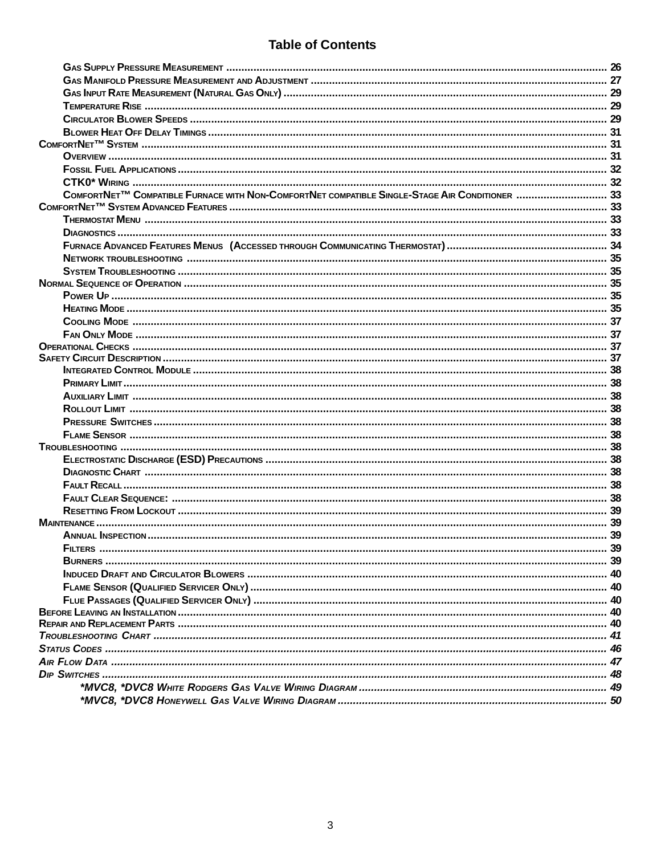# **Table of Contents**

| COMFORTNET™ COMPATIBLE FURNACE WITH NON-COMFORTNET COMPATIBLE SINGLE-STAGE AIR CONDITIONER  33 |  |
|------------------------------------------------------------------------------------------------|--|
|                                                                                                |  |
|                                                                                                |  |
|                                                                                                |  |
|                                                                                                |  |
|                                                                                                |  |
|                                                                                                |  |
|                                                                                                |  |
|                                                                                                |  |
|                                                                                                |  |
|                                                                                                |  |
|                                                                                                |  |
|                                                                                                |  |
|                                                                                                |  |
|                                                                                                |  |
|                                                                                                |  |
|                                                                                                |  |
|                                                                                                |  |
|                                                                                                |  |
|                                                                                                |  |
|                                                                                                |  |
|                                                                                                |  |
|                                                                                                |  |
|                                                                                                |  |
|                                                                                                |  |
|                                                                                                |  |
|                                                                                                |  |
|                                                                                                |  |
|                                                                                                |  |
|                                                                                                |  |
|                                                                                                |  |
|                                                                                                |  |
|                                                                                                |  |
|                                                                                                |  |
|                                                                                                |  |
|                                                                                                |  |
|                                                                                                |  |
|                                                                                                |  |
|                                                                                                |  |
|                                                                                                |  |
|                                                                                                |  |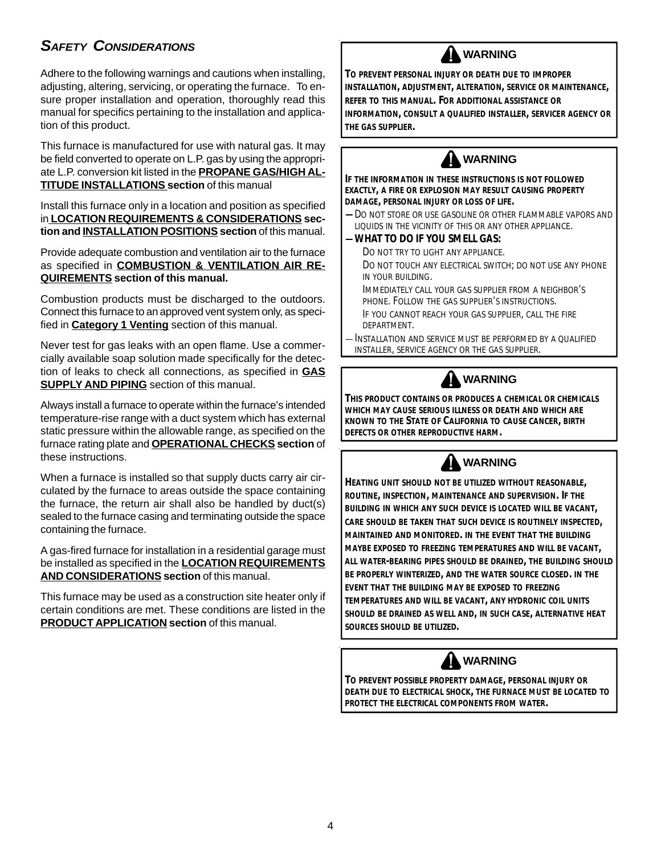# *SAFETY CONSIDERATIONS*

Adhere to the following warnings and cautions when installing, adjusting, altering, servicing, or operating the furnace. To ensure proper installation and operation, thoroughly read this manual for specifics pertaining to the installation and application of this product.

This furnace is manufactured for use with natural gas. It may be field converted to operate on L.P. gas by using the appropriate L.P. conversion kit listed in the **PROPANE GAS/HIGH AL-TITUDE INSTALLATIONS section** of this manual

Install this furnace only in a location and position as specified in **LOCATION REQUIREMENTS & CONSIDERATIONS section and INSTALLATION POSITIONS section** of this manual.

Provide adequate combustion and ventilation air to the furnace as specified in **COMBUSTION & VENTILATION AIR RE-QUIREMENTS section of this manual.**

Combustion products must be discharged to the outdoors. Connect this furnace to an approved vent system only, as specified in **Category 1 Venting** section of this manual.

Never test for gas leaks with an open flame. Use a commercially available soap solution made specifically for the detection of leaks to check all connections, as specified in **GAS SUPPLY AND PIPING** section of this manual.

Always install a furnace to operate within the furnace's intended temperature-rise range with a duct system which has external static pressure within the allowable range, as specified on the furnace rating plate and **OPERATIONAL CHECKS section** of these instructions.

When a furnace is installed so that supply ducts carry air circulated by the furnace to areas outside the space containing the furnace, the return air shall also be handled by duct(s) sealed to the furnace casing and terminating outside the space containing the furnace.

A gas-fired furnace for installation in a residential garage must be installed as specified in the **LOCATION REQUIREMENTS AND CONSIDERATIONS section** of this manual.

This furnace may be used as a construction site heater only if certain conditions are met. These conditions are listed in the **PRODUCT APPLICATION section** of this manual.



**TO PREVENT PERSONAL INJURY OR DEATH DUE TO IMPROPER INSTALLATION, ADJUSTMENT, ALTERATION, SERVICE OR MAINTENANCE, REFER TO THIS MANUAL. FOR ADDITIONAL ASSISTANCE OR INFORMATION, CONSULT A QUALIFIED INSTALLER, SERVICER AGENCY OR THE GAS SUPPLIER.**

# **WARNING**

**IF THE INFORMATION IN THESE INSTRUCTIONS IS NOT FOLLOWED EXACTLY, A FIRE OR EXPLOSION MAY RESULT CAUSING PROPERTY DAMAGE, PERSONAL INJURY OR LOSS OF LIFE.**

DO NOT STORE OR USE GASOLINE OR OTHER FLAMMABLE VAPORS AND LIQUIDS IN THE VICINITY OF THIS OR ANY OTHER APPLIANCE.

#### **WHAT TO DO IF YOU SMELL GAS:**

DO NOT TRY TO LIGHT ANY APPLIANCE.

DO NOT TOUCH ANY ELECTRICAL SWITCH; DO NOT USE ANY PHONE IN YOUR BUILDING.

IMMEDIATELY CALL YOUR GAS SUPPLIER FROM A NEIGHBOR'S PHONE. FOLLOW THE GAS SUPPLIER'S INSTRUCTIONS.

IF YOU CANNOT REACH YOUR GAS SUPPLIER, CALL THE FIRE DEPARTMENT.

INSTALLATION AND SERVICE MUST BE PERFORMED BY A QUALIFIED INSTALLER, SERVICE AGENCY OR THE GAS SUPPLIER.

# **WARNING**

**THIS PRODUCT CONTAINS OR PRODUCES A CHEMICAL OR CHEMICALS WHICH MAY CAUSE SERIOUS ILLNESS OR DEATH AND WHICH ARE KNOWN TO THE STATE OF CALIFORNIA TO CAUSE CANCER, BIRTH DEFECTS OR OTHER REPRODUCTIVE HARM.**



**HEATING UNIT SHOULD NOT BE UTILIZED WITHOUT REASONABLE, ROUTINE, INSPECTION, MAINTENANCE AND SUPERVISION. IF THE BUILDING IN WHICH ANY SUCH DEVICE IS LOCATED WILL BE VACANT, CARE SHOULD BE TAKEN THAT SUCH DEVICE IS ROUTINELY INSPECTED, MAINTAINED AND MONITORED. IN THE EVENT THAT THE BUILDING MAYBE EXPOSED TO FREEZING TEMPERATURES AND WILL BE VACANT, ALL WATER-BEARING PIPES SHOULD BE DRAINED, THE BUILDING SHOULD BE PROPERLY WINTERIZED, AND THE WATER SOURCE CLOSED. IN THE EVENT THAT THE BUILDING MAY BE EXPOSED TO FREEZING TEMPERATURES AND WILL BE VACANT, ANY HYDRONIC COIL UNITS SHOULD BE DRAINED AS WELL AND, IN SUCH CASE, ALTERNATIVE HEAT SOURCES SHOULD BE UTILIZED.**



**TO PREVENT POSSIBLE PROPERTY DAMAGE, PERSONAL INJURY OR DEATH DUE TO ELECTRICAL SHOCK, THE FURNACE MUST BE LOCATED TO PROTECT THE ELECTRICAL COMPONENTS FROM WATER.**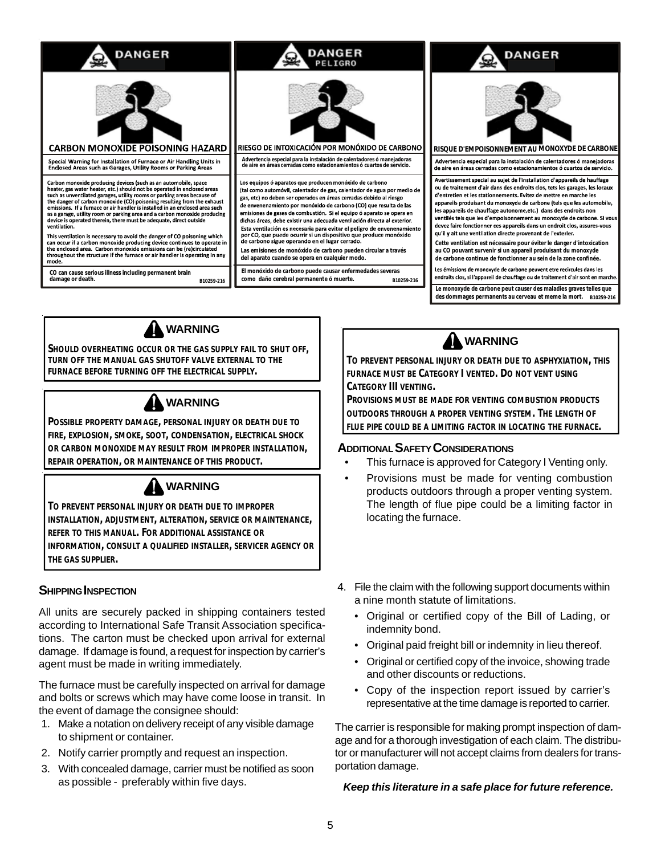



SHOULD OVERHEATING OCCUR OR THE GAS SUPPLY FAIL TO SHUT OFF, TURN OFF THE MANUAL GAS SHUTOFF VALVE EXTERNAL TO THE **FURNACE BEFORE TURNING OFF THE ELECTRICAL SUPPLY.**

# **AL** WARNING

**POSSIBLE PROPERTY DAMAGE, PERSONAL INJURY OR DEATH DUE TO FIRE, EXPLOSION, SMOKE, SOOT, CONDENSATION, ELECTRICAL SHOCK OR CARBON MONOXIDE MAY RESULT FROM IMPROPER INSTALLATION, REPAIR OPERATION, OR MAINTENANCE OF THIS PRODUCT.**



**TO PREVENT PERSONAL INJURY OR DEATH DUE TO IMPROPER INSTALLATION, ADJUSTMENT, ALTERATION, SERVICE OR MAINTENANCE, REFER TO THIS MANUAL. FOR ADDITIONAL ASSISTANCE OR INFORMATION, CONSULT A QUALIFIED INSTALLER, SERVICER AGENCY OR THE GAS SUPPLIER.**

# **SHIPPING INSPECTION**

All units are securely packed in shipping containers tested according to International Safe Transit Association specifications. The carton must be checked upon arrival for external damage. If damage is found, a request for inspection by carrier's agent must be made in writing immediately.

The furnace must be carefully inspected on arrival for damage and bolts or screws which may have come loose in transit. In the event of damage the consignee should:

- 1. Make a notation on delivery receipt of any visible damage to shipment or container.
- 2. Notify carrier promptly and request an inspection.
- 3. With concealed damage, carrier must be notified as soon as possible - preferably within five days.



**TO PREVENT PERSONAL INJURY OR DEATH DUE TO ASPHYXIATION, THIS FURNACE MUST BE CATEGORY I VENTED. DO NOT VENT USING CATEGORY III VENTING.**

**PROVISIONS MUST BE MADE FOR VENTING COMBUSTION PRODUCTS OUTDOORS THROUGH A PROPER VENTING SYSTEM. THE LENGTH OF FLUE PIPE COULD BE A LIMITING FACTOR IN LOCATING THE FURNACE.**

#### **ADDITIONAL SAFETY CONSIDERATIONS**

- This furnace is approved for Category I Venting only.
- Provisions must be made for venting combustion products outdoors through a proper venting system. The length of flue pipe could be a limiting factor in locating the furnace.
- 4. File the claim with the following support documents within a nine month statute of limitations.
	- Original or certified copy of the Bill of Lading, or indemnity bond.
	- Original paid freight bill or indemnity in lieu thereof.
	- Original or certified copy of the invoice, showing trade and other discounts or reductions.
	- Copy of the inspection report issued by carrier's representative at the time damage is reported to carrier.

The carrier is responsible for making prompt inspection of damage and for a thorough investigation of each claim. The distributor or manufacturer will not accept claims from dealers for transportation damage.

*Keep this literature in a safe place for future reference.*

5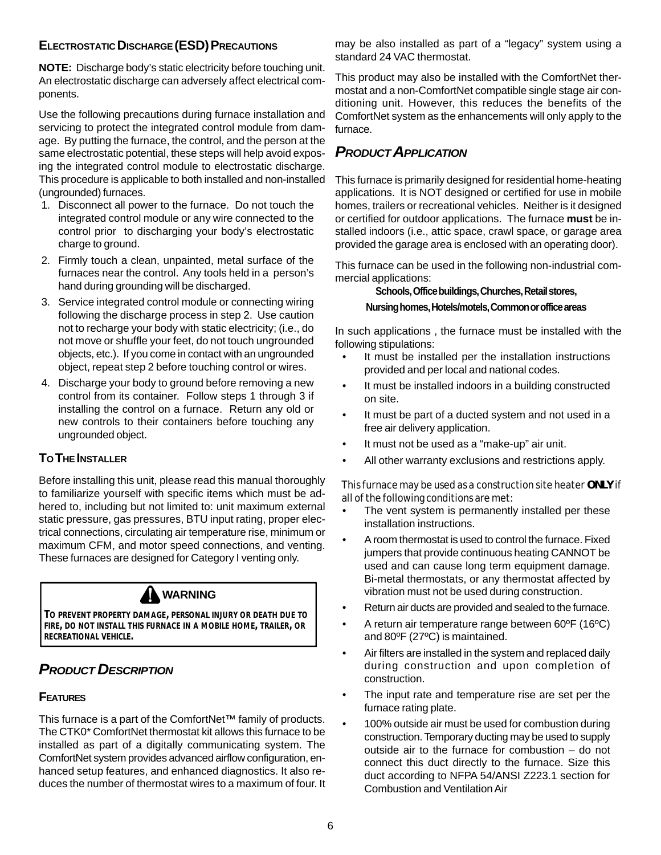# **ELECTROSTATIC DISCHARGE (ESD) PRECAUTIONS**

**NOTE:** Discharge body's static electricity before touching unit. An electrostatic discharge can adversely affect electrical components.

Use the following precautions during furnace installation and servicing to protect the integrated control module from damage. By putting the furnace, the control, and the person at the same electrostatic potential, these steps will help avoid exposing the integrated control module to electrostatic discharge. This procedure is applicable to both installed and non-installed (ungrounded) furnaces.

- 1. Disconnect all power to the furnace. Do not touch the integrated control module or any wire connected to the control prior to discharging your body's electrostatic charge to ground.
- 2. Firmly touch a clean, unpainted, metal surface of the furnaces near the control. Any tools held in a person's hand during grounding will be discharged.
- 3. Service integrated control module or connecting wiring following the discharge process in step 2. Use caution not to recharge your body with static electricity; (i.e., do not move or shuffle your feet, do not touch ungrounded objects, etc.). If you come in contact with an ungrounded object, repeat step 2 before touching control or wires.
- 4. Discharge your body to ground before removing a new control from its container. Follow steps 1 through 3 if installing the control on a furnace. Return any old or new controls to their containers before touching any ungrounded object.

### **TO THE INSTALLER**

Before installing this unit, please read this manual thoroughly to familiarize yourself with specific items which must be adhered to, including but not limited to: unit maximum external static pressure, gas pressures, BTU input rating, proper electrical connections, circulating air temperature rise, minimum or maximum CFM, and motor speed connections, and venting. These furnaces are designed for Category I venting only.



**TO PREVENT PROPERTY DAMAGE, PERSONAL INJURY OR DEATH DUE TO FIRE, DO NOT INSTALL THIS FURNACE IN A MOBILE HOME, TRAILER, OR RECREATIONAL VEHICLE.**

# *PRODUCT DESCRIPTION*

# **FEATURES**

This furnace is a part of the ComfortNet™ family of products. The CTK0\* ComfortNet thermostat kit allows this furnace to be installed as part of a digitally communicating system. The ComfortNet system provides advanced airflow configuration, enhanced setup features, and enhanced diagnostics. It also reduces the number of thermostat wires to a maximum of four. It

may be also installed as part of a "legacy" system using a standard 24 VAC thermostat.

This product may also be installed with the ComfortNet thermostat and a non-ComfortNet compatible single stage air conditioning unit. However, this reduces the benefits of the ComfortNet system as the enhancements will only apply to the furnace.

# *PRODUCT APPLICATION*

This furnace is primarily designed for residential home-heating applications. It is NOT designed or certified for use in mobile homes, trailers or recreational vehicles. Neither is it designed or certified for outdoor applications. The furnace **must** be installed indoors (i.e., attic space, crawl space, or garage area provided the garage area is enclosed with an operating door).

This furnace can be used in the following non-industrial commercial applications:

**Schools, Office buildings, Churches, Retail stores,**

#### **Nursing homes, Hotels/motels, Common or office areas**

In such applications , the furnace must be installed with the following stipulations:

- It must be installed per the installation instructions provided and per local and national codes.
- It must be installed indoors in a building constructed on site.
- It must be part of a ducted system and not used in a free air delivery application.
- It must not be used as a "make-up" air unit.
- All other warranty exclusions and restrictions apply.

This furnace may be used as a construction site heater **ONLY** if all of the following conditions are met:

- The vent system is permanently installed per these installation instructions.
- A room thermostat is used to control the furnace. Fixed jumpers that provide continuous heating CANNOT be used and can cause long term equipment damage. Bi-metal thermostats, or any thermostat affected by vibration must not be used during construction.
- Return air ducts are provided and sealed to the furnace.
- A return air temperature range between 60ºF (16ºC) and 80ºF (27ºC) is maintained.
- Air filters are installed in the system and replaced daily during construction and upon completion of construction.
- The input rate and temperature rise are set per the furnace rating plate.
- 100% outside air must be used for combustion during construction. Temporary ducting may be used to supply outside air to the furnace for combustion – do not connect this duct directly to the furnace. Size this duct according to NFPA 54/ANSI Z223.1 section for Combustion and Ventilation Air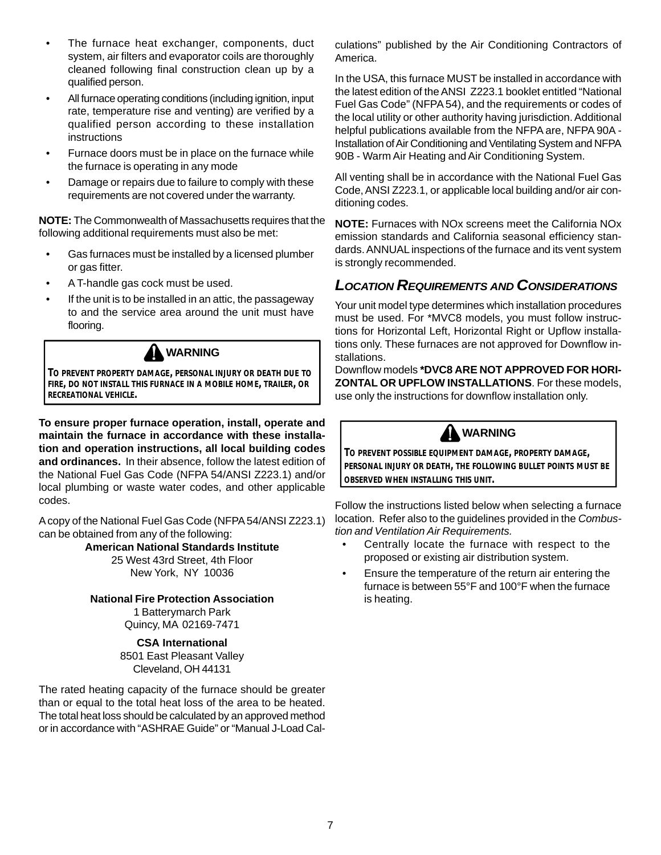- The furnace heat exchanger, components, duct system, air filters and evaporator coils are thoroughly cleaned following final construction clean up by a qualified person.
- All furnace operating conditions (including ignition, input rate, temperature rise and venting) are verified by a qualified person according to these installation **instructions**
- Furnace doors must be in place on the furnace while the furnace is operating in any mode
- Damage or repairs due to failure to comply with these requirements are not covered under the warranty.

**NOTE:** The Commonwealth of Massachusetts requires that the following additional requirements must also be met:

- Gas furnaces must be installed by a licensed plumber or gas fitter.
- A T-handle gas cock must be used.
- If the unit is to be installed in an attic, the passageway to and the service area around the unit must have flooring.



**TO PREVENT PROPERTY DAMAGE, PERSONAL INJURY OR DEATH DUE TO FIRE, DO NOT INSTALL THIS FURNACE IN A MOBILE HOME, TRAILER, OR RECREATIONAL VEHICLE.**

**To ensure proper furnace operation, install, operate and maintain the furnace in accordance with these installation and operation instructions, all local building codes and ordinances.** In their absence, follow the latest edition of the National Fuel Gas Code (NFPA 54/ANSI Z223.1) and/or local plumbing or waste water codes, and other applicable codes.

A copy of the National Fuel Gas Code (NFPA 54/ANSI Z223.1) can be obtained from any of the following:

**American National Standards Institute**

25 West 43rd Street, 4th Floor New York, NY 10036

**National Fire Protection Association** 1 Batterymarch Park Quincy, MA 02169-7471

> **CSA International** 8501 East Pleasant Valley Cleveland, OH 44131

The rated heating capacity of the furnace should be greater than or equal to the total heat loss of the area to be heated. The total heat loss should be calculated by an approved method or in accordance with "ASHRAE Guide" or "Manual J-Load Cal-

culations" published by the Air Conditioning Contractors of America.

In the USA, this furnace MUST be installed in accordance with the latest edition of the ANSI Z223.1 booklet entitled "National Fuel Gas Code" (NFPA 54), and the requirements or codes of the local utility or other authority having jurisdiction. Additional helpful publications available from the NFPA are, NFPA 90A - Installation of Air Conditioning and Ventilating System and NFPA 90B - Warm Air Heating and Air Conditioning System.

All venting shall be in accordance with the National Fuel Gas Code, ANSI Z223.1, or applicable local building and/or air conditioning codes.

**NOTE:** Furnaces with NOx screens meet the California NOx emission standards and California seasonal efficiency standards. ANNUAL inspections of the furnace and its vent system is strongly recommended.

# *LOCATION REQUIREMENTS AND CONSIDERATIONS*

Your unit model type determines which installation procedures must be used. For \*MVC8 models, you must follow instructions for Horizontal Left, Horizontal Right or Upflow installations only. These furnaces are not approved for Downflow installations.

Downflow models **\*DVC8 ARE NOT APPROVED FOR HORI-ZONTAL OR UPFLOW INSTALLATIONS**. For these models, use only the instructions for downflow installation only.

# **AN** WARNING

**TO PREVENT POSSIBLE EQUIPMENT DAMAGE, PROPERTY DAMAGE, PERSONAL INJURY OR DEATH, THE FOLLOWING BULLET POINTS MUST BE OBSERVED WHEN INSTALLING THIS UNIT.**

Follow the instructions listed below when selecting a furnace location. Refer also to the guidelines provided in the *Combustion and Ventilation Air Requirements.*

- Centrally locate the furnace with respect to the proposed or existing air distribution system.
- Ensure the temperature of the return air entering the furnace is between 55°F and 100°F when the furnace is heating.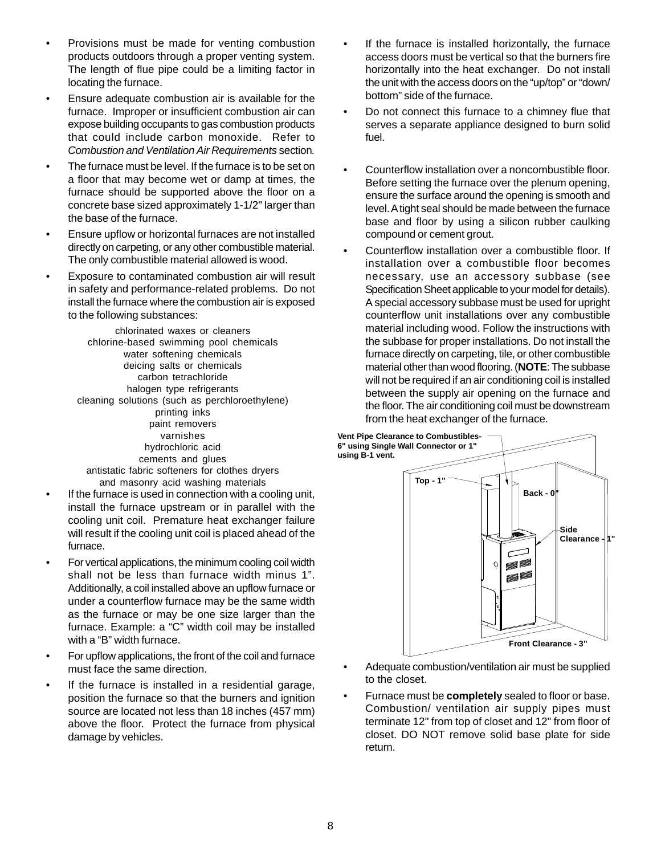- Provisions must be made for venting combustion products outdoors through a proper venting system. The length of flue pipe could be a limiting factor in locating the furnace.
- Ensure adequate combustion air is available for the furnace. Improper or insufficient combustion air can expose building occupants to gas combustion products that could include carbon monoxide. Refer to *Combustion and Ventilation Air Requirements* section*.*
- The furnace must be level. If the furnace is to be set on a floor that may become wet or damp at times, the furnace should be supported above the floor on a concrete base sized approximately 1-1/2" larger than the base of the furnace.
- Ensure upflow or horizontal furnaces are not installed directly on carpeting, or any other combustible material. The only combustible material allowed is wood.
- Exposure to contaminated combustion air will result in safety and performance-related problems. Do not install the furnace where the combustion air is exposed to the following substances:

chlorinated waxes or cleaners chlorine-based swimming pool chemicals water softening chemicals deicing salts or chemicals carbon tetrachloride halogen type refrigerants cleaning solutions (such as perchloroethylene) printing inks paint removers varnishes hydrochloric acid cements and glues antistatic fabric softeners for clothes dryers and masonry acid washing materials

- If the furnace is used in connection with a cooling unit, install the furnace upstream or in parallel with the cooling unit coil. Premature heat exchanger failure will result if the cooling unit coil is placed ahead of the furnace.
- For vertical applications, the minimum cooling coil width shall not be less than furnace width minus 1". Additionally, a coil installed above an upflow furnace or under a counterflow furnace may be the same width as the furnace or may be one size larger than the furnace. Example: a "C" width coil may be installed with a "B" width furnace.
- For upflow applications, the front of the coil and furnace must face the same direction.
- If the furnace is installed in a residential garage, position the furnace so that the burners and ignition source are located not less than 18 inches (457 mm) above the floor. Protect the furnace from physical damage by vehicles.
- If the furnace is installed horizontally, the furnace access doors must be vertical so that the burners fire horizontally into the heat exchanger. Do not install the unit with the access doors on the "up/top" or "down/ bottom" side of the furnace.
- Do not connect this furnace to a chimney flue that serves a separate appliance designed to burn solid fuel.
- Counterflow installation over a noncombustible floor. Before setting the furnace over the plenum opening, ensure the surface around the opening is smooth and level. A tight seal should be made between the furnace base and floor by using a silicon rubber caulking compound or cement grout.
- Counterflow installation over a combustible floor. If installation over a combustible floor becomes necessary, use an accessory subbase (see Specification Sheet applicable to your model for details). A special accessory subbase must be used for upright counterflow unit installations over any combustible material including wood. Follow the instructions with the subbase for proper installations. Do not install the furnace directly on carpeting, tile, or other combustible material other than wood flooring. (**NOTE**: The subbase will not be required if an air conditioning coil is installed between the supply air opening on the furnace and the floor. The air conditioning coil must be downstream from the heat exchanger of the furnace.



- Adequate combustion/ventilation air must be supplied to the closet.
- Furnace must be **completely** sealed to floor or base. Combustion/ ventilation air supply pipes must terminate 12" from top of closet and 12" from floor of closet. DO NOT remove solid base plate for side return.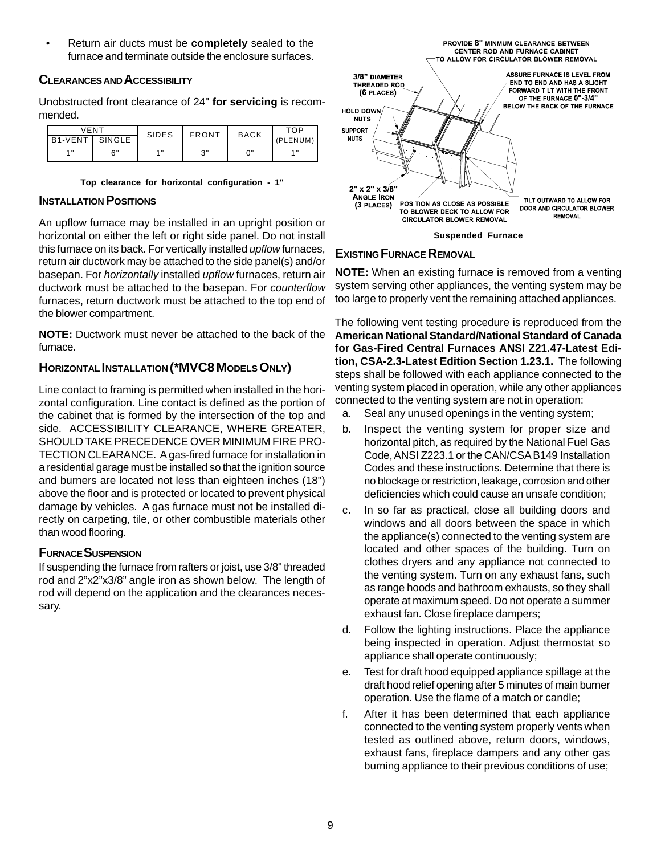• Return air ducts must be **completely** sealed to the furnace and terminate outside the enclosure surfaces.

# **CLEARANCESAND ACCESSIBILITY**

Unobstructed front clearance of 24" **for servicing** is recommended.

|                | VENT   |                    | <b>FRONT</b><br><b>SIDES</b> |     | <b>BACK</b> | TOP |  |
|----------------|--------|--------------------|------------------------------|-----|-------------|-----|--|
| <b>B1-VENT</b> | SINGLE |                    |                              |     | (PLENUM)    |     |  |
| $\overline{4}$ | 6"     | $4$ $\overline{1}$ | $\Omega$                     | ∩ " | 4 H         |     |  |

**Top clearance for horizontal configuration - 1"**

#### **INSTALLATION POSITIONS**

An upflow furnace may be installed in an upright position or horizontal on either the left or right side panel. Do not install this furnace on its back. For vertically installed *upflow* furnaces, return air ductwork may be attached to the side panel(s) and/or basepan. For *horizontally* installed *upflow* furnaces, return air ductwork must be attached to the basepan. For *counterflow* furnaces, return ductwork must be attached to the top end of the blower compartment.

**NOTE:** Ductwork must never be attached to the back of the furnace.

### **HORIZONTAL INSTALLATION (\*MVC8 MODELS ONLY)**

Line contact to framing is permitted when installed in the horizontal configuration. Line contact is defined as the portion of the cabinet that is formed by the intersection of the top and side. ACCESSIBILITY CLEARANCE, WHERE GREATER, SHOULD TAKE PRECEDENCE OVER MINIMUM FIRE PRO-TECTION CLEARANCE. A gas-fired furnace for installation in a residential garage must be installed so that the ignition source and burners are located not less than eighteen inches (18") above the floor and is protected or located to prevent physical damage by vehicles. A gas furnace must not be installed directly on carpeting, tile, or other combustible materials other than wood flooring.

#### **FURNACE SUSPENSION**

If suspending the furnace from rafters or joist, use 3/8" threaded rod and 2"x2"x3/8" angle iron as shown below. The length of rod will depend on the application and the clearances necessary.



**Suspended Furnace**

#### **EXISTING FURNACE REMOVAL**

**NOTE:** When an existing furnace is removed from a venting system serving other appliances, the venting system may be too large to properly vent the remaining attached appliances.

The following vent testing procedure is reproduced from the **American National Standard/National Standard of Canada for Gas-Fired Central Furnaces ANSI Z21.47-Latest Edition, CSA-2.3-Latest Edition Section 1.23.1.** The following steps shall be followed with each appliance connected to the venting system placed in operation, while any other appliances connected to the venting system are not in operation:

- a. Seal any unused openings in the venting system;
- b. Inspect the venting system for proper size and horizontal pitch, as required by the National Fuel Gas Code, ANSI Z223.1 or the CAN/CSA B149 Installation Codes and these instructions. Determine that there is no blockage or restriction, leakage, corrosion and other deficiencies which could cause an unsafe condition;
- c. In so far as practical, close all building doors and windows and all doors between the space in which the appliance(s) connected to the venting system are located and other spaces of the building. Turn on clothes dryers and any appliance not connected to the venting system. Turn on any exhaust fans, such as range hoods and bathroom exhausts, so they shall operate at maximum speed. Do not operate a summer exhaust fan. Close fireplace dampers;
- d. Follow the lighting instructions. Place the appliance being inspected in operation. Adjust thermostat so appliance shall operate continuously;
- e. Test for draft hood equipped appliance spillage at the draft hood relief opening after 5 minutes of main burner operation. Use the flame of a match or candle;
- f. After it has been determined that each appliance connected to the venting system properly vents when tested as outlined above, return doors, windows, exhaust fans, fireplace dampers and any other gas burning appliance to their previous conditions of use;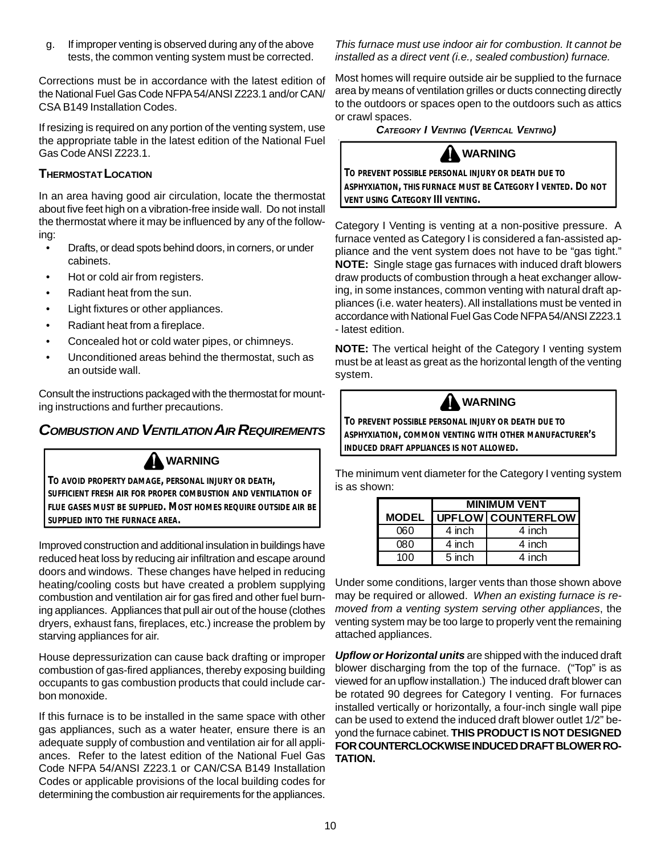g. If improper venting is observed during any of the above tests, the common venting system must be corrected.

Corrections must be in accordance with the latest edition of the National Fuel Gas Code NFPA 54/ANSI Z223.1 and/or CAN/ CSA B149 Installation Codes.

If resizing is required on any portion of the venting system, use the appropriate table in the latest edition of the National Fuel Gas Code ANSI Z223.1.

### **THERMOSTAT LOCATION**

In an area having good air circulation, locate the thermostat about five feet high on a vibration-free inside wall. Do not install the thermostat where it may be influenced by any of the following:

- Drafts, or dead spots behind doors, in corners, or under cabinets.
- Hot or cold air from registers.
- Radiant heat from the sun.
- Light fixtures or other appliances.
- Radiant heat from a fireplace.
- Concealed hot or cold water pipes, or chimneys.
- Unconditioned areas behind the thermostat, such as an outside wall.

Consult the instructions packaged with the thermostat for mounting instructions and further precautions.

# *COMBUSTION AND VENTILATION AIR REQUIREMENTS*

# **WARNING**

**TO AVOID PROPERTY DAMAGE, PERSONAL INJURY OR DEATH, SUFFICIENT FRESH AIR FOR PROPER COMBUSTION AND VENTILATION OF FLUE GASES MUST BE SUPPLIED. MOST HOMES REQUIRE OUTSIDE AIR BE SUPPLIED INTO THE FURNACE AREA.**

Improved construction and additional insulation in buildings have reduced heat loss by reducing air infiltration and escape around doors and windows. These changes have helped in reducing heating/cooling costs but have created a problem supplying combustion and ventilation air for gas fired and other fuel burning appliances. Appliances that pull air out of the house (clothes dryers, exhaust fans, fireplaces, etc.) increase the problem by starving appliances for air.

House depressurization can cause back drafting or improper combustion of gas-fired appliances, thereby exposing building occupants to gas combustion products that could include carbon monoxide.

If this furnace is to be installed in the same space with other gas appliances, such as a water heater, ensure there is an adequate supply of combustion and ventilation air for all appliances. Refer to the latest edition of the National Fuel Gas Code NFPA 54/ANSI Z223.1 or CAN/CSA B149 Installation Codes or applicable provisions of the local building codes for determining the combustion air requirements for the appliances.

*This furnace must use indoor air for combustion. It cannot be installed as a direct vent (i.e., sealed combustion) furnace.*

Most homes will require outside air be supplied to the furnace area by means of ventilation grilles or ducts connecting directly to the outdoors or spaces open to the outdoors such as attics or crawl spaces.

*CATEGORY I VENTING (VERTICAL VENTING)*



**TO PREVENT POSSIBLE PERSONAL INJURY OR DEATH DUE TO ASPHYXIATION, THIS FURNACE MUST BE CATEGORY I VENTED. DO NOT VENT USING CATEGORY III VENTING.**

Category I Venting is venting at a non-positive pressure. A furnace vented as Category I is considered a fan-assisted appliance and the vent system does not have to be "gas tight." **NOTE:** Single stage gas furnaces with induced draft blowers draw products of combustion through a heat exchanger allowing, in some instances, common venting with natural draft appliances (i.e. water heaters). All installations must be vented in accordance with National Fuel Gas Code NFPA 54/ANSI Z223.1 - latest edition.

**NOTE:** The vertical height of the Category I venting system must be at least as great as the horizontal length of the venting system.



**TO PREVENT POSSIBLE PERSONAL INJURY OR DEATH DUE TO ASPHYXIATION, COMMON VENTING WITH OTHER MANUFACTURER'S INDUCED DRAFT APPLIANCES IS NOT ALLOWED.**

The minimum vent diameter for the Category I venting system is as shown:

|              | <b>MINIMUM VENT</b> |                    |  |  |  |  |  |
|--------------|---------------------|--------------------|--|--|--|--|--|
| <b>MODEL</b> |                     | UPFLOW COUNTERFLOW |  |  |  |  |  |
| 060          | 4 inch              | 4 inch             |  |  |  |  |  |
| 080          | 4 inch              | 4 inch             |  |  |  |  |  |
| 100          | 5 inch              | 4 inch             |  |  |  |  |  |

Under some conditions, larger vents than those shown above may be required or allowed. *When an existing furnace is removed from a venting system serving other appliances*, the venting system may be too large to properly vent the remaining attached appliances.

*Upflow or Horizontal units* are shipped with the induced draft blower discharging from the top of the furnace. ("Top" is as viewed for an upflow installation.) The induced draft blower can be rotated 90 degrees for Category I venting. For furnaces installed vertically or horizontally, a four-inch single wall pipe can be used to extend the induced draft blower outlet 1/2" beyond the furnace cabinet. **THIS PRODUCT IS NOT DESIGNED FOR COUNTERCLOCKWISE INDUCED DRAFT BLOWER RO-TATION.**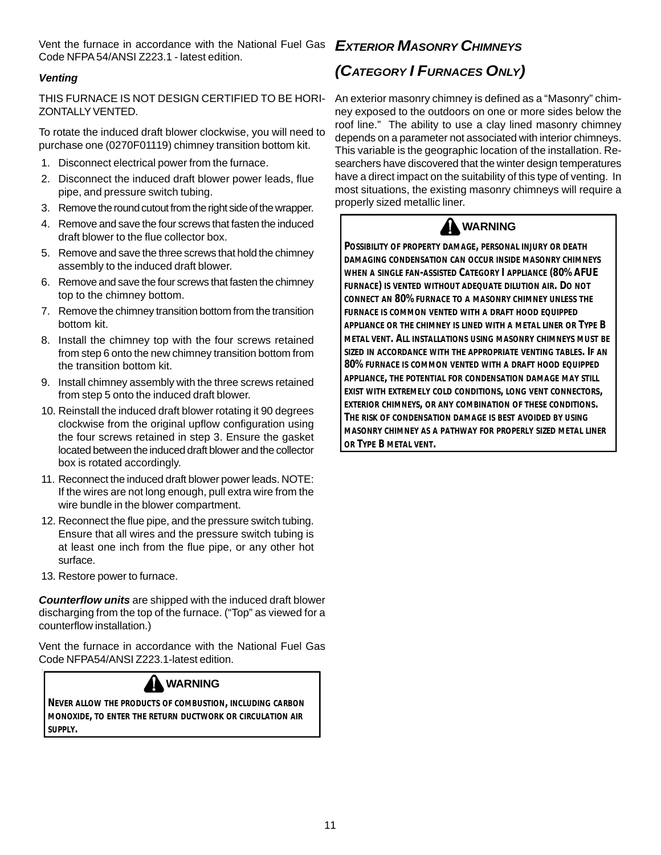Vent the furnace in accordance with the National Fuel Gas Code NFPA 54/ANSI Z223.1 - latest edition.

#### *Venting*

THIS FURNACE IS NOT DESIGN CERTIFIED TO BE HORI-ZONTALLY VENTED.

To rotate the induced draft blower clockwise, you will need to purchase one (0270F01119) chimney transition bottom kit.

- 1. Disconnect electrical power from the furnace.
- 2. Disconnect the induced draft blower power leads, flue pipe, and pressure switch tubing.
- 3. Remove the round cutout from the right side of the wrapper.
- 4. Remove and save the four screws that fasten the induced draft blower to the flue collector box.
- 5. Remove and save the three screws that hold the chimney assembly to the induced draft blower.
- 6. Remove and save the four screws that fasten the chimney top to the chimney bottom.
- 7. Remove the chimney transition bottom from the transition bottom kit.
- 8. Install the chimney top with the four screws retained from step 6 onto the new chimney transition bottom from the transition bottom kit.
- 9. Install chimney assembly with the three screws retained from step 5 onto the induced draft blower.
- 10. Reinstall the induced draft blower rotating it 90 degrees clockwise from the original upflow configuration using the four screws retained in step 3. Ensure the gasket located between the induced draft blower and the collector box is rotated accordingly.
- 11. Reconnect the induced draft blower power leads. NOTE: If the wires are not long enough, pull extra wire from the wire bundle in the blower compartment.
- 12. Reconnect the flue pipe, and the pressure switch tubing. Ensure that all wires and the pressure switch tubing is at least one inch from the flue pipe, or any other hot surface.
- 13. Restore power to furnace.

*Counterflow units* are shipped with the induced draft blower discharging from the top of the furnace. ("Top" as viewed for a counterflow installation.)

Vent the furnace in accordance with the National Fuel Gas Code NFPA54/ANSI Z223.1-latest edition.



**NEVER ALLOW THE PRODUCTS OF COMBUSTION, INCLUDING CARBON MONOXIDE, TO ENTER THE RETURN DUCTWORK OR CIRCULATION AIR SUPPLY.**

# *EXTERIOR MASONRY CHIMNEYS*

# *(CATEGORY I FURNACES ONLY)*

An exterior masonry chimney is defined as a "Masonry" chimney exposed to the outdoors on one or more sides below the roof line." The ability to use a clay lined masonry chimney depends on a parameter not associated with interior chimneys. This variable is the geographic location of the installation. Researchers have discovered that the winter design temperatures have a direct impact on the suitability of this type of venting. In most situations, the existing masonry chimneys will require a properly sized metallic liner.

# **A** WARNING

**POSSIBILITY OF PROPERTY DAMAGE, PERSONAL INJURY OR DEATH DAMAGING CONDENSATION CAN OCCUR INSIDE MASONRY CHIMNEYS WHEN A SINGLE FAN-ASSISTED CATEGORY I APPLIANCE (80% AFUE FURNACE) IS VENTED WITHOUT ADEQUATE DILUTION AIR. DO NOT CONNECT AN 80% FURNACE TO A MASONRY CHIMNEY UNLESS THE FURNACE IS COMMON VENTED WITH A DRAFT HOOD EQUIPPED APPLIANCE OR THE CHIMNEY IS LINED WITH A METAL LINER OR TYPE B METAL VENT. ALL INSTALLATIONS USING MASONRY CHIMNEYS MUST BE SIZED IN ACCORDANCE WITH THE APPROPRIATE VENTING TABLES. IF AN 80% FURNACE IS COMMON VENTED WITH A DRAFT HOOD EQUIPPED APPLIANCE, THE POTENTIAL FOR CONDENSATION DAMAGE MAY STILL EXIST WITH EXTREMELY COLD CONDITIONS, LONG VENT CONNECTORS, EXTERIOR CHIMNEYS, OR ANY COMBINATION OF THESE CONDITIONS. THE RISK OF CONDENSATION DAMAGE IS BEST AVOIDED BY USING MASONRY CHIMNEY AS A PATHWAY FOR PROPERLY SIZED METAL LINER OR TYPE B METAL VENT.**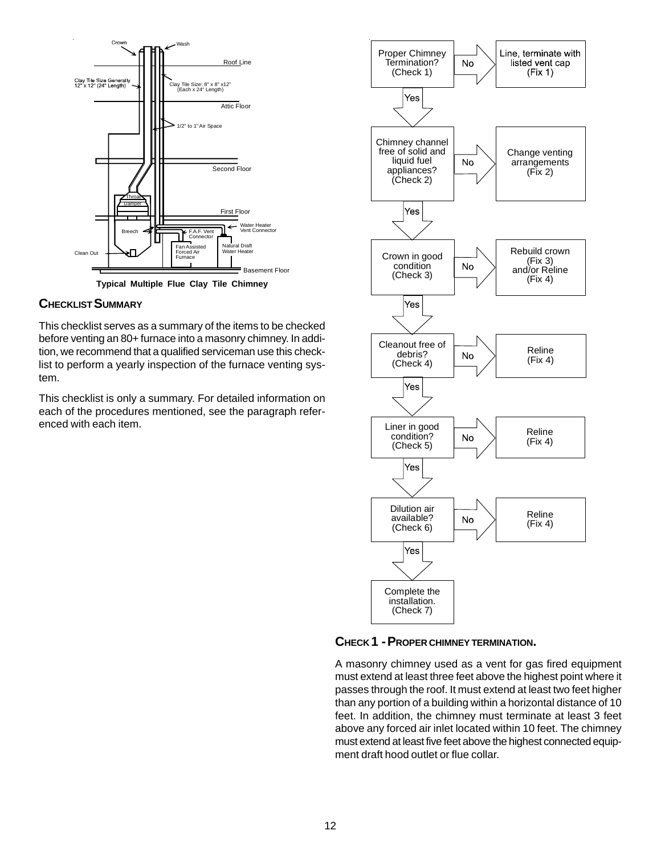

**Typical Multiple Flue Clay Tile Chimney**

# **CHECKLIST SUMMARY**

This checklist serves as a summary of the items to be checked before venting an 80+ furnace into a masonry chimney. In addition, we recommend that a qualified serviceman use this checklist to perform a yearly inspection of the furnace venting system.

This checklist is only a summary. For detailed information on each of the procedures mentioned, see the paragraph referenced with each item.



**CHECK 1 - PROPER CHIMNEY TERMINATION.**

A masonry chimney used as a vent for gas fired equipment must extend at least three feet above the highest point where it passes through the roof. It must extend at least two feet higher than any portion of a building within a horizontal distance of 10 feet. In addition, the chimney must terminate at least 3 feet above any forced air inlet located within 10 feet. The chimney must extend at least five feet above the highest connected equipment draft hood outlet or flue collar.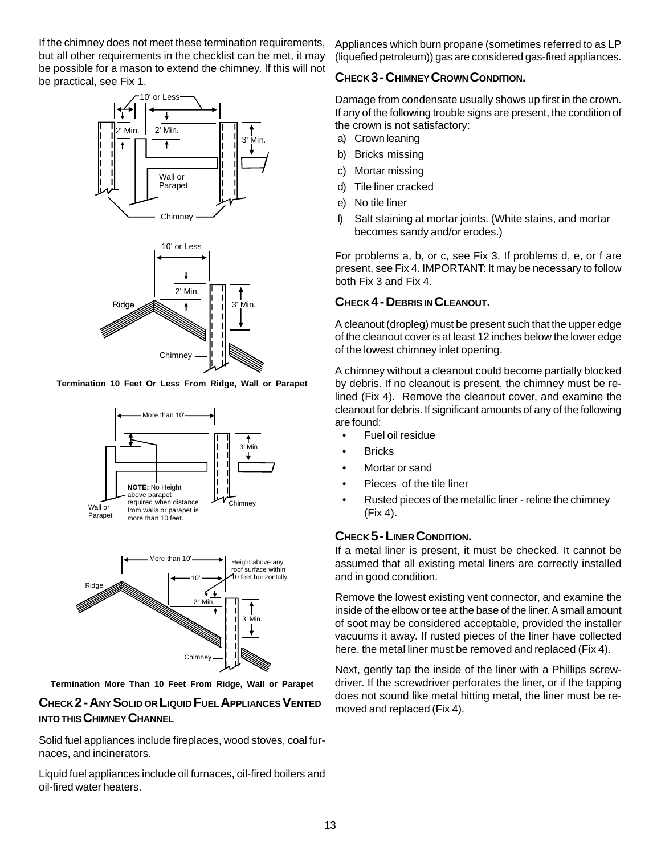If the chimney does not meet these termination requirements, but all other requirements in the checklist can be met, it may be possible for a mason to extend the chimney. If this will not be practical, see Fix 1.





**Termination 10 Feet Or Less From Ridge, Wall or Parapet**





**Termination More Than 10 Feet From Ridge, Wall or Parapet**

# **CHECK 2 - ANY SOLID OR LIQUID FUEL APPLIANCES VENTED INTO THIS CHIMNEY CHANNEL**

Solid fuel appliances include fireplaces, wood stoves, coal furnaces, and incinerators.

Liquid fuel appliances include oil furnaces, oil-fired boilers and oil-fired water heaters.

Appliances which burn propane (sometimes referred to as LP (liquefied petroleum)) gas are considered gas-fired appliances.

# **CHECK 3 - CHIMNEY CROWN CONDITION.**

Damage from condensate usually shows up first in the crown. If any of the following trouble signs are present, the condition of the crown is not satisfactory:

- a) Crown leaning
- b) Bricks missing
- c) Mortar missing
- d) Tile liner cracked
- e) No tile liner
- f) Salt staining at mortar joints. (White stains, and mortar becomes sandy and/or erodes.)

For problems a, b, or c, see Fix 3. If problems d, e, or f are present, see Fix 4. IMPORTANT: It may be necessary to follow both Fix 3 and Fix 4.

# **CHECK 4 - DEBRIS IN CLEANOUT.**

A cleanout (dropleg) must be present such that the upper edge of the cleanout cover is at least 12 inches below the lower edge of the lowest chimney inlet opening.

A chimney without a cleanout could become partially blocked by debris. If no cleanout is present, the chimney must be relined (Fix 4). Remove the cleanout cover, and examine the cleanout for debris. If significant amounts of any of the following are found:

- Fuel oil residue
- **Bricks**
- Mortar or sand
- Pieces of the tile liner
- Rusted pieces of the metallic liner reline the chimney (Fix 4).

### **CHECK 5 - LINER CONDITION.**

If a metal liner is present, it must be checked. It cannot be assumed that all existing metal liners are correctly installed and in good condition.

Remove the lowest existing vent connector, and examine the inside of the elbow or tee at the base of the liner. A small amount of soot may be considered acceptable, provided the installer vacuums it away. If rusted pieces of the liner have collected here, the metal liner must be removed and replaced (Fix 4).

Next, gently tap the inside of the liner with a Phillips screwdriver. If the screwdriver perforates the liner, or if the tapping does not sound like metal hitting metal, the liner must be removed and replaced (Fix 4).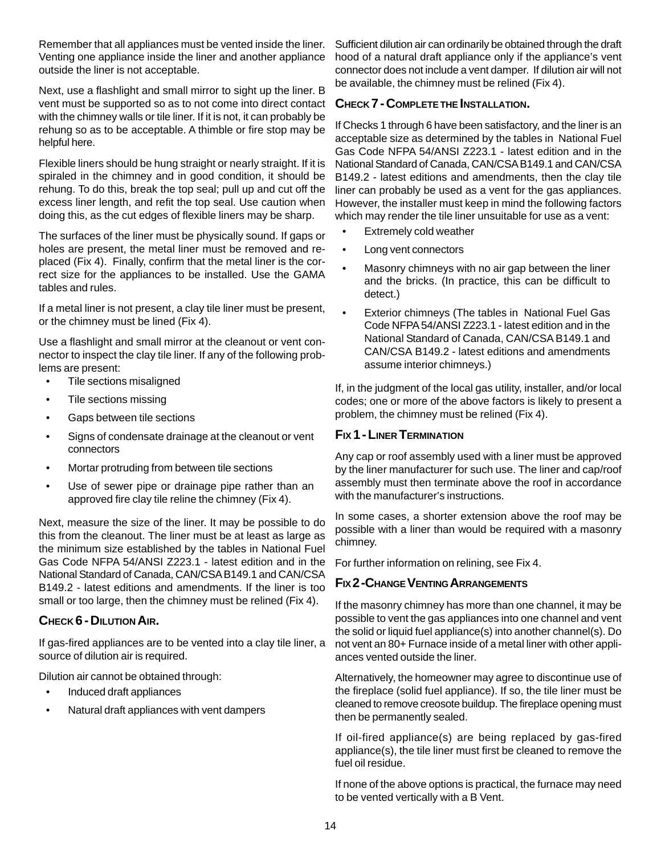Remember that all appliances must be vented inside the liner. Venting one appliance inside the liner and another appliance outside the liner is not acceptable.

Next, use a flashlight and small mirror to sight up the liner. B vent must be supported so as to not come into direct contact with the chimney walls or tile liner. If it is not, it can probably be rehung so as to be acceptable. A thimble or fire stop may be helpful here.

Flexible liners should be hung straight or nearly straight. If it is spiraled in the chimney and in good condition, it should be rehung. To do this, break the top seal; pull up and cut off the excess liner length, and refit the top seal. Use caution when doing this, as the cut edges of flexible liners may be sharp.

The surfaces of the liner must be physically sound. If gaps or holes are present, the metal liner must be removed and replaced (Fix 4). Finally, confirm that the metal liner is the correct size for the appliances to be installed. Use the GAMA tables and rules.

If a metal liner is not present, a clay tile liner must be present, or the chimney must be lined (Fix 4).

Use a flashlight and small mirror at the cleanout or vent connector to inspect the clay tile liner. If any of the following problems are present:

- Tile sections misaligned
- Tile sections missing
- Gaps between tile sections
- Signs of condensate drainage at the cleanout or vent connectors
- Mortar protruding from between tile sections
- Use of sewer pipe or drainage pipe rather than an approved fire clay tile reline the chimney (Fix 4).

Next, measure the size of the liner. It may be possible to do this from the cleanout. The liner must be at least as large as the minimum size established by the tables in National Fuel Gas Code NFPA 54/ANSI Z223.1 - latest edition and in the National Standard of Canada, CAN/CSA B149.1 and CAN/CSA B149.2 - latest editions and amendments. If the liner is too small or too large, then the chimney must be relined (Fix 4).

# **CHECK 6 - DILUTION AIR.**

If gas-fired appliances are to be vented into a clay tile liner, a source of dilution air is required.

Dilution air cannot be obtained through:

- Induced draft appliances
- Natural draft appliances with vent dampers

Sufficient dilution air can ordinarily be obtained through the draft hood of a natural draft appliance only if the appliance's vent connector does not include a vent damper. If dilution air will not be available, the chimney must be relined (Fix 4).

### **CHECK 7 - COMPLETE THE INSTALLATION.**

If Checks 1 through 6 have been satisfactory, and the liner is an acceptable size as determined by the tables in National Fuel Gas Code NFPA 54/ANSI Z223.1 - latest edition and in the National Standard of Canada, CAN/CSA B149.1 and CAN/CSA B149.2 - latest editions and amendments, then the clay tile liner can probably be used as a vent for the gas appliances. However, the installer must keep in mind the following factors which may render the tile liner unsuitable for use as a vent:

- Extremely cold weather
- Long vent connectors
- Masonry chimneys with no air gap between the liner and the bricks. (In practice, this can be difficult to detect.)
- Exterior chimneys (The tables in National Fuel Gas Code NFPA 54/ANSI Z223.1 - latest edition and in the National Standard of Canada, CAN/CSA B149.1 and CAN/CSA B149.2 - latest editions and amendments assume interior chimneys.)

If, in the judgment of the local gas utility, installer, and/or local codes; one or more of the above factors is likely to present a problem, the chimney must be relined (Fix 4).

# **FIX 1 - LINER TERMINATION**

Any cap or roof assembly used with a liner must be approved by the liner manufacturer for such use. The liner and cap/roof assembly must then terminate above the roof in accordance with the manufacturer's instructions.

In some cases, a shorter extension above the roof may be possible with a liner than would be required with a masonry chimney.

For further information on relining, see Fix 4.

# **FIX 2 -CHANGE VENTING ARRANGEMENTS**

If the masonry chimney has more than one channel, it may be possible to vent the gas appliances into one channel and vent the solid or liquid fuel appliance(s) into another channel(s). Do not vent an 80+ Furnace inside of a metal liner with other appliances vented outside the liner.

Alternatively, the homeowner may agree to discontinue use of the fireplace (solid fuel appliance). If so, the tile liner must be cleaned to remove creosote buildup. The fireplace opening must then be permanently sealed.

If oil-fired appliance(s) are being replaced by gas-fired appliance(s), the tile liner must first be cleaned to remove the fuel oil residue.

If none of the above options is practical, the furnace may need to be vented vertically with a B Vent.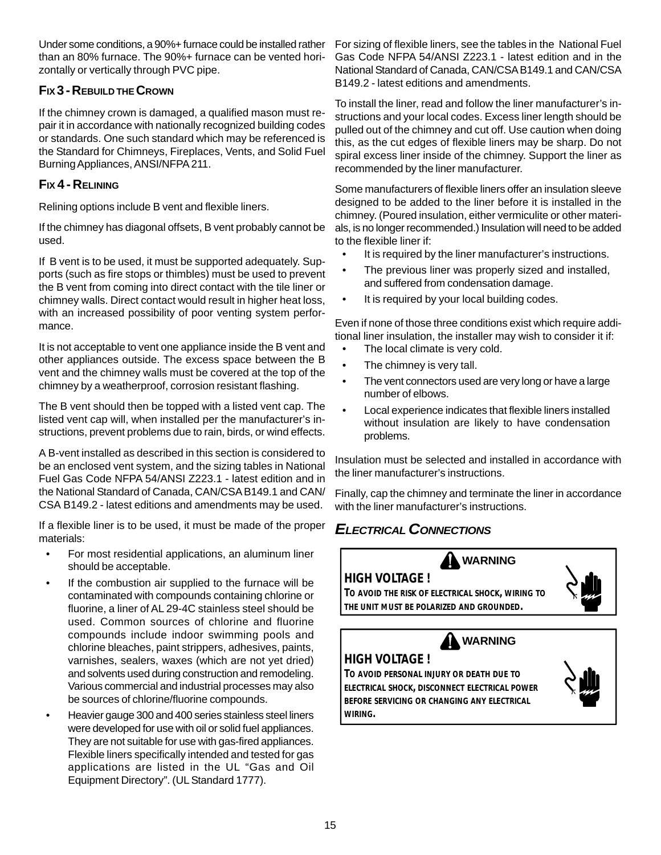Under some conditions, a 90%+ furnace could be installed rather For sizing of flexible liners, see the tables in the National Fuel than an 80% furnace. The 90%+ furnace can be vented horizontally or vertically through PVC pipe.

# **FIX 3 - REBUILD THE CROWN**

If the chimney crown is damaged, a qualified mason must repair it in accordance with nationally recognized building codes or standards. One such standard which may be referenced is the Standard for Chimneys, Fireplaces, Vents, and Solid Fuel Burning Appliances, ANSI/NFPA 211.

# **FIX 4 - RELINING**

Relining options include B vent and flexible liners.

If the chimney has diagonal offsets, B vent probably cannot be used.

If B vent is to be used, it must be supported adequately. Supports (such as fire stops or thimbles) must be used to prevent the B vent from coming into direct contact with the tile liner or chimney walls. Direct contact would result in higher heat loss, with an increased possibility of poor venting system performance.

It is not acceptable to vent one appliance inside the B vent and other appliances outside. The excess space between the B vent and the chimney walls must be covered at the top of the chimney by a weatherproof, corrosion resistant flashing.

The B vent should then be topped with a listed vent cap. The listed vent cap will, when installed per the manufacturer's instructions, prevent problems due to rain, birds, or wind effects.

A B-vent installed as described in this section is considered to be an enclosed vent system, and the sizing tables in National Fuel Gas Code NFPA 54/ANSI Z223.1 - latest edition and in the National Standard of Canada, CAN/CSA B149.1 and CAN/ CSA B149.2 - latest editions and amendments may be used.

If a flexible liner is to be used, it must be made of the proper materials:

- For most residential applications, an aluminum liner should be acceptable.
- If the combustion air supplied to the furnace will be contaminated with compounds containing chlorine or fluorine, a liner of AL 29-4C stainless steel should be used. Common sources of chlorine and fluorine compounds include indoor swimming pools and chlorine bleaches, paint strippers, adhesives, paints, varnishes, sealers, waxes (which are not yet dried) and solvents used during construction and remodeling. Various commercial and industrial processes may also be sources of chlorine/fluorine compounds.
- Heavier gauge 300 and 400 series stainless steel liners were developed for use with oil or solid fuel appliances. They are not suitable for use with gas-fired appliances. Flexible liners specifically intended and tested for gas applications are listed in the UL "Gas and Oil Equipment Directory". (UL Standard 1777).

Gas Code NFPA 54/ANSI Z223.1 - latest edition and in the National Standard of Canada, CAN/CSA B149.1 and CAN/CSA B149.2 - latest editions and amendments.

To install the liner, read and follow the liner manufacturer's instructions and your local codes. Excess liner length should be pulled out of the chimney and cut off. Use caution when doing this, as the cut edges of flexible liners may be sharp. Do not spiral excess liner inside of the chimney. Support the liner as recommended by the liner manufacturer.

Some manufacturers of flexible liners offer an insulation sleeve designed to be added to the liner before it is installed in the chimney. (Poured insulation, either vermiculite or other materials, is no longer recommended.) Insulation will need to be added to the flexible liner if:

- It is required by the liner manufacturer's instructions.
- The previous liner was properly sized and installed, and suffered from condensation damage.
- It is required by your local building codes.

Even if none of those three conditions exist which require additional liner insulation, the installer may wish to consider it if:

- The local climate is very cold.
- The chimney is very tall.
- The vent connectors used are very long or have a large number of elbows.
- Local experience indicates that flexible liners installed without insulation are likely to have condensation problems.

Insulation must be selected and installed in accordance with the liner manufacturer's instructions.

Finally, cap the chimney and terminate the liner in accordance with the liner manufacturer's instructions.

# *ELECTRICAL CONNECTIONS*



**HIGH VOLTAGE !**

# **AN** WARNING



**TO AVOID THE RISK OF ELECTRICAL SHOCK, WIRING TO THE UNIT MUST BE POLARIZED AND GROUNDED.**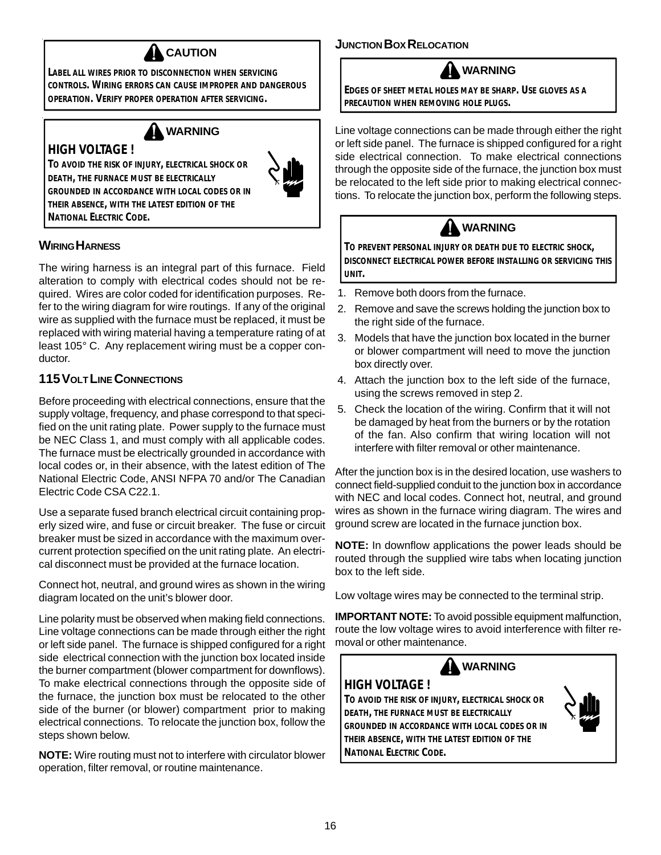

**LABEL ALL WIRES PRIOR TO DISCONNECTION WHEN SERVICING CONTROLS. WIRING ERRORS CAN CAUSE IMPROPER AND DANGEROUS OPERATION. VERIFY PROPER OPERATION AFTER SERVICING.**





**TO AVOID THE RISK OF INJURY, ELECTRICAL SHOCK OR DEATH, THE FURNACE MUST BE ELECTRICALLY GROUNDED IN ACCORDANCE WITH LOCAL CODES OR IN THEIR ABSENCE, WITH THE LATEST EDITION OF THE NATIONAL ELECTRIC CODE.**

### **WIRING HARNESS**

**HIGH VOLTAGE !**

The wiring harness is an integral part of this furnace. Field alteration to comply with electrical codes should not be required. Wires are color coded for identification purposes. Refer to the wiring diagram for wire routings. If any of the original wire as supplied with the furnace must be replaced, it must be replaced with wiring material having a temperature rating of at least 105° C. Any replacement wiring must be a copper conductor.

# **115 VOLT LINE CONNECTIONS**

Before proceeding with electrical connections, ensure that the supply voltage, frequency, and phase correspond to that specified on the unit rating plate. Power supply to the furnace must be NEC Class 1, and must comply with all applicable codes. The furnace must be electrically grounded in accordance with local codes or, in their absence, with the latest edition of The National Electric Code, ANSI NFPA 70 and/or The Canadian Electric Code CSA C22.1.

Use a separate fused branch electrical circuit containing properly sized wire, and fuse or circuit breaker. The fuse or circuit breaker must be sized in accordance with the maximum overcurrent protection specified on the unit rating plate. An electrical disconnect must be provided at the furnace location.

Connect hot, neutral, and ground wires as shown in the wiring diagram located on the unit's blower door.

Line polarity must be observed when making field connections. Line voltage connections can be made through either the right or left side panel. The furnace is shipped configured for a right side electrical connection with the junction box located inside the burner compartment (blower compartment for downflows). To make electrical connections through the opposite side of the furnace, the junction box must be relocated to the other side of the burner (or blower) compartment prior to making electrical connections. To relocate the junction box, follow the steps shown below.

**NOTE:** Wire routing must not to interfere with circulator blower operation, filter removal, or routine maintenance.

# **JUNCTION BOX RELOCATION**

# **WARNING**

**EDGES OF SHEET METAL HOLES MAY BE SHARP. USE GLOVES AS A PRECAUTION WHEN REMOVING HOLE PLUGS.**

Line voltage connections can be made through either the right or left side panel. The furnace is shipped configured for a right side electrical connection. To make electrical connections through the opposite side of the furnace, the junction box must be relocated to the left side prior to making electrical connections. To relocate the junction box, perform the following steps.



**TO PREVENT PERSONAL INJURY OR DEATH DUE TO ELECTRIC SHOCK, DISCONNECT ELECTRICAL POWER BEFORE INSTALLING OR SERVICING THIS UNIT.**

- 1. Remove both doors from the furnace.
- 2. Remove and save the screws holding the junction box to the right side of the furnace.
- 3. Models that have the junction box located in the burner or blower compartment will need to move the junction box directly over.
- 4. Attach the junction box to the left side of the furnace, using the screws removed in step 2.
- 5. Check the location of the wiring. Confirm that it will not be damaged by heat from the burners or by the rotation of the fan. Also confirm that wiring location will not interfere with filter removal or other maintenance.

After the junction box is in the desired location, use washers to connect field-supplied conduit to the junction box in accordance with NEC and local codes. Connect hot, neutral, and ground wires as shown in the furnace wiring diagram. The wires and ground screw are located in the furnace junction box.

**NOTE:** In downflow applications the power leads should be routed through the supplied wire tabs when locating junction box to the left side.

Low voltage wires may be connected to the terminal strip.

**IMPORTANT NOTE:** To avoid possible equipment malfunction, route the low voltage wires to avoid interference with filter removal or other maintenance.



# **HIGH VOLTAGE !**

**TO AVOID THE RISK OF INJURY, ELECTRICAL SHOCK OR DEATH, THE FURNACE MUST BE ELECTRICALLY GROUNDED IN ACCORDANCE WITH LOCAL CODES OR IN THEIR ABSENCE, WITH THE LATEST EDITION OF THE NATIONAL ELECTRIC CODE.**

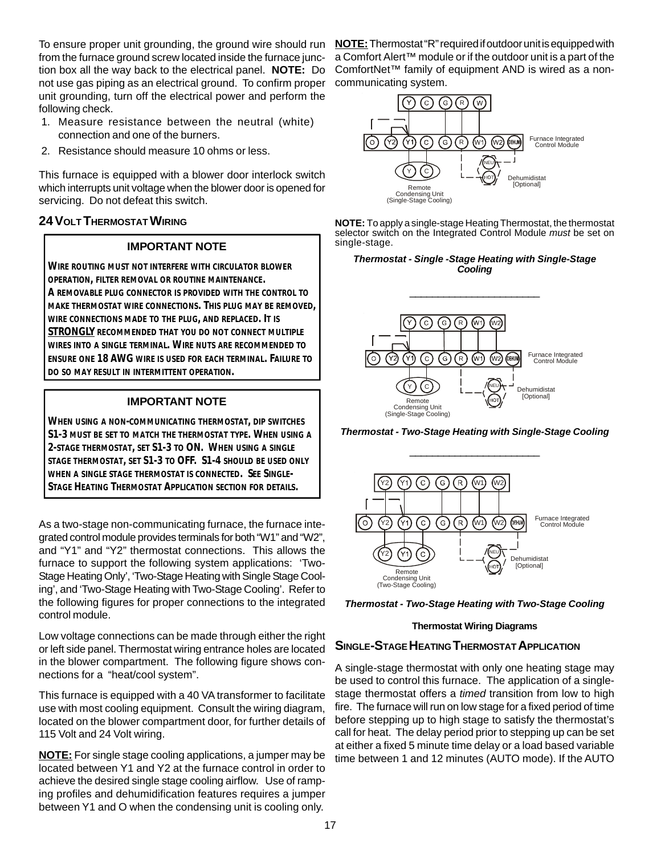To ensure proper unit grounding, the ground wire should run **NOTE:** Thermostat "R" required if outdoor unit is equipped with from the furnace ground screw located inside the furnace junction box all the way back to the electrical panel. **NOTE:** Do not use gas piping as an electrical ground. To confirm proper unit grounding, turn off the electrical power and perform the following check.

- 1. Measure resistance between the neutral (white) connection and one of the burners.
- 2. Resistance should measure 10 ohms or less.

This furnace is equipped with a blower door interlock switch which interrupts unit voltage when the blower door is opened for servicing. Do not defeat this switch.

# **24 VOLT THERMOSTAT WIRING**

#### **IMPORTANT NOTE**

**WIRE ROUTING MUST NOT INTERFERE WITH CIRCULATOR BLOWER OPERATION, FILTER REMOVAL OR ROUTINE MAINTENANCE. A REMOVABLE PLUG CONNECTOR IS PROVIDED WITH THE CONTROL TO MAKE THERMOSTAT WIRE CONNECTIONS. THIS PLUG MAY BE REMOVED, WIRE CONNECTIONS MADE TO THE PLUG, AND REPLACED. IT IS RECOMMENDED THAT YOU DO NOT CONNECT MULTIPLE STRONGLY WIRES INTO A SINGLE TERMINAL. WIRE NUTS ARE RECOMMENDED TO ENSURE ONE 18 AWG WIRE IS USED FOR EACH TERMINAL. FAILURE TO DO SO MAY RESULT IN INTERMITTENT OPERATION.**

### **IMPORTANT NOTE**

**WHEN USING A NON-COMMUNICATING THERMOSTAT, DIP SWITCHES S1-3 MUST BE SET TO MATCH THE THERMOSTAT TYPE. WHEN USING A 2-STAGE THERMOSTAT, SET S1-3 TO ON. WHEN USING A SINGLE STAGE THERMOSTAT, SET S1-3 TO OFF. S1-4 SHOULD BE USED ONLY WHEN A SINGLE STAGE THERMOSTAT IS CONNECTED. SEE SINGLE-STAGE HEATING THERMOSTAT APPLICATION SECTION FOR DETAILS.**

As a two-stage non-communicating furnace, the furnace integrated control module provides terminals for both "W1" and "W2", and "Y1" and "Y2" thermostat connections. This allows the furnace to support the following system applications: 'Two-Stage Heating Only', 'Two-Stage Heating with Single Stage Cooling', and 'Two-Stage Heating with Two-Stage Cooling'. Refer to the following figures for proper connections to the integrated control module.

Low voltage connections can be made through either the right or left side panel. Thermostat wiring entrance holes are located in the blower compartment. The following figure shows connections for a "heat/cool system".

This furnace is equipped with a 40 VA transformer to facilitate use with most cooling equipment. Consult the wiring diagram, located on the blower compartment door, for further details of 115 Volt and 24 Volt wiring.

**NOTE:** For single stage cooling applications, a jumper may be located between Y1 and Y2 at the furnace control in order to achieve the desired single stage cooling airflow. Use of ramping profiles and dehumidification features requires a jumper between Y1 and O when the condensing unit is cooling only.

a Comfort Alert™ module or if the outdoor unit is a part of the ComfortNet™ family of equipment AND is wired as a noncommunicating system.



**NOTE:** To apply a single-stage Heating Thermostat, the thermostat selector switch on the Integrated Control Module *must* be set on single-stage.

#### *Thermostat - Single -Stage Heating with Single-Stage Cooling*



*Thermostat - Two-Stage Heating with Single-Stage Cooling*  $\frac{1}{2}$  ,  $\frac{1}{2}$  ,  $\frac{1}{2}$  ,  $\frac{1}{2}$  ,  $\frac{1}{2}$  ,  $\frac{1}{2}$  ,  $\frac{1}{2}$  ,  $\frac{1}{2}$  ,  $\frac{1}{2}$  ,  $\frac{1}{2}$  ,  $\frac{1}{2}$  ,  $\frac{1}{2}$  ,  $\frac{1}{2}$  ,  $\frac{1}{2}$  ,  $\frac{1}{2}$  ,  $\frac{1}{2}$  ,  $\frac{1}{2}$  ,  $\frac{1}{2}$  ,  $\frac{1$ 





#### **Thermostat Wiring Diagrams**

### **SINGLE-STAGE HEATING THERMOSTAT APPLICATION**

A single-stage thermostat with only one heating stage may be used to control this furnace. The application of a singlestage thermostat offers a *timed* transition from low to high fire. The furnace will run on low stage for a fixed period of time before stepping up to high stage to satisfy the thermostat's call for heat. The delay period prior to stepping up can be set at either a fixed 5 minute time delay or a load based variable time between 1 and 12 minutes (AUTO mode). If the AUTO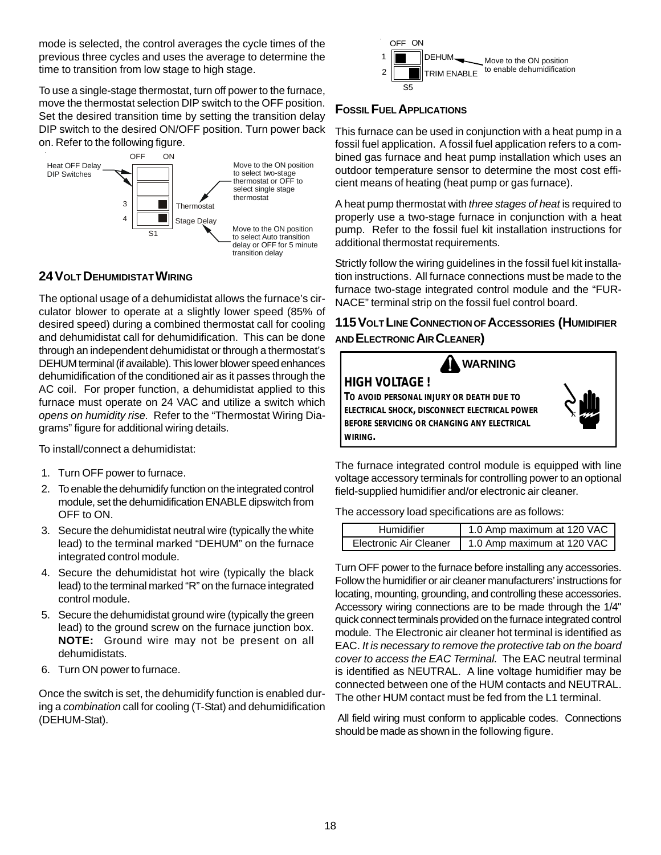mode is selected, the control averages the cycle times of the previous three cycles and uses the average to determine the time to transition from low stage to high stage.

To use a single-stage thermostat, turn off power to the furnace, move the thermostat selection DIP switch to the OFF position. Set the desired transition time by setting the transition delay DIP switch to the desired ON/OFF position. Turn power back on. Refer to the following figure.



# **24 VOLT DEHUMIDISTAT WIRING**

The optional usage of a dehumidistat allows the furnace's circulator blower to operate at a slightly lower speed (85% of desired speed) during a combined thermostat call for cooling and dehumidistat call for dehumidification. This can be done through an independent dehumidistat or through a thermostat's DEHUM terminal (if available). This lower blower speed enhances dehumidification of the conditioned air as it passes through the AC coil. For proper function, a dehumidistat applied to this furnace must operate on 24 VAC and utilize a switch which *opens on humidity rise.* Refer to the "Thermostat Wiring Diagrams" figure for additional wiring details.

To install/connect a dehumidistat:

- 1. Turn OFF power to furnace.
- 2. To enable the dehumidify function on the integrated control module, set the dehumidification ENABLE dipswitch from OFF to ON.
- 3. Secure the dehumidistat neutral wire (typically the white lead) to the terminal marked "DEHUM" on the furnace integrated control module.
- 4. Secure the dehumidistat hot wire (typically the black lead) to the terminal marked "R" on the furnace integrated control module.
- 5. Secure the dehumidistat ground wire (typically the green lead) to the ground screw on the furnace junction box. **NOTE:** Ground wire may not be present on all dehumidistats.
- 6. Turn ON power to furnace.

Once the switch is set, the dehumidify function is enabled during a *combination* call for cooling (T-Stat) and dehumidification (DEHUM-Stat).



# **FOSSIL FUEL APPLICATIONS**

This furnace can be used in conjunction with a heat pump in a fossil fuel application. A fossil fuel application refers to a combined gas furnace and heat pump installation which uses an outdoor temperature sensor to determine the most cost efficient means of heating (heat pump or gas furnace).

A heat pump thermostat with *three stages of heat* is required to properly use a two-stage furnace in conjunction with a heat pump. Refer to the fossil fuel kit installation instructions for additional thermostat requirements.

Strictly follow the wiring guidelines in the fossil fuel kit installation instructions. All furnace connections must be made to the furnace two-stage integrated control module and the "FUR-NACE" terminal strip on the fossil fuel control board.

### **115 VOLT LINE CONNECTION OF ACCESSORIES (HUMIDIFIER AND ELECTRONIC AIR CLEANER)**

# **A** WARNING

**TO AVOID PERSONAL INJURY OR DEATH DUE TO ELECTRICAL SHOCK, DISCONNECT ELECTRICAL POWER BEFORE SERVICING OR CHANGING ANY ELECTRICAL WIRING.**

**HIGH VOLTAGE !**



The furnace integrated control module is equipped with line voltage accessory terminals for controlling power to an optional field-supplied humidifier and/or electronic air cleaner.

The accessory load specifications are as follows:

| Humidifier             | 1.0 Amp maximum at 120 VAC |
|------------------------|----------------------------|
| Electronic Air Cleaner | 1.0 Amp maximum at 120 VAC |

Turn OFF power to the furnace before installing any accessories. Follow the humidifier or air cleaner manufacturers' instructions for locating, mounting, grounding, and controlling these accessories. Accessory wiring connections are to be made through the 1/4" quick connect terminals provided on the furnace integrated control module. The Electronic air cleaner hot terminal is identified as EAC. *It is necessary to remove the protective tab on the board cover to access the EAC Terminal.* The EAC neutral terminal is identified as NEUTRAL. A line voltage humidifier may be connected between one of the HUM contacts and NEUTRAL. The other HUM contact must be fed from the L1 terminal.

 All field wiring must conform to applicable codes. Connections should be made as shown in the following figure.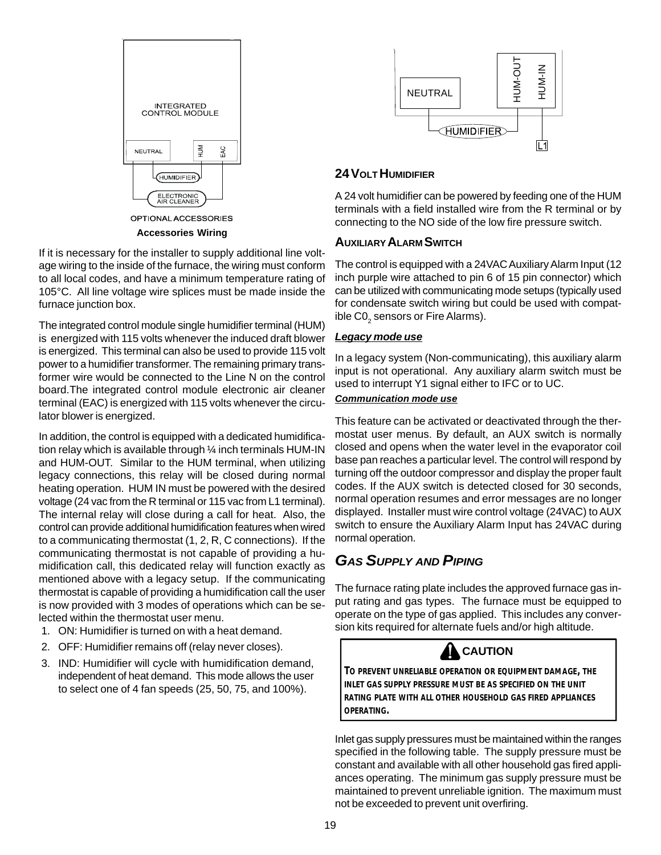

If it is necessary for the installer to supply additional line voltage wiring to the inside of the furnace, the wiring must conform to all local codes, and have a minimum temperature rating of 105°C. All line voltage wire splices must be made inside the furnace junction box.

The integrated control module single humidifier terminal (HUM) is energized with 115 volts whenever the induced draft blower is energized. This terminal can also be used to provide 115 volt power to a humidifier transformer. The remaining primary transformer wire would be connected to the Line N on the control board.The integrated control module electronic air cleaner terminal (EAC) is energized with 115 volts whenever the circulator blower is energized.

In addition, the control is equipped with a dedicated humidification relay which is available through ¼ inch terminals HUM-IN and HUM-OUT. Similar to the HUM terminal, when utilizing legacy connections, this relay will be closed during normal heating operation. HUM IN must be powered with the desired voltage (24 vac from the R terminal or 115 vac from L1 terminal). The internal relay will close during a call for heat. Also, the control can provide additional humidification features when wired to a communicating thermostat (1, 2, R, C connections). If the communicating thermostat is not capable of providing a humidification call, this dedicated relay will function exactly as mentioned above with a legacy setup. If the communicating thermostat is capable of providing a humidification call the user is now provided with 3 modes of operations which can be selected within the thermostat user menu.

- 1. ON: Humidifier is turned on with a heat demand.
- 2. OFF: Humidifier remains off (relay never closes).
- 3. IND: Humidifier will cycle with humidification demand, independent of heat demand. This mode allows the user to select one of 4 fan speeds (25, 50, 75, and 100%).



# **24 VOLT HUMIDIFIER**

A 24 volt humidifier can be powered by feeding one of the HUM terminals with a field installed wire from the R terminal or by connecting to the NO side of the low fire pressure switch.

### **AUXILIARY ALARM SWITCH**

The control is equipped with a 24VAC Auxiliary Alarm Input (12 inch purple wire attached to pin 6 of 15 pin connector) which can be utilized with communicating mode setups (typically used for condensate switch wiring but could be used with compatible C0 $_{\rm _2}$  sensors or Fire Alarms).

#### *Legacy mode use*

In a legacy system (Non-communicating), this auxiliary alarm input is not operational. Any auxiliary alarm switch must be used to interrupt Y1 signal either to IFC or to UC.

#### *Communication mode use*

This feature can be activated or deactivated through the thermostat user menus. By default, an AUX switch is normally closed and opens when the water level in the evaporator coil base pan reaches a particular level. The control will respond by turning off the outdoor compressor and display the proper fault codes. If the AUX switch is detected closed for 30 seconds, normal operation resumes and error messages are no longer displayed. Installer must wire control voltage (24VAC) to AUX switch to ensure the Auxiliary Alarm Input has 24VAC during normal operation.

# *GAS SUPPLY AND PIPING*

The furnace rating plate includes the approved furnace gas input rating and gas types. The furnace must be equipped to operate on the type of gas applied. This includes any conversion kits required for alternate fuels and/or high altitude.

# **CAUTION**

**TO PREVENT UNRELIABLE OPERATION OR EQUIPMENT DAMAGE, THE INLET GAS SUPPLY PRESSURE MUST BE AS SPECIFIED ON THE UNIT RATING PLATE WITH ALL OTHER HOUSEHOLD GAS FIRED APPLIANCES OPERATING.**

Inlet gas supply pressures must be maintained within the ranges specified in the following table. The supply pressure must be constant and available with all other household gas fired appliances operating. The minimum gas supply pressure must be maintained to prevent unreliable ignition. The maximum must not be exceeded to prevent unit overfiring.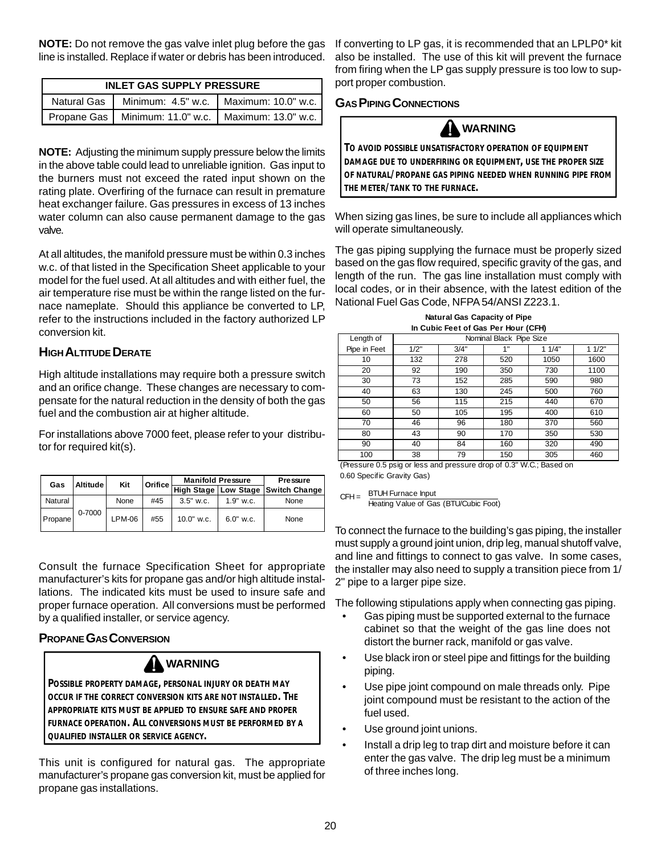**NOTE:** Do not remove the gas valve inlet plug before the gas line is installed. Replace if water or debris has been introduced.

| <b>INLET GAS SUPPLY PRESSURE</b> |                                                         |  |  |  |  |  |  |
|----------------------------------|---------------------------------------------------------|--|--|--|--|--|--|
|                                  | Natural Gas   Minimum: 4.5" w.c.   Maximum: 10.0" w.c.  |  |  |  |  |  |  |
|                                  | Propane Gas   Minimum: 11.0" w.c.   Maximum: 13.0" w.c. |  |  |  |  |  |  |

**NOTE:** Adjusting the minimum supply pressure below the limits in the above table could lead to unreliable ignition. Gas input to the burners must not exceed the rated input shown on the rating plate. Overfiring of the furnace can result in premature heat exchanger failure. Gas pressures in excess of 13 inches water column can also cause permanent damage to the gas valve.

At all altitudes, the manifold pressure must be within 0.3 inches w.c. of that listed in the Specification Sheet applicable to your model for the fuel used. At all altitudes and with either fuel, the air temperature rise must be within the range listed on the furnace nameplate. Should this appliance be converted to LP, refer to the instructions included in the factory authorized LP conversion kit.

# **HIGH ALTITUDE DERATE**

High altitude installations may require both a pressure switch and an orifice change. These changes are necessary to compensate for the natural reduction in the density of both the gas fuel and the combustion air at higher altitude.

For installations above 7000 feet, please refer to your distributor for required kit(s).

| Gas     | Altitude | Kit           | Orifice l | <b>Manifold Pressure</b> |             | Pressure                           |  |
|---------|----------|---------------|-----------|--------------------------|-------------|------------------------------------|--|
|         |          |               |           |                          |             | High Stage Low Stage Switch Change |  |
| Natural |          | None          | #45       | $3.5"$ w.c.              | $1.9"$ w.c. | None                               |  |
| Propane | 0-7000   | <b>LPM-06</b> | #55       | $10.0"$ w.c.             | $6.0"$ w.c. | None                               |  |

Consult the furnace Specification Sheet for appropriate manufacturer's kits for propane gas and/or high altitude installations. The indicated kits must be used to insure safe and proper furnace operation. All conversions must be performed by a qualified installer, or service agency.

### **PROPANE GAS CONVERSION**



**OCCUR IF THE CORRECT CONVERSION KITS ARE NOT INSTALLED. THE APPROPRIATE KITS MUST BE APPLIED TO ENSURE SAFE AND PROPER FURNACE OPERATION. ALL CONVERSIONS MUST BE PERFORMED BY A QUALIFIED INSTALLER OR SERVICE AGENCY.**

This unit is configured for natural gas. The appropriate manufacturer's propane gas conversion kit, must be applied for propane gas installations.

If converting to LP gas, it is recommended that an LPLP0\* kit also be installed. The use of this kit will prevent the furnace from firing when the LP gas supply pressure is too low to support proper combustion.

### **GAS PIPING CONNECTIONS**



**TO AVOID POSSIBLE UNSATISFACTORY OPERATION OF EQUIPMENT DAMAGE DUE TO UNDERFIRING OR EQUIPMENT, USE THE PROPER SIZE OF NATURAL/PROPANE GAS PIPING NEEDED WHEN RUNNING PIPE FROM THE METER/TANK TO THE FURNACE.**

When sizing gas lines, be sure to include all appliances which will operate simultaneously.

The gas piping supplying the furnace must be properly sized based on the gas flow required, specific gravity of the gas, and length of the run. The gas line installation must comply with local codes, or in their absence, with the latest edition of the National Fuel Gas Code, NFPA 54/ANSI Z223.1.

| <b>Natural Gas Capacity of Pipe</b> |  |
|-------------------------------------|--|
| In Cubic Feet of Gas Per Hour (CFH) |  |

| Length of                                                                    | Nominal Black Pipe Size |      |     |       |       |  |
|------------------------------------------------------------------------------|-------------------------|------|-----|-------|-------|--|
| Pipe in Feet                                                                 | 1/2"                    | 3/4" | 1"  | 11/4" | 11/2" |  |
| 10                                                                           | 132                     | 278  | 520 | 1050  | 1600  |  |
| 20                                                                           | 92                      | 190  | 350 | 730   | 1100  |  |
| 30                                                                           | 73                      | 152  | 285 | 590   | 980   |  |
| 40                                                                           | 63                      | 130  | 245 | 500   | 760   |  |
| 50                                                                           | 56                      | 115  | 215 | 440   | 670   |  |
| 60                                                                           | 50                      | 105  | 195 | 400   | 610   |  |
| 70                                                                           | 46                      | 96   | 180 | 370   | 560   |  |
| 80                                                                           | 43                      | 90   | 170 | 350   | 530   |  |
| 90                                                                           | 40                      | 84   | 160 | 320   | 490   |  |
| 100                                                                          | 38                      | 79   | 150 | 305   | 460   |  |
| <b>Processor O.5</b> peig or loss and processed drop of $0.3$ M/C · Racod on |                         |      |     |       |       |  |

(Pressure 0.5 psig or less and pressure drop of 0.3" W.C.; Based on 0.60 Specific Gravity Gas)

CFH = BTUH Furnace Input Heating Value of Gas (BTU/Cubic Foot)

To connect the furnace to the building's gas piping, the installer must supply a ground joint union, drip leg, manual shutoff valve, and line and fittings to connect to gas valve. In some cases, the installer may also need to supply a transition piece from 1/ 2" pipe to a larger pipe size.

The following stipulations apply when connecting gas piping.

- Gas piping must be supported external to the furnace cabinet so that the weight of the gas line does not distort the burner rack, manifold or gas valve.
- Use black iron or steel pipe and fittings for the building piping.
- Use pipe joint compound on male threads only. Pipe joint compound must be resistant to the action of the fuel used.
- Use ground joint unions.
- Install a drip leg to trap dirt and moisture before it can enter the gas valve. The drip leg must be a minimum of three inches long.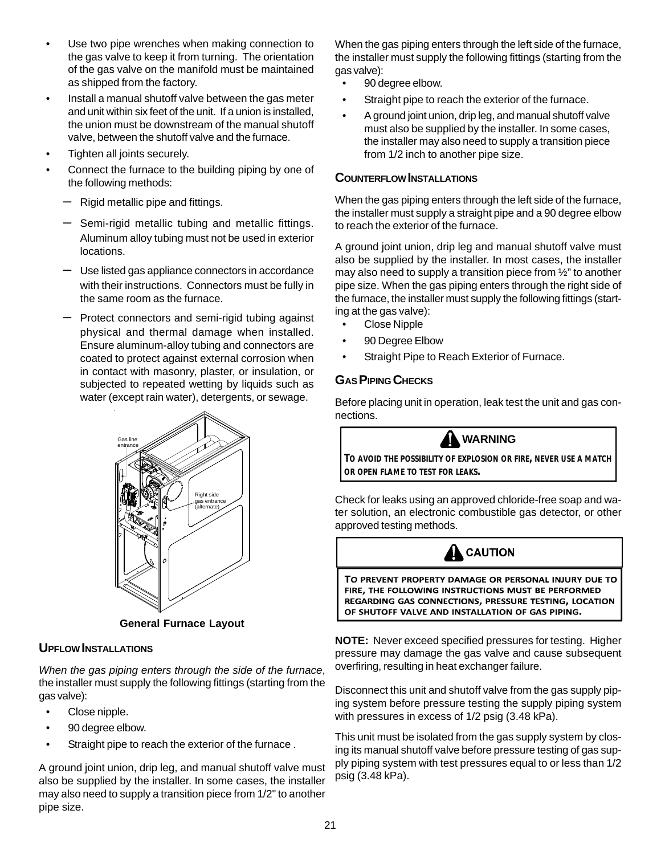- Use two pipe wrenches when making connection to the gas valve to keep it from turning. The orientation of the gas valve on the manifold must be maintained as shipped from the factory.
- Install a manual shutoff valve between the gas meter and unit within six feet of the unit. If a union is installed, the union must be downstream of the manual shutoff valve, between the shutoff valve and the furnace.
- Tighten all joints securely.
- Connect the furnace to the building piping by one of the following methods:
	- Rigid metallic pipe and fittings.
	- Semi-rigid metallic tubing and metallic fittings. Aluminum alloy tubing must not be used in exterior locations.
	- Use listed gas appliance connectors in accordance with their instructions. Connectors must be fully in the same room as the furnace.
	- Protect connectors and semi-rigid tubing against physical and thermal damage when installed. Ensure aluminum-alloy tubing and connectors are coated to protect against external corrosion when in contact with masonry, plaster, or insulation, or subjected to repeated wetting by liquids such as water (except rain water), detergents, or sewage.



**General Furnace Layout**

### **UPFLOW INSTALLATIONS**

*When the gas piping enters through the side of the furnace*, the installer must supply the following fittings (starting from the gas valve):

- Close nipple.
- 90 degree elbow.
- Straight pipe to reach the exterior of the furnace.

A ground joint union, drip leg, and manual shutoff valve must also be supplied by the installer. In some cases, the installer may also need to supply a transition piece from 1/2" to another pipe size.

When the gas piping enters through the left side of the furnace, the installer must supply the following fittings (starting from the gas valve):

- 90 degree elbow.
- Straight pipe to reach the exterior of the furnace.
- A ground joint union, drip leg, and manual shutoff valve must also be supplied by the installer. In some cases, the installer may also need to supply a transition piece from 1/2 inch to another pipe size.

### **COUNTERFLOW INSTALLATIONS**

When the gas piping enters through the left side of the furnace, the installer must supply a straight pipe and a 90 degree elbow to reach the exterior of the furnace.

A ground joint union, drip leg and manual shutoff valve must also be supplied by the installer. In most cases, the installer may also need to supply a transition piece from ½" to another pipe size. When the gas piping enters through the right side of the furnace, the installer must supply the following fittings (starting at the gas valve):

- Close Nipple
- 90 Degree Elbow
- Straight Pipe to Reach Exterior of Furnace.

# **GAS PIPING CHECKS**

Before placing unit in operation, leak test the unit and gas connections.

**WARNING**

**TO AVOID THE POSSIBILITY OF EXPLOSION OR FIRE, NEVER USE A MATCH OR OPEN FLAME TO TEST FOR LEAKS.**

Check for leaks using an approved chloride-free soap and water solution, an electronic combustible gas detector, or other approved testing methods.

 $\mathbf{\Lambda}$  CAUTION

TO PREVENT PROPERTY DAMAGE OR PERSONAL INJURY DUE TO FIRE, THE FOLLOWING INSTRUCTIONS MUST BE PERFORMED REGARDING GAS CONNECTIONS, PRESSURE TESTING, LOCATION OF SHUTOFF VALVE AND INSTALLATION OF GAS PIPING.

**NOTE:** Never exceed specified pressures for testing. Higher pressure may damage the gas valve and cause subsequent overfiring, resulting in heat exchanger failure.

Disconnect this unit and shutoff valve from the gas supply piping system before pressure testing the supply piping system with pressures in excess of 1/2 psig (3.48 kPa).

This unit must be isolated from the gas supply system by closing its manual shutoff valve before pressure testing of gas supply piping system with test pressures equal to or less than 1/2 psig (3.48 kPa).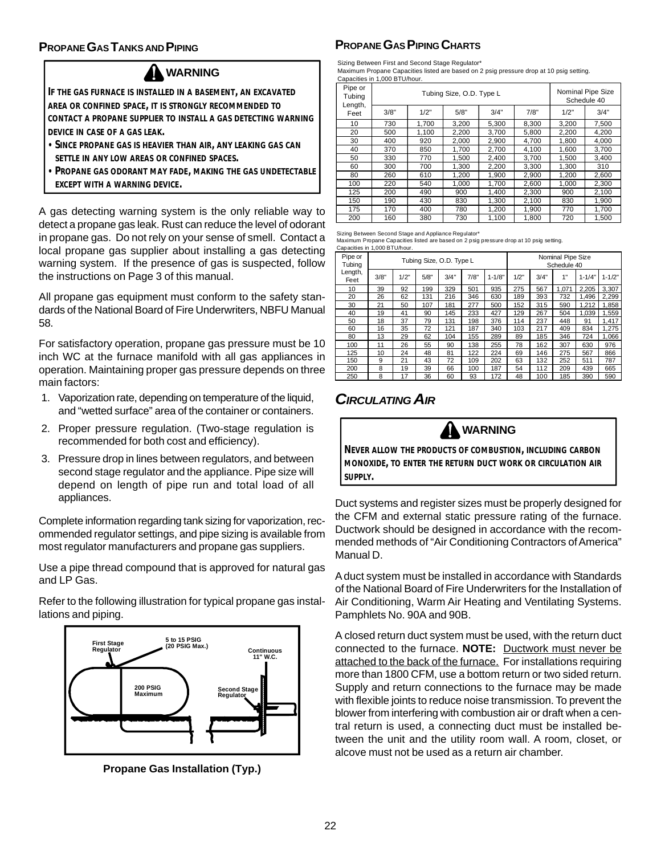# **PROPANE GAS TANKS AND PIPING**

# **WARNING**

**IF THE GAS FURNACE IS INSTALLED IN A BASEMENT, AN EXCAVATED AREA OR CONFINED SPACE, IT IS STRONGLY RECOMMENDED TO CONTACT A PROPANE SUPPLIER TO INSTALL A GAS DETECTING WARNING DEVICE IN CASE OF A GAS LEAK.**

- **SINCE PROPANE GAS IS HEAVIER THAN AIR, ANY LEAKING GAS CAN SETTLE IN ANY LOW AREAS OR CONFINED SPACES.**
- **PROPANE GAS ODORANT MAY FADE, MAKING THE GAS UNDETECTABLE EXCEPT WITH A WARNING DEVICE.**

A gas detecting warning system is the only reliable way to detect a propane gas leak. Rust can reduce the level of odorant in propane gas. Do not rely on your sense of smell. Contact a local propane gas supplier about installing a gas detecting warning system. If the presence of gas is suspected, follow the instructions on Page 3 of this manual.

All propane gas equipment must conform to the safety standards of the National Board of Fire Underwriters, NBFU Manual 58.

For satisfactory operation, propane gas pressure must be 10 inch WC at the furnace manifold with all gas appliances in operation. Maintaining proper gas pressure depends on three main factors:

- 1. Vaporization rate, depending on temperature of the liquid, and "wetted surface" area of the container or containers.
- 2. Proper pressure regulation. (Two-stage regulation is recommended for both cost and efficiency).
- 3. Pressure drop in lines between regulators, and between second stage regulator and the appliance. Pipe size will depend on length of pipe run and total load of all appliances.

Complete information regarding tank sizing for vaporization, recommended regulator settings, and pipe sizing is available from most regulator manufacturers and propane gas suppliers.

Use a pipe thread compound that is approved for natural gas and LP Gas.

Refer to the following illustration for typical propane gas installations and piping.



**Propane Gas Installation (Typ.)**

# **PROPANE GAS PIPING CHARTS**

Sizing Between First and Second Stage Regulator\*

Maximum Propane Capacities listed are based on 2 psig pressure drop at 10 psig setting. Capacities in 1,000 BTU/hour.

| Pipe or<br>Tubing |      | Tubing Size, O.D. Type L | Nominal Pipe Size<br>Schedule 40 |       |       |       |       |
|-------------------|------|--------------------------|----------------------------------|-------|-------|-------|-------|
| Length,<br>Feet   | 3/8" | 1/2"                     | 5/8"                             | 3/4"  | 7/8"  | 1/2"  | 3/4"  |
| 10                | 730  | 1,700                    | 3,200                            | 5,300 | 8,300 | 3,200 | 7,500 |
| 20                | 500  | 1,100                    | 2,200                            | 3,700 | 5,800 | 2,200 | 4,200 |
| 30                | 400  | 920                      | 2,000                            | 2,900 | 4,700 | 1,800 | 4,000 |
| 40                | 370  | 850                      | 1,700                            | 2,700 | 4,100 | 1.600 | 3,700 |
| 50                | 330  | 770                      | 1,500                            | 2,400 | 3,700 | 1,500 | 3,400 |
| 60                | 300  | 700                      | 1,300                            | 2,200 | 3,300 | 1,300 | 310   |
| 80                | 260  | 610                      | 1.200                            | 1.900 | 2,900 | 1.200 | 2,600 |
| 100               | 220  | 540                      | 1.000                            | 1.700 | 2,600 | 1.000 | 2,300 |
| 125               | 200  | 490                      | 900                              | 1,400 | 2,300 | 900   | 2,100 |
| 150               | 190  | 430                      | 830                              | 1,300 | 2,100 | 830   | 1,900 |
| 175               | 170  | 400                      | 780                              | 1.200 | 1,900 | 770   | 1,700 |
| 200               | 160  | 380                      | 730                              | 1,100 | 1,800 | 720   | 1.500 |

Sizing Between Second Stage and Appliance Regulator'

Maximum Propane Capacities listed are based on 2 psig pressure drop at 10 psig setting. Capacities in 1,000 BTU/hour.

| Pipe or<br>Tubing |      | Tubing Size, O.D. Type L |      |      |      |            |      |      | Nominal Pipe Size<br>Schedule 40 |            |            |
|-------------------|------|--------------------------|------|------|------|------------|------|------|----------------------------------|------------|------------|
| Length,<br>Feet   | 3/8" | 1/2"                     | 5/8" | 3/4" | 7/8" | $1 - 1/8"$ | 1/2" | 3/4" | 1"                               | $1 - 1/4"$ | $1 - 1/2"$ |
| 10                | 39   | 92                       | 199  | 329  | 501  | 935        | 275  | 567  | 1,071                            | 2.205      | 3.307      |
| 20                | 26   | 62                       | 131  | 216  | 346  | 630        | 189  | 393  | 732                              | 1.496      | 2.299      |
| 30                | 21   | 50                       | 107  | 181  | 277  | 500        | 152  | 315  | 590                              | 1.212      | 1,858      |
| 40                | 19   | 41                       | 90   | 145  | 233  | 427        | 129  | 267  | 504                              | 1.039      | 1,559      |
| 50                | 18   | 37                       | 79   | 131  | 198  | 376        | 114  | 237  | 448                              | 91         | 1.417      |
| 60                | 16   | 35                       | 72   | 121  | 187  | 340        | 103  | 217  | 409                              | 834        | 1,275      |
| 80                | 13   | 29                       | 62   | 104  | 155  | 289        | 89   | 185  | 346                              | 724        | 1.066      |
| 100               | 11   | 26                       | 55   | 90   | 138  | 255        | 78   | 162  | 307                              | 630        | 976        |
| 125               | 10   | 24                       | 48   | 81   | 122  | 224        | 69   | 146  | 275                              | 567        | 866        |
| 150               | 9    | 21                       | 43   | 72   | 109  | 202        | 63   | 132  | 252                              | 511        | 787        |
| 200               | 8    | 19                       | 39   | 66   | 100  | 187        | 54   | 112  | 209                              | 439        | 665        |
| 250               | 8    | 17                       | 36   | 60   | 93   | 172        | 48   | 100  | 185                              | 390        | 590        |

# *CIRCULATING AIR*



**NEVER ALLOW THE PRODUCTS OF COMBUSTION, INCLUDING CARBON MONOXIDE, TO ENTER THE RETURN DUCT WORK OR CIRCULATION AIR SUPPLY.**

Duct systems and register sizes must be properly designed for the CFM and external static pressure rating of the furnace. Ductwork should be designed in accordance with the recommended methods of "Air Conditioning Contractors of America" Manual D.

A duct system must be installed in accordance with Standards of the National Board of Fire Underwriters for the Installation of Air Conditioning, Warm Air Heating and Ventilating Systems. Pamphlets No. 90A and 90B.

A closed return duct system must be used, with the return duct connected to the furnace. **NOTE:** Ductwork must never be attached to the back of the furnace. For installations requiring more than 1800 CFM, use a bottom return or two sided return. Supply and return connections to the furnace may be made with flexible joints to reduce noise transmission. To prevent the blower from interfering with combustion air or draft when a central return is used, a connecting duct must be installed between the unit and the utility room wall. A room, closet, or alcove must not be used as a return air chamber.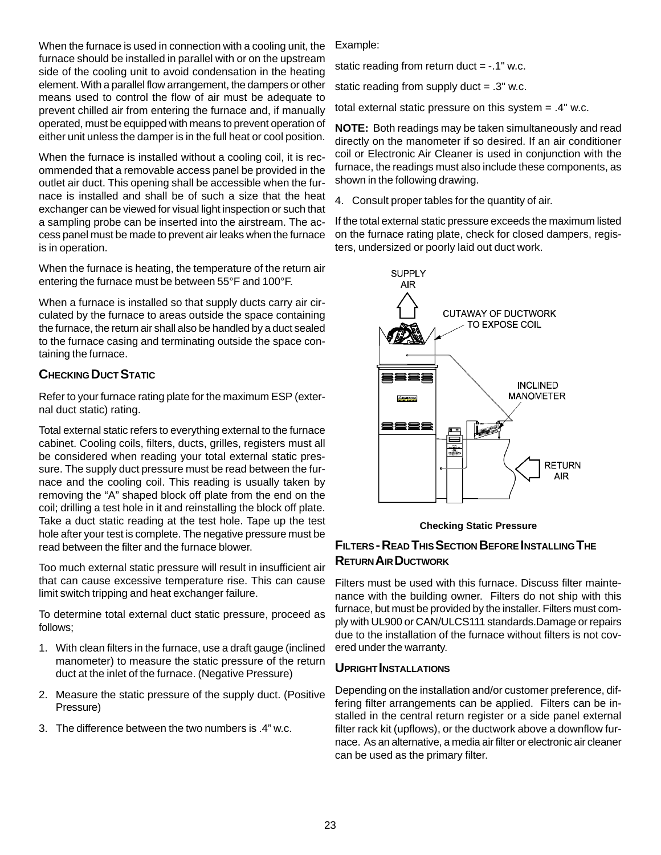When the furnace is used in connection with a cooling unit, the furnace should be installed in parallel with or on the upstream side of the cooling unit to avoid condensation in the heating element. With a parallel flow arrangement, the dampers or other means used to control the flow of air must be adequate to prevent chilled air from entering the furnace and, if manually operated, must be equipped with means to prevent operation of either unit unless the damper is in the full heat or cool position.

When the furnace is installed without a cooling coil, it is recommended that a removable access panel be provided in the outlet air duct. This opening shall be accessible when the furnace is installed and shall be of such a size that the heat exchanger can be viewed for visual light inspection or such that a sampling probe can be inserted into the airstream. The access panel must be made to prevent air leaks when the furnace is in operation.

When the furnace is heating, the temperature of the return air entering the furnace must be between 55°F and 100°F.

When a furnace is installed so that supply ducts carry air circulated by the furnace to areas outside the space containing the furnace, the return air shall also be handled by a duct sealed to the furnace casing and terminating outside the space containing the furnace.

### **CHECKING DUCT STATIC**

Refer to your furnace rating plate for the maximum ESP (external duct static) rating.

Total external static refers to everything external to the furnace cabinet. Cooling coils, filters, ducts, grilles, registers must all be considered when reading your total external static pressure. The supply duct pressure must be read between the furnace and the cooling coil. This reading is usually taken by removing the "A" shaped block off plate from the end on the coil; drilling a test hole in it and reinstalling the block off plate. Take a duct static reading at the test hole. Tape up the test hole after your test is complete. The negative pressure must be read between the filter and the furnace blower.

Too much external static pressure will result in insufficient air that can cause excessive temperature rise. This can cause limit switch tripping and heat exchanger failure.

To determine total external duct static pressure, proceed as follows;

- 1. With clean filters in the furnace, use a draft gauge (inclined manometer) to measure the static pressure of the return duct at the inlet of the furnace. (Negative Pressure)
- 2. Measure the static pressure of the supply duct. (Positive Pressure)
- 3. The difference between the two numbers is .4" w.c.

Example:

static reading from return duct  $= -.1$ " w.c.

static reading from supply duct  $= .3"$  w.c.

total external static pressure on this system = .4" w.c.

**NOTE:** Both readings may be taken simultaneously and read directly on the manometer if so desired. If an air conditioner coil or Electronic Air Cleaner is used in conjunction with the furnace, the readings must also include these components, as shown in the following drawing.

4. Consult proper tables for the quantity of air.

If the total external static pressure exceeds the maximum listed on the furnace rating plate, check for closed dampers, registers, undersized or poorly laid out duct work.



#### **Checking Static Pressure**

# **FILTERS - READ THIS SECTION BEFORE INSTALLING THE RETURN AIR DUCTWORK**

Filters must be used with this furnace. Discuss filter maintenance with the building owner. Filters do not ship with this furnace, but must be provided by the installer. Filters must comply with UL900 or CAN/ULCS111 standards.Damage or repairs due to the installation of the furnace without filters is not covered under the warranty.

### **UPRIGHT INSTALLATIONS**

Depending on the installation and/or customer preference, differing filter arrangements can be applied. Filters can be installed in the central return register or a side panel external filter rack kit (upflows), or the ductwork above a downflow furnace. As an alternative, a media air filter or electronic air cleaner can be used as the primary filter.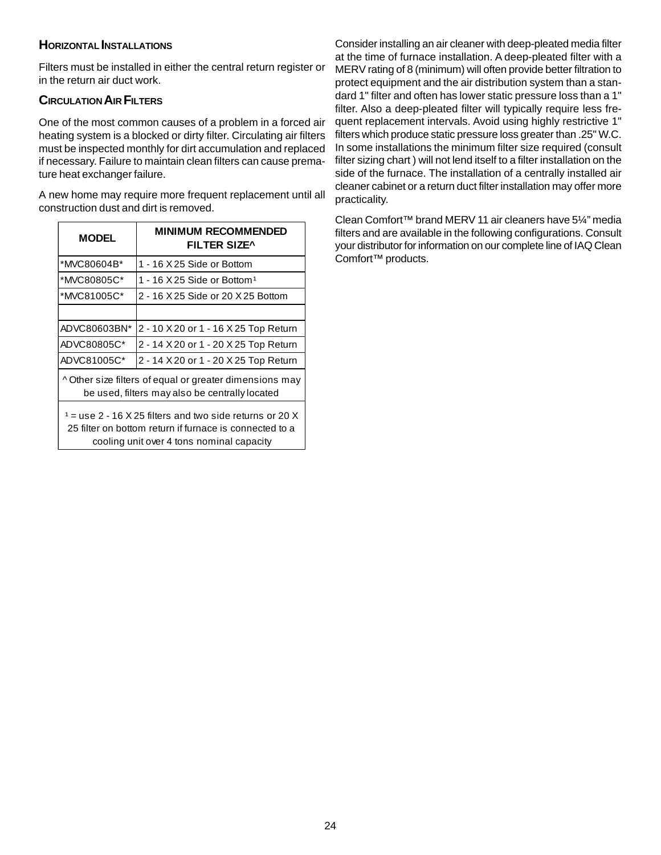### **HORIZONTAL INSTALLATIONS**

Filters must be installed in either the central return register or in the return air duct work.

### **CIRCULATION AIR FILTERS**

One of the most common causes of a problem in a forced air heating system is a blocked or dirty filter. Circulating air filters must be inspected monthly for dirt accumulation and replaced if necessary. Failure to maintain clean filters can cause premature heat exchanger failure.

A new home may require more frequent replacement until all construction dust and dirt is removed.

| <b>MODEL</b>                                                                                                                                                       | <b>MINIMUM RECOMMENDED</b><br><b>FILTER SIZE^</b> |  |  |  |  |  |
|--------------------------------------------------------------------------------------------------------------------------------------------------------------------|---------------------------------------------------|--|--|--|--|--|
| *MVC80604B*                                                                                                                                                        | 1 - 16 X 25 Side or Bottom                        |  |  |  |  |  |
| *MVC80805C*                                                                                                                                                        | 1 - 16 $X$ 25 Side or Bottom <sup>1</sup>         |  |  |  |  |  |
| *MVC81005C*                                                                                                                                                        | 2 - 16 X 25 Side or 20 X 25 Bottom                |  |  |  |  |  |
|                                                                                                                                                                    |                                                   |  |  |  |  |  |
| ADVC80603BN*                                                                                                                                                       | 2 - 10 X 20 or 1 - 16 X 25 Top Return             |  |  |  |  |  |
| ADVC80805C*                                                                                                                                                        | 2 - 14 X 20 or 1 - 20 X 25 Top Return             |  |  |  |  |  |
| 2 - 14 X 20 or 1 - 20 X 25 Top Return<br>ADVC81005C*                                                                                                               |                                                   |  |  |  |  |  |
| ^Other size filters of equal or greater dimensions may<br>be used, filters may also be centrally located                                                           |                                                   |  |  |  |  |  |
| $1 =$ use 2 - 16 X 25 filters and two side returns or 20 X<br>25 filter on bottom return if furnace is connected to a<br>cooling unit over 4 tons nominal capacity |                                                   |  |  |  |  |  |

Consider installing an air cleaner with deep-pleated media filter at the time of furnace installation. A deep-pleated filter with a MERV rating of 8 (minimum) will often provide better filtration to protect equipment and the air distribution system than a standard 1" filter and often has lower static pressure loss than a 1" filter. Also a deep-pleated filter will typically require less frequent replacement intervals. Avoid using highly restrictive 1" filters which produce static pressure loss greater than .25" W.C. In some installations the minimum filter size required (consult filter sizing chart ) will not lend itself to a filter installation on the side of the furnace. The installation of a centrally installed air cleaner cabinet or a return duct filter installation may offer more practicality.

Clean Comfort™ brand MERV 11 air cleaners have 5¼" media filters and are available in the following configurations. Consult your distributor for information on our complete line of IAQ Clean Comfort™ products.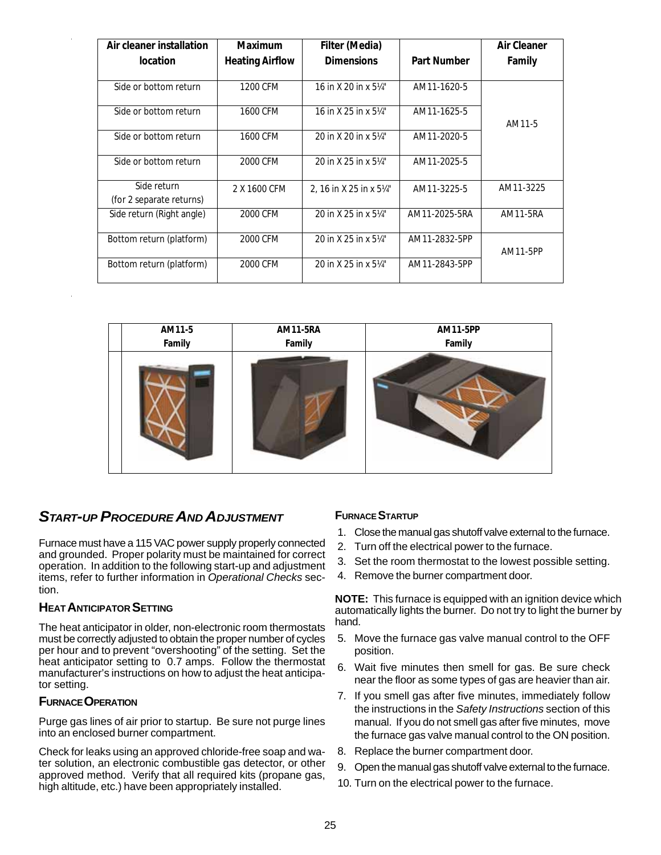| Air cleaner installation                | Maximum                | Filter (Media)         |                    | Air Cleaner     |
|-----------------------------------------|------------------------|------------------------|--------------------|-----------------|
| location                                | <b>Heating Airflow</b> | <b>Dimensions</b>      | <b>Part Number</b> | Family          |
|                                         |                        |                        |                    |                 |
| Side or bottom return                   | 1200 CFM               | 16 in X 20 in x 5¼"    | AM11-1620-5        |                 |
| Side or bottom return                   | 1600 CFM               | 16 in X 25 in x 5¼"    | AM11-1625-5        | AM11-5          |
| Side or bottom return                   | 1600 CFM               | 20 in X 20 in x 51/4"  | AM11-2020-5        |                 |
| Side or bottom return                   | 2000 CFM               | 20 in X 25 in x 51/4"  | AM11-2025-5        |                 |
| Side return<br>(for 2 separate returns) | 2 X 1600 CFM           | 2, 16 in X 25 in x 5¼" | AM11-3225-5        | AM11-3225       |
| Side return (Right angle)               | 2000 CFM               | 20 in X 25 in x 51/4"  | AM11-2025-5RA      | AM11-5RA        |
| Bottom return (platform)                | 2000 CFM               | 20 in X 25 in x 5¼"    | AM11-2832-5PP      | <b>AM11-5PP</b> |
| Bottom return (platform)                | 2000 CFM               | 20 in X 25 in x 51/4"  | AM11-2843-5PP      |                 |



# *START-UP PROCEDURE AND ADJUSTMENT*

Furnace must have a 115 VAC power supply properly connected and grounded. Proper polarity must be maintained for correct operation. In addition to the following start-up and adjustment items, refer to further information in *Operational Checks* section.

#### **HEAT ANTICIPATOR SETTING**

The heat anticipator in older, non-electronic room thermostats must be correctly adjusted to obtain the proper number of cycles per hour and to prevent "overshooting" of the setting. Set the heat anticipator setting to 0.7 amps. Follow the thermostat manufacturer's instructions on how to adjust the heat anticipator setting.

### **FURNACE OPERATION**

Purge gas lines of air prior to startup. Be sure not purge lines into an enclosed burner compartment.

Check for leaks using an approved chloride-free soap and water solution, an electronic combustible gas detector, or other approved method. Verify that all required kits (propane gas, high altitude, etc.) have been appropriately installed.

#### **FURNACE STARTUP**

- 1. Close the manual gas shutoff valve external to the furnace.
- 2. Turn off the electrical power to the furnace.
- 3. Set the room thermostat to the lowest possible setting.
- 4. Remove the burner compartment door.

**NOTE:** This furnace is equipped with an ignition device which automatically lights the burner. Do not try to light the burner by hand.

- 5. Move the furnace gas valve manual control to the OFF position.
- 6. Wait five minutes then smell for gas. Be sure check near the floor as some types of gas are heavier than air.
- 7. If you smell gas after five minutes, immediately follow the instructions in the *Safety Instructions* section of this manual. If you do not smell gas after five minutes, move the furnace gas valve manual control to the ON position.
- 8. Replace the burner compartment door.
- 9. Open the manual gas shutoff valve external to the furnace.
- 10. Turn on the electrical power to the furnace.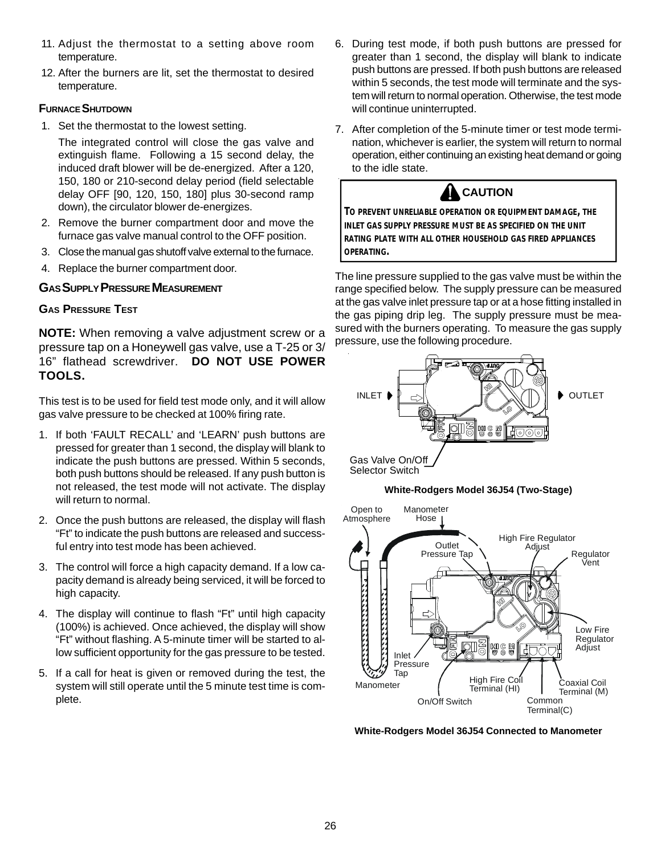- 11. Adjust the thermostat to a setting above room temperature.
- 12. After the burners are lit, set the thermostat to desired temperature.

#### **FURNACE SHUTDOWN**

1. Set the thermostat to the lowest setting.

The integrated control will close the gas valve and extinguish flame. Following a 15 second delay, the induced draft blower will be de-energized. After a 120, 150, 180 or 210-second delay period (field selectable delay OFF [90, 120, 150, 180] plus 30-second ramp down), the circulator blower de-energizes.

- 2. Remove the burner compartment door and move the furnace gas valve manual control to the OFF position.
- 3. Close the manual gas shutoff valve external to the furnace.
- 4. Replace the burner compartment door.

#### **GAS SUPPLY PRESSURE MEASUREMENT**

### **GAS PRESSURE TEST**

**NOTE:** When removing a valve adjustment screw or a pressure tap on a Honeywell gas valve, use a T-25 or 3/ 16" flathead screwdriver. **DO NOT USE POWER TOOLS.**

This test is to be used for field test mode only, and it will allow gas valve pressure to be checked at 100% firing rate.

- 1. If both 'FAULT RECALL' and 'LEARN' push buttons are pressed for greater than 1 second, the display will blank to indicate the push buttons are pressed. Within 5 seconds, both push buttons should be released. If any push button is not released, the test mode will not activate. The display will return to normal.
- 2. Once the push buttons are released, the display will flash "Ft" to indicate the push buttons are released and successful entry into test mode has been achieved.
- 3. The control will force a high capacity demand. If a low capacity demand is already being serviced, it will be forced to high capacity.
- 4. The display will continue to flash "Ft" until high capacity (100%) is achieved. Once achieved, the display will show "Ft" without flashing. A 5-minute timer will be started to allow sufficient opportunity for the gas pressure to be tested.
- 5. If a call for heat is given or removed during the test, the system will still operate until the 5 minute test time is complete.
- 6. During test mode, if both push buttons are pressed for greater than 1 second, the display will blank to indicate push buttons are pressed. If both push buttons are released within 5 seconds, the test mode will terminate and the system will return to normal operation. Otherwise, the test mode will continue uninterrupted.
- 7. After completion of the 5-minute timer or test mode termination, whichever is earlier, the system will return to normal operation, either continuing an existing heat demand or going to the idle state.

# **CAUTION**

**TO PREVENT UNRELIABLE OPERATION OR EQUIPMENT DAMAGE, THE INLET GAS SUPPLY PRESSURE MUST BE AS SPECIFIED ON THE UNIT RATING PLATE WITH ALL OTHER HOUSEHOLD GAS FIRED APPLIANCES OPERATING.**

The line pressure supplied to the gas valve must be within the range specified below. The supply pressure can be measured at the gas valve inlet pressure tap or at a hose fitting installed in the gas piping drip leg. The supply pressure must be measured with the burners operating. To measure the gas supply pressure, use the following procedure.



#### **White-Rodgers Model 36J54 (Two-Stage)**



**White-Rodgers Model 36J54 Connected to Manometer**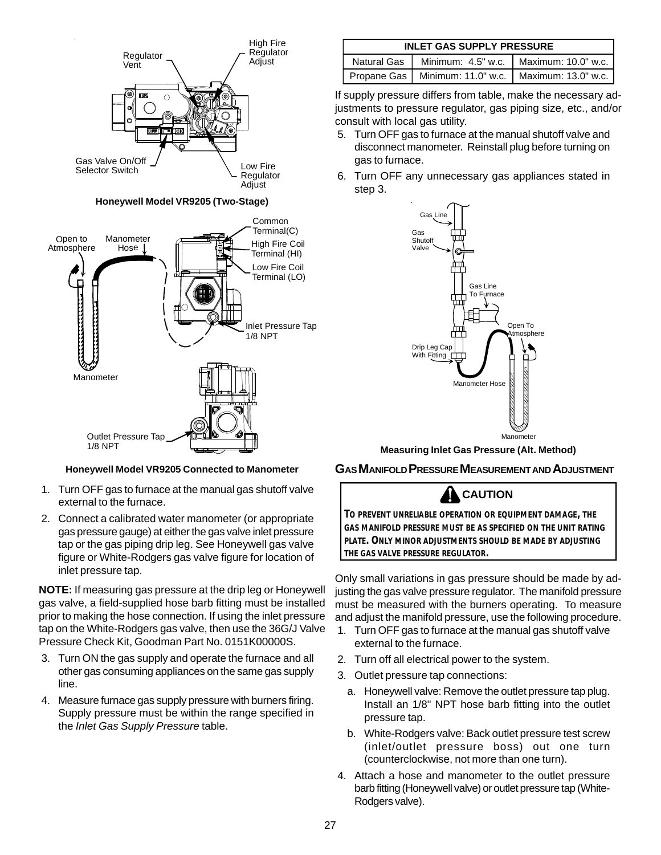



#### **Honeywell Model VR9205 Connected to Manometer**

- 1. Turn OFF gas to furnace at the manual gas shutoff valve external to the furnace.
- 2. Connect a calibrated water manometer (or appropriate gas pressure gauge) at either the gas valve inlet pressure tap or the gas piping drip leg. See Honeywell gas valve figure or White-Rodgers gas valve figure for location of inlet pressure tap.

**NOTE:** If measuring gas pressure at the drip leg or Honeywell gas valve, a field-supplied hose barb fitting must be installed prior to making the hose connection. If using the inlet pressure tap on the White-Rodgers gas valve, then use the 36G/J Valve Pressure Check Kit, Goodman Part No. 0151K00000S.

- 3. Turn ON the gas supply and operate the furnace and all other gas consuming appliances on the same gas supply line.
- 4. Measure furnace gas supply pressure with burners firing. Supply pressure must be within the range specified in the *Inlet Gas Supply Pressure* table.

| <b>INLET GAS SUPPLY PRESSURE</b>                       |                                                         |  |  |  |  |
|--------------------------------------------------------|---------------------------------------------------------|--|--|--|--|
| Natural Gas   Minimum: 4.5" w.c.   Maximum: 10.0" w.c. |                                                         |  |  |  |  |
|                                                        | Propane Gas   Minimum: 11.0" w.c.   Maximum: 13.0" w.c. |  |  |  |  |

If supply pressure differs from table, make the necessary adjustments to pressure regulator, gas piping size, etc., and/or consult with local gas utility.

- 5. Turn OFF gas to furnace at the manual shutoff valve and disconnect manometer. Reinstall plug before turning on gas to furnace.
- 6. Turn OFF any unnecessary gas appliances stated in step 3.



**Measuring Inlet Gas Pressure (Alt. Method)**

### **GAS MANIFOLD PRESSURE MEASUREMENT AND ADJUSTMENT**

# **CAUTION**

**TO PREVENT UNRELIABLE OPERATION OR EQUIPMENT DAMAGE, THE GAS MANIFOLD PRESSURE MUST BE AS SPECIFIED ON THE UNIT RATING PLATE. ONLY MINOR ADJUSTMENTS SHOULD BE MADE BY ADJUSTING THE GAS VALVE PRESSURE REGULATOR.**

Only small variations in gas pressure should be made by adjusting the gas valve pressure regulator. The manifold pressure must be measured with the burners operating. To measure and adjust the manifold pressure, use the following procedure.

- 1. Turn OFF gas to furnace at the manual gas shutoff valve external to the furnace.
- 2. Turn off all electrical power to the system.
- 3. Outlet pressure tap connections:
	- a. Honeywell valve: Remove the outlet pressure tap plug. Install an 1/8" NPT hose barb fitting into the outlet pressure tap.
	- b. White-Rodgers valve: Back outlet pressure test screw (inlet/outlet pressure boss) out one turn (counterclockwise, not more than one turn).
- 4. Attach a hose and manometer to the outlet pressure barb fitting (Honeywell valve) or outlet pressure tap (White-Rodgers valve).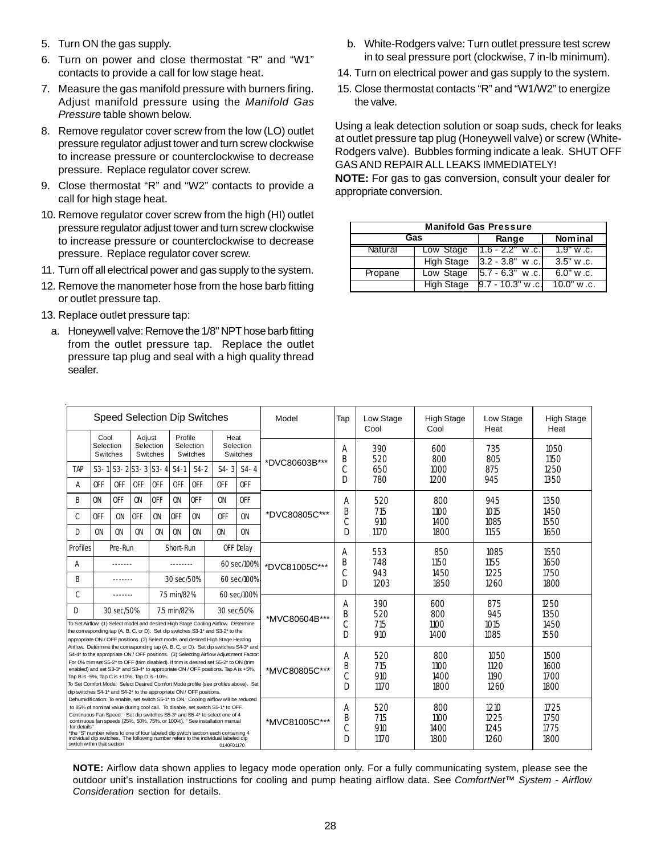- 5. Turn ON the gas supply.
- 6. Turn on power and close thermostat "R" and "W1" contacts to provide a call for low stage heat.
- 7. Measure the gas manifold pressure with burners firing. Adjust manifold pressure using the *Manifold Gas Pressure* table shown below.
- 8. Remove regulator cover screw from the low (LO) outlet pressure regulator adjust tower and turn screw clockwise to increase pressure or counterclockwise to decrease pressure. Replace regulator cover screw.
- 9. Close thermostat "R" and "W2" contacts to provide a call for high stage heat.
- 10. Remove regulator cover screw from the high (HI) outlet pressure regulator adjust tower and turn screw clockwise to increase pressure or counterclockwise to decrease pressure. Replace regulator cover screw.
- 11. Turn off all electrical power and gas supply to the system.
- 12. Remove the manometer hose from the hose barb fitting or outlet pressure tap.
- 13. Replace outlet pressure tap:
- a. Honeywell valve: Remove the 1/8" NPT hose barb fitting from the outlet pressure tap. Replace the outlet pressure tap plug and seal with a high quality thread sealer.
- b. White-Rodgers valve: Turn outlet pressure test screw in to seal pressure port (clockwise, 7 in-lb minimum).
- 14. Turn on electrical power and gas supply to the system.
- 15. Close thermostat contacts "R" and "W1/W2" to energize the valve.

Using a leak detection solution or soap suds, check for leaks at outlet pressure tap plug (Honeywell valve) or screw (White-Rodgers valve). Bubbles forming indicate a leak. SHUT OFF GAS AND REPAIR ALL LEAKS IMMEDIATELY!

**NOTE:** For gas to gas conversion, consult your dealer for appropriate conversion.

| <b>Manifold Gas Pressure</b> |                   |                               |             |  |  |
|------------------------------|-------------------|-------------------------------|-------------|--|--|
|                              | Gas               | Range                         | Nom inal    |  |  |
| Natural                      | Low Stage         | $11.6 - 2.2"$ w.c.            | $1.9"$ w.c. |  |  |
|                              | <b>High Stage</b> | $\overline{3.2} - 3.8$ " w.c. | $3.5"$ w.c. |  |  |
| Propane                      | Low Stage         | $5.7 - 6.3$ " w.c.            | $6.0"$ w.c. |  |  |
|                              | <b>High Stage</b> | $9.7 - 10.3$ " w.c.           | 10.0" w.c.  |  |  |

| <b>Speed Selection Dip Switches</b>                                                                                                                                                                                                                                                                                                                                                                                                                                                                                                                                      |                               |                                                     |           |                       |             |                       |                                                                                                                                                                      |                           | Model                       | Tap                          | Low Stage<br>Cool            | <b>High Stage</b><br>Cool    | Low Stage<br>Heat            | <b>High Stage</b><br>Heat |      |
|--------------------------------------------------------------------------------------------------------------------------------------------------------------------------------------------------------------------------------------------------------------------------------------------------------------------------------------------------------------------------------------------------------------------------------------------------------------------------------------------------------------------------------------------------------------------------|-------------------------------|-----------------------------------------------------|-----------|-----------------------|-------------|-----------------------|----------------------------------------------------------------------------------------------------------------------------------------------------------------------|---------------------------|-----------------------------|------------------------------|------------------------------|------------------------------|------------------------------|---------------------------|------|
|                                                                                                                                                                                                                                                                                                                                                                                                                                                                                                                                                                          | Cool<br>Selection<br>Switches |                                                     | Adjust    | Selection<br>Switches | Profile     | Selection<br>Switches | Heat                                                                                                                                                                 | Selection<br>Switches     |                             | A<br>B                       | 390<br>520                   | 600<br>800                   | 735<br>805                   | 1050<br>1150              |      |
| TAP                                                                                                                                                                                                                                                                                                                                                                                                                                                                                                                                                                      | $S3 - 1$                      | S <sub>3</sub> -2S <sub>3</sub> -3S <sub>3</sub> -4 |           |                       | $S4-1$      | $S4-2$                | $S4 - 3$                                                                                                                                                             | $S4-4$                    | *DVC80603B***               | D                            | 650<br>780                   | 1000<br>1200                 | 875<br>945                   | 1250<br>1350              |      |
| A                                                                                                                                                                                                                                                                                                                                                                                                                                                                                                                                                                        | <b>OFF</b>                    | <b>OFF</b>                                          | OFF       | <b>OFF</b>            | <b>OFF</b>  | <b>OFF</b>            | <b>OFF</b>                                                                                                                                                           | <b>OFF</b>                |                             |                              |                              |                              |                              |                           |      |
| B                                                                                                                                                                                                                                                                                                                                                                                                                                                                                                                                                                        | ON                            | 0FF                                                 | <b>ON</b> | <b>OFF</b>            | ON          | 0FF                   | ON                                                                                                                                                                   | 0FF                       |                             | A                            | 520                          | 800                          | 945                          | 1350                      |      |
| C                                                                                                                                                                                                                                                                                                                                                                                                                                                                                                                                                                        | OFF                           | ON                                                  | OFF       | <b>ON</b>             | 0FF         | ON                    | OFF                                                                                                                                                                  | <b>ON</b>                 | *DVC80805C***               | B                            | 715<br>910                   | 1100<br>1400                 | 1015<br>1085                 | 1450<br>1550              |      |
| D.                                                                                                                                                                                                                                                                                                                                                                                                                                                                                                                                                                       | ON                            | <b>ON</b>                                           | ON        | <b>ON</b>             | ON          | ON                    | <b>ON</b>                                                                                                                                                            | ON                        |                             | D                            | 1170                         | 1800                         | 1155                         | 1650                      |      |
| Profiles                                                                                                                                                                                                                                                                                                                                                                                                                                                                                                                                                                 |                               | Pre-Run                                             |           |                       | Short-Run   |                       |                                                                                                                                                                      | OFF Delay                 | *DVC81005C***               |                              | А                            | 553                          | 850                          | 1085                      | 1550 |
| Α                                                                                                                                                                                                                                                                                                                                                                                                                                                                                                                                                                        |                               | -------                                             |           |                       | .           |                       |                                                                                                                                                                      | 60 sec/100%               |                             | B                            | 748                          | 1150                         | 1155                         | 1650                      |      |
| B                                                                                                                                                                                                                                                                                                                                                                                                                                                                                                                                                                        |                               | -------                                             |           |                       | 30 sec/50%  |                       |                                                                                                                                                                      | 60 sec/100%               |                             | D                            | 943<br>1203                  | 1450<br>1850                 | 1225<br>1260                 | 1750<br>1800              |      |
| C                                                                                                                                                                                                                                                                                                                                                                                                                                                                                                                                                                        |                               | -------                                             |           |                       | 7.5 min/82% |                       |                                                                                                                                                                      | 60 sec/100%               |                             | A                            | 390                          | 600                          | 875                          | 1250                      |      |
| D                                                                                                                                                                                                                                                                                                                                                                                                                                                                                                                                                                        |                               | 30 sec/50%                                          |           |                       | 7.5 min/82% |                       | 30 sec/50%                                                                                                                                                           |                           | *MVC80604B***               | B                            | 520                          | 800                          | 945                          | 1350                      |      |
|                                                                                                                                                                                                                                                                                                                                                                                                                                                                                                                                                                          |                               |                                                     |           |                       |             |                       | To Set Airflow: (1) Select model and desired High Stage Cooling Airflow. Determine<br>the corresponding tap (A, B, C, or D). Set dip switches S3-1* and S3-2* to the |                           |                             | C<br>$\Box$                  | 715<br>910                   | 1100                         | 1015<br>1085                 | 1450                      |      |
|                                                                                                                                                                                                                                                                                                                                                                                                                                                                                                                                                                          |                               |                                                     |           |                       |             |                       | appropriate ON / OFF positions. (2) Select model and desired High Stage Heating                                                                                      |                           |                             |                              |                              | 1400                         |                              | 1550                      |      |
| Airflow. Determine the corresponding tap (A, B, C, or D). Set dip switches S4-3* and<br>S4-4* to the appropriate ON / OFF positions. (3) Selecting Airflow Adjustment Factor:<br>For 0% trim set S5-2* to OFF (trim disabled). If trim is desired set S5-2* to ON (trim<br>enabled) and set S3-3* and S3-4* to appropriate ON / OFF positions. Tap A is +5%,<br>Tap B is -5%, Tap C is +10%, Tap D is -10%.<br>To Set Comfort Mode: Select Desired Comfort Mode profile (see profiles above). Set<br>dip switches S4-1* and S4-2* to the appropriate ON / OFF positions. |                               |                                                     |           |                       |             |                       |                                                                                                                                                                      | *MVC80805C***             | A<br>B<br>D                 | 520<br>715<br>910<br>1170    | 800<br>1100<br>1400<br>1800  | 1050<br>1120<br>1190<br>1260 | 1500<br>1600<br>1700<br>1800 |                           |      |
| Dehumidification: To enable, set switch S5-1* to ON. Cooling airflow will be reduced<br>to 85% of nominal value during cool call. To disable, set switch S5-1* to OFF.<br>Continuous Fan Speed: Set dip switches S5-3* and S5-4* to select one of 4<br>continuous fan speeds (25%, 50%, 75%, or 100%). "See installation manual<br>for details"<br>*the "S" number refers to one of four labeled dip switch section each containing 4<br>individual dip switches. The following number refers to the individual labeled dip<br>switch within that section<br>0140F01170  |                               |                                                     |           |                       |             | *MVC81005C***         | А<br>B<br>D                                                                                                                                                          | 520<br>715<br>910<br>1170 | 800<br>1100<br>1400<br>1800 | 1210<br>1225<br>1245<br>1260 | 1725<br>1750<br>1775<br>1800 |                              |                              |                           |      |

**NOTE:** Airflow data shown applies to legacy mode operation only. For a fully communicating system, please see the outdoor unit's installation instructions for cooling and pump heating airflow data. See *ComfortNet™ System - Airflow Consideration* section for details.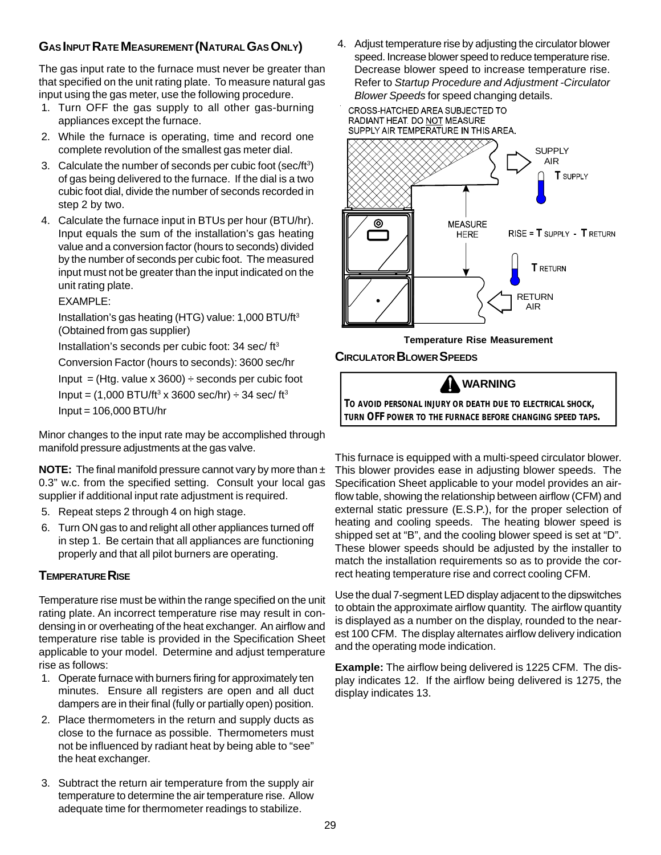# **GAS INPUT RATE MEASUREMENT (NATURAL GAS ONLY)**

The gas input rate to the furnace must never be greater than that specified on the unit rating plate. To measure natural gas input using the gas meter, use the following procedure.

- 1. Turn OFF the gas supply to all other gas-burning appliances except the furnace.
- 2. While the furnace is operating, time and record one complete revolution of the smallest gas meter dial.
- 3. Calculate the number of seconds per cubic foot (sec/ft<sup>3</sup>) of gas being delivered to the furnace. If the dial is a two cubic foot dial, divide the number of seconds recorded in step 2 by two.
- 4. Calculate the furnace input in BTUs per hour (BTU/hr). Input equals the sum of the installation's gas heating value and a conversion factor (hours to seconds) divided by the number of seconds per cubic foot. The measured input must not be greater than the input indicated on the unit rating plate.

EXAMPLE:

Installation's gas heating (HTG) value: 1,000 BTU/ft3 (Obtained from gas supplier)

Installation's seconds per cubic foot: 34 sec/ ft<sup>3</sup>

Conversion Factor (hours to seconds): 3600 sec/hr

Input = (Htg. value x 3600)  $\div$  seconds per cubic foot

 $Input = (1,000 BTU/ft<sup>3</sup> × 3600 sec/hr) ÷ 34 sec/ft<sup>3</sup>$ 

Input = 106,000 BTU/hr

Minor changes to the input rate may be accomplished through manifold pressure adjustments at the gas valve.

**NOTE:** The final manifold pressure cannot vary by more than  $\pm$ 0.3" w.c. from the specified setting. Consult your local gas supplier if additional input rate adjustment is required.

- 5. Repeat steps 2 through 4 on high stage.
- 6. Turn ON gas to and relight all other appliances turned off in step 1. Be certain that all appliances are functioning properly and that all pilot burners are operating.

### **TEMPERATURE RISE**

Temperature rise must be within the range specified on the unit rating plate. An incorrect temperature rise may result in condensing in or overheating of the heat exchanger. An airflow and temperature rise table is provided in the Specification Sheet applicable to your model. Determine and adjust temperature rise as follows:

- 1. Operate furnace with burners firing for approximately ten minutes. Ensure all registers are open and all duct dampers are in their final (fully or partially open) position.
- 2. Place thermometers in the return and supply ducts as close to the furnace as possible. Thermometers must not be influenced by radiant heat by being able to "see" the heat exchanger.
- 3. Subtract the return air temperature from the supply air temperature to determine the air temperature rise. Allow adequate time for thermometer readings to stabilize.

4. Adjust temperature rise by adjusting the circulator blower speed. Increase blower speed to reduce temperature rise. Decrease blower speed to increase temperature rise. Refer to *Startup Procedure and Adjustment -Circulator Blower Speeds* for speed changing details.





**CIRCULATOR BLOWER SPEEDS**



This furnace is equipped with a multi-speed circulator blower. This blower provides ease in adjusting blower speeds. The Specification Sheet applicable to your model provides an airflow table, showing the relationship between airflow (CFM) and external static pressure (E.S.P.), for the proper selection of heating and cooling speeds. The heating blower speed is shipped set at "B", and the cooling blower speed is set at "D". These blower speeds should be adjusted by the installer to match the installation requirements so as to provide the correct heating temperature rise and correct cooling CFM.

Use the dual 7-segment LED display adjacent to the dipswitches to obtain the approximate airflow quantity. The airflow quantity is displayed as a number on the display, rounded to the nearest 100 CFM. The display alternates airflow delivery indication and the operating mode indication.

**Example:** The airflow being delivered is 1225 CFM. The display indicates 12. If the airflow being delivered is 1275, the display indicates 13.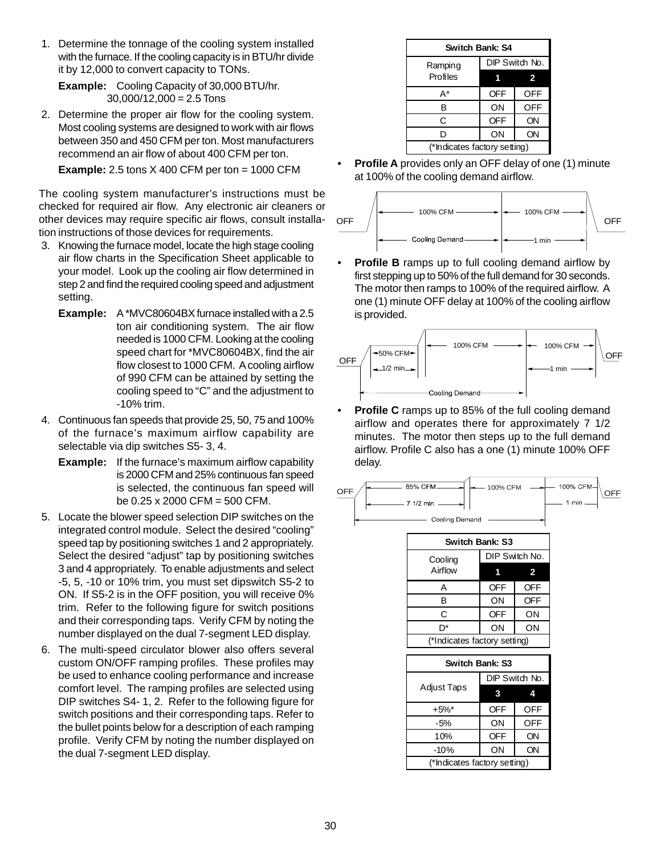1. Determine the tonnage of the cooling system installed with the furnace. If the cooling capacity is in BTU/hr divide it by 12,000 to convert capacity to TONs.

**Example:** Cooling Capacity of 30,000 BTU/hr.  $30,000/12,000 = 2.5$  Tons

2. Determine the proper air flow for the cooling system. Most cooling systems are designed to work with air flows between 350 and 450 CFM per ton. Most manufacturers recommend an air flow of about 400 CFM per ton.

**Example:** 2.5 tons X 400 CFM per ton = 1000 CFM

The cooling system manufacturer's instructions must be checked for required air flow. Any electronic air cleaners or other devices may require specific air flows, consult installation instructions of those devices for requirements.

- 3. Knowing the furnace model, locate the high stage cooling air flow charts in the Specification Sheet applicable to your model. Look up the cooling air flow determined in step 2 and find the required cooling speed and adjustment setting.
	- **Example:** A \*MVC80604BX furnace installed with a 2.5 ton air conditioning system. The air flow needed is 1000 CFM. Looking at the cooling speed chart for \*MVC80604BX, find the air flow closest to 1000 CFM. A cooling airflow of 990 CFM can be attained by setting the cooling speed to "C" and the adjustment to -10% trim.
- 4. Continuous fan speeds that provide 25, 50, 75 and 100% of the furnace's maximum airflow capability are selectable via dip switches S5- 3, 4.
	- **Example:** If the furnace's maximum airflow capability is 2000 CFM and 25% continuous fan speed is selected, the continuous fan speed will be  $0.25 \times 2000$  CFM = 500 CFM.
- 5. Locate the blower speed selection DIP switches on the integrated control module. Select the desired "cooling" speed tap by positioning switches 1 and 2 appropriately. Select the desired "adjust" tap by positioning switches 3 and 4 appropriately. To enable adjustments and select -5, 5, -10 or 10% trim, you must set dipswitch S5-2 to ON. If S5-2 is in the OFF position, you will receive 0% trim. Refer to the following figure for switch positions and their corresponding taps. Verify CFM by noting the number displayed on the dual 7-segment LED display.
- 6. The multi-speed circulator blower also offers several custom ON/OFF ramping profiles. These profiles may be used to enhance cooling performance and increase comfort level. The ramping profiles are selected using DIP switches S4- 1, 2. Refer to the following figure for switch positions and their corresponding taps. Refer to the bullet points below for a description of each ramping profile. Verify CFM by noting the number displayed on the dual 7-segment LED display.

| Switch Bank: S4              |                |            |  |  |  |
|------------------------------|----------------|------------|--|--|--|
| Ramping<br>Profiles          | DIP Switch No. |            |  |  |  |
|                              |                | 2          |  |  |  |
| A*                           | <b>OFF</b>     | OFF        |  |  |  |
| в                            | ΟN             | <b>OFF</b> |  |  |  |
| С                            | <b>OFF</b>     | ON         |  |  |  |
| D                            | ΟN             | ON         |  |  |  |
| (*Indicates factory setting) |                |            |  |  |  |

**Profile A** provides only an OFF delay of one (1) minute at 100% of the cooling demand airflow.



**Profile B** ramps up to full cooling demand airflow by first stepping up to 50% of the full demand for 30 seconds. The motor then ramps to 100% of the required airflow. A one (1) minute OFF delay at 100% of the cooling airflow is provided.



**Profile C** ramps up to 85% of the full cooling demand airflow and operates there for approximately 7 1/2 minutes. The motor then steps up to the full demand airflow. Profile C also has a one (1) minute 100% OFF delay.



| Switch Bank: S3 |                              |            |  |  |  |  |
|-----------------|------------------------------|------------|--|--|--|--|
| Cooling         | DIP Switch No.               |            |  |  |  |  |
| Airflow         | 1                            | 2          |  |  |  |  |
| Α               | OFF                          | OFF        |  |  |  |  |
| в               | OΝ                           | OFF        |  |  |  |  |
| С               | <b>OFF</b>                   | ON         |  |  |  |  |
| D*              | ΟN                           | ΟN         |  |  |  |  |
|                 | (*Indicates factory setting) |            |  |  |  |  |
|                 | Switch Bank: S3              |            |  |  |  |  |
|                 | DIP Switch No.               |            |  |  |  |  |
| Adjust Taps     | 3                            | 4          |  |  |  |  |
|                 |                              |            |  |  |  |  |
| $+5\%$ *        | <b>OFF</b>                   | <b>OFF</b> |  |  |  |  |
| -5%             | ΟN                           | OFF        |  |  |  |  |
| 10%             | <b>OFF</b>                   | ON         |  |  |  |  |
| $-10%$          | ΟN                           | ON         |  |  |  |  |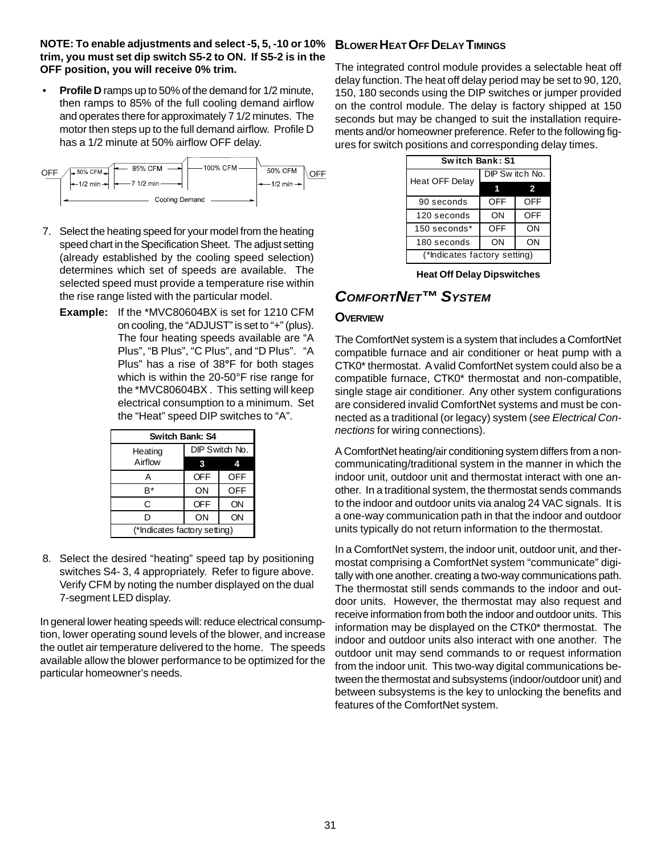**NOTE: To enable adjustments and select -5, 5, -10 or 10% trim, you must set dip switch S5-2 to ON. If S5-2 is in the OFF position, you will receive 0% trim.**

**Profile D** ramps up to 50% of the demand for 1/2 minute, then ramps to 85% of the full cooling demand airflow and operates there for approximately 7 1/2 minutes. The motor then steps up to the full demand airflow. Profile D has a 1/2 minute at 50% airflow OFF delay.



- 7. Select the heating speed for your model from the heating speed chart in the Specification Sheet. The adjust setting (already established by the cooling speed selection) determines which set of speeds are available. The selected speed must provide a temperature rise within the rise range listed with the particular model.
	- **Example:** If the \*MVC80604BX is set for 1210 CFM on cooling, the "ADJUST" is set to "+" (plus). The four heating speeds available are "A Plus", "B Plus", "C Plus", and "D Plus". "A Plus" has a rise of 38**°**F for both stages which is within the 20-50°F rise range for the \*MVC80604BX . This setting will keep electrical consumption to a minimum. Set the "Heat" speed DIP switches to "A".

| Switch Bank: S4              |            |                |  |  |  |
|------------------------------|------------|----------------|--|--|--|
| Heating                      |            | DIP Switch No. |  |  |  |
| Airflow                      | 3          |                |  |  |  |
| А                            | <b>OFF</b> | <b>OFF</b>     |  |  |  |
| B*                           | ΟN         | OFF            |  |  |  |
| С                            | <b>OFF</b> | ΟN             |  |  |  |
| D                            | ON         | ΟN             |  |  |  |
| (*Indicates factory setting) |            |                |  |  |  |

8. Select the desired "heating" speed tap by positioning switches S4- 3, 4 appropriately. Refer to figure above. Verify CFM by noting the number displayed on the dual 7-segment LED display.

In general lower heating speeds will: reduce electrical consumption, lower operating sound levels of the blower, and increase the outlet air temperature delivered to the home. The speeds available allow the blower performance to be optimized for the particular homeowner's needs.

# **BLOWER HEAT OFF DELAY TIMINGS**

The integrated control module provides a selectable heat off delay function. The heat off delay period may be set to 90, 120, 150, 180 seconds using the DIP switches or jumper provided on the control module. The delay is factory shipped at 150 seconds but may be changed to suit the installation requirements and/or homeowner preference. Refer to the following figures for switch positions and corresponding delay times.

| Switch Bank: S1              |     |                         |  |  |  |
|------------------------------|-----|-------------------------|--|--|--|
| <b>Heat OFF Delay</b>        |     | DIP Sw itch No.         |  |  |  |
|                              |     | $\overline{\mathbf{c}}$ |  |  |  |
| 90 seconds                   | OFF | OFF                     |  |  |  |
| 120 seconds                  | ΟN  | <b>OFF</b>              |  |  |  |
| 150 seconds*                 | OFF | ON                      |  |  |  |
| 180 seconds                  | ΟN  | ΟN                      |  |  |  |
| (*Indicates factory setting) |     |                         |  |  |  |

**Heat Off Delay Dipswitches**

# *COMFORTNET™ SYSTEM*

### **OVERVIEW**

The ComfortNet system is a system that includes a ComfortNet compatible furnace and air conditioner or heat pump with a CTK0\* thermostat. A valid ComfortNet system could also be a compatible furnace, CTK0\* thermostat and non-compatible, single stage air conditioner. Any other system configurations are considered invalid ComfortNet systems and must be connected as a traditional (or legacy) system (*see Electrical Connections* for wiring connections).

A ComfortNet heating/air conditioning system differs from a noncommunicating/traditional system in the manner in which the indoor unit, outdoor unit and thermostat interact with one another. In a traditional system, the thermostat sends commands to the indoor and outdoor units via analog 24 VAC signals. It is a one-way communication path in that the indoor and outdoor units typically do not return information to the thermostat.

In a ComfortNet system, the indoor unit, outdoor unit, and thermostat comprising a ComfortNet system "communicate" digitally with one another. creating a two-way communications path. The thermostat still sends commands to the indoor and outdoor units. However, the thermostat may also request and receive information from both the indoor and outdoor units. This information may be displayed on the CTK0\* thermostat. The indoor and outdoor units also interact with one another. The outdoor unit may send commands to or request information from the indoor unit. This two-way digital communications between the thermostat and subsystems (indoor/outdoor unit) and between subsystems is the key to unlocking the benefits and features of the ComfortNet system.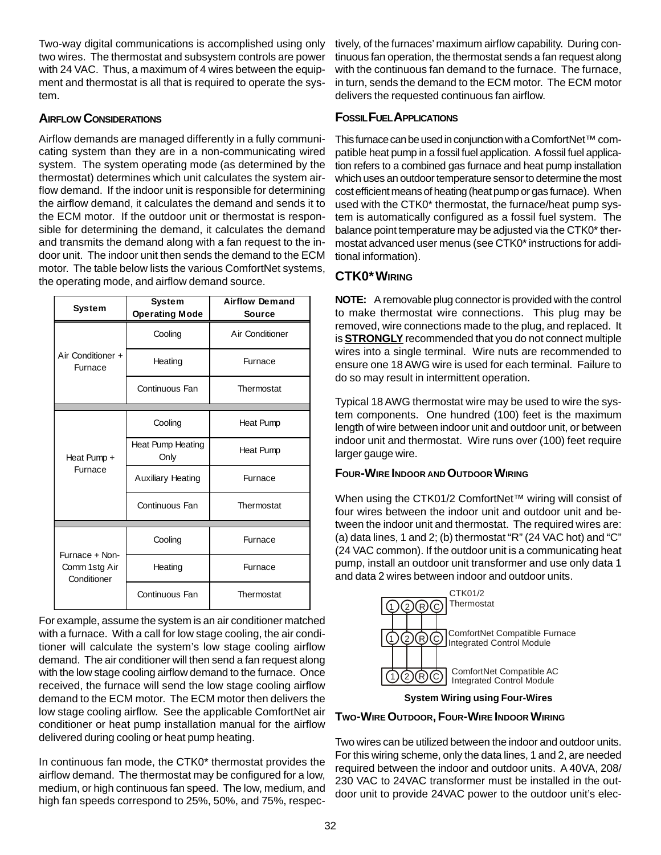Two-way digital communications is accomplished using only two wires. The thermostat and subsystem controls are power with 24 VAC. Thus, a maximum of 4 wires between the equipment and thermostat is all that is required to operate the system.

# **AIRFLOW CONSIDERATIONS**

Airflow demands are managed differently in a fully communicating system than they are in a non-communicating wired system. The system operating mode (as determined by the thermostat) determines which unit calculates the system airflow demand. If the indoor unit is responsible for determining the airflow demand, it calculates the demand and sends it to the ECM motor. If the outdoor unit or thermostat is responsible for determining the demand, it calculates the demand and transmits the demand along with a fan request to the indoor unit. The indoor unit then sends the demand to the ECM motor. The table below lists the various ComfortNet systems, the operating mode, and airflow demand source.

| <b>System</b>                                  | <b>System</b><br><b>Operating Mode</b> | <b>Airflow Demand</b><br><b>Source</b> |
|------------------------------------------------|----------------------------------------|----------------------------------------|
|                                                | Cooling                                | Air Conditioner                        |
| Air Conditioner +<br>Furnace                   | Heating                                | Furnace                                |
|                                                | Continuous Fan                         | Thermostat                             |
|                                                |                                        |                                        |
|                                                | Cooling                                | <b>Heat Pump</b>                       |
| Heat Pump +                                    | Heat Pump Heating<br>Only              | <b>Heat Pump</b>                       |
| Furnace                                        | <b>Auxiliary Heating</b>               | Furnace                                |
|                                                | Continuous Fan                         | Thermostat                             |
|                                                |                                        |                                        |
|                                                | Cooling                                | Furnace                                |
| Furnace + Non-<br>Comm 1stg Air<br>Conditioner | Heating                                | Furnace                                |
|                                                | Continuous Fan                         | Thermostat                             |

For example, assume the system is an air conditioner matched with a furnace. With a call for low stage cooling, the air conditioner will calculate the system's low stage cooling airflow demand. The air conditioner will then send a fan request along with the low stage cooling airflow demand to the furnace. Once received, the furnace will send the low stage cooling airflow demand to the ECM motor. The ECM motor then delivers the low stage cooling airflow. See the applicable ComfortNet air conditioner or heat pump installation manual for the airflow delivered during cooling or heat pump heating.

In continuous fan mode, the CTK0\* thermostat provides the airflow demand. The thermostat may be configured for a low, medium, or high continuous fan speed. The low, medium, and high fan speeds correspond to 25%, 50%, and 75%, respec-

tively, of the furnaces' maximum airflow capability. During continuous fan operation, the thermostat sends a fan request along with the continuous fan demand to the furnace. The furnace, in turn, sends the demand to the ECM motor. The ECM motor delivers the requested continuous fan airflow.

### **FOSSIL FUEL APPLICATIONS**

This furnace can be used in conjunction with a ComfortNet™ compatible heat pump in a fossil fuel application. A fossil fuel application refers to a combined gas furnace and heat pump installation which uses an outdoor temperature sensor to determine the most cost efficient means of heating (heat pump or gas furnace). When used with the CTK0\* thermostat, the furnace/heat pump system is automatically configured as a fossil fuel system. The balance point temperature may be adjusted via the CTK0\* thermostat advanced user menus (see CTK0\* instructions for additional information).

# **CTK0\* WIRING**

**NOTE:** A removable plug connector is provided with the control to make thermostat wire connections. This plug may be removed, wire connections made to the plug, and replaced. It is **STRONGLY** recommended that you do not connect multiple wires into a single terminal. Wire nuts are recommended to ensure one 18 AWG wire is used for each terminal. Failure to do so may result in intermittent operation.

Typical 18 AWG thermostat wire may be used to wire the system components. One hundred (100) feet is the maximum length of wire between indoor unit and outdoor unit, or between indoor unit and thermostat. Wire runs over (100) feet require larger gauge wire.

### **FOUR-WIRE INDOOR AND OUTDOOR WIRING**

When using the CTK01/2 ComfortNet<sup>™</sup> wiring will consist of four wires between the indoor unit and outdoor unit and between the indoor unit and thermostat. The required wires are: (a) data lines, 1 and 2; (b) thermostat "R" (24 VAC hot) and "C" (24 VAC common). If the outdoor unit is a communicating heat pump, install an outdoor unit transformer and use only data 1 and data 2 wires between indoor and outdoor units.



**TWO-WIRE OUTDOOR, FOUR-WIRE INDOOR WIRING**

Two wires can be utilized between the indoor and outdoor units. For this wiring scheme, only the data lines, 1 and 2, are needed required between the indoor and outdoor units. A 40VA, 208/ 230 VAC to 24VAC transformer must be installed in the outdoor unit to provide 24VAC power to the outdoor unit's elec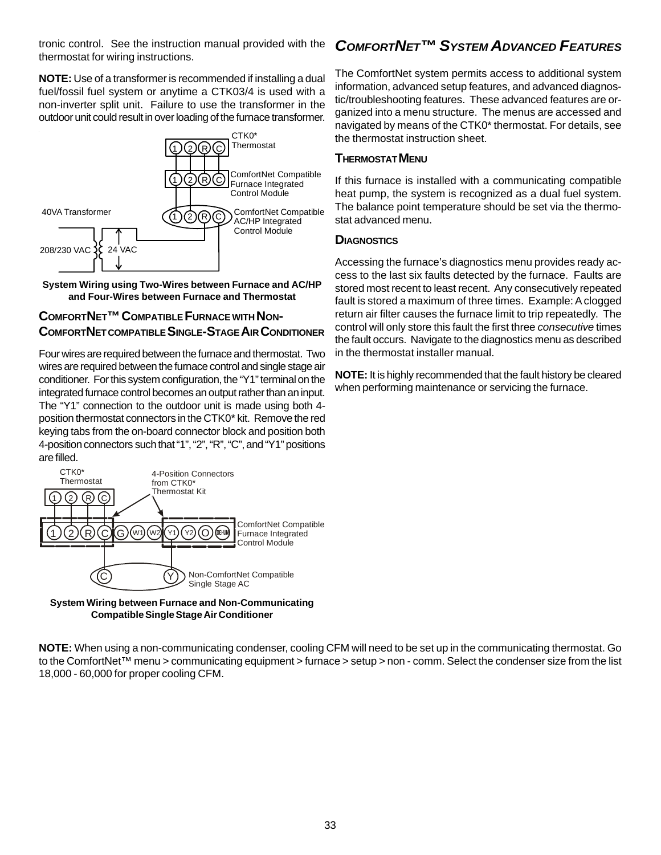tronic control. See the instruction manual provided with the thermostat for wiring instructions.

**NOTE:** Use of a transformer is recommended if installing a dual fuel/fossil fuel system or anytime a CTK03/4 is used with a non-inverter split unit. Failure to use the transformer in the outdoor unit could result in over loading of the furnace transformer.



#### **System Wiring using Two-Wires between Furnace and AC/HP and Four-Wires between Furnace and Thermostat**

# **COMFORTNET™ COMPATIBLE FURNACE WITH NON-COMFORTNETCOMPATIBLE SINGLE-STAGE AIR CONDITIONER**

Four wires are required between the furnace and thermostat. Two wires are required between the furnace control and single stage air conditioner. For this system configuration, the "Y1" terminal on the integrated furnace control becomes an output rather than an input. The "Y1" connection to the outdoor unit is made using both 4 position thermostat connectors in the CTK0\* kit. Remove the red keying tabs from the on-board connector block and position both 4-position connectors such that "1", "2", "R", "C", and "Y1" positions are filled.



**System Wiring between Furnace and Non-Communicating Compatible Single Stage Air Conditioner**

**NOTE:** When using a non-communicating condenser, cooling CFM will need to be set up in the communicating thermostat. Go to the ComfortNet™ menu > communicating equipment > furnace > setup > non - comm. Select the condenser size from the list 18,000 - 60,000 for proper cooling CFM.

# *COMFORTNET™ SYSTEM ADVANCED FEATURES*

The ComfortNet system permits access to additional system information, advanced setup features, and advanced diagnostic/troubleshooting features. These advanced features are organized into a menu structure. The menus are accessed and navigated by means of the CTK0\* thermostat. For details, see the thermostat instruction sheet.

# **THERMOSTAT MENU**

If this furnace is installed with a communicating compatible heat pump, the system is recognized as a dual fuel system. The balance point temperature should be set via the thermostat advanced menu.

# **DIAGNOSTICS**

Accessing the furnace's diagnostics menu provides ready access to the last six faults detected by the furnace. Faults are stored most recent to least recent. Any consecutively repeated fault is stored a maximum of three times. Example: A clogged return air filter causes the furnace limit to trip repeatedly. The control will only store this fault the first three *consecutive* times the fault occurs. Navigate to the diagnostics menu as described in the thermostat installer manual.

**NOTE:** It is highly recommended that the fault history be cleared when performing maintenance or servicing the furnace.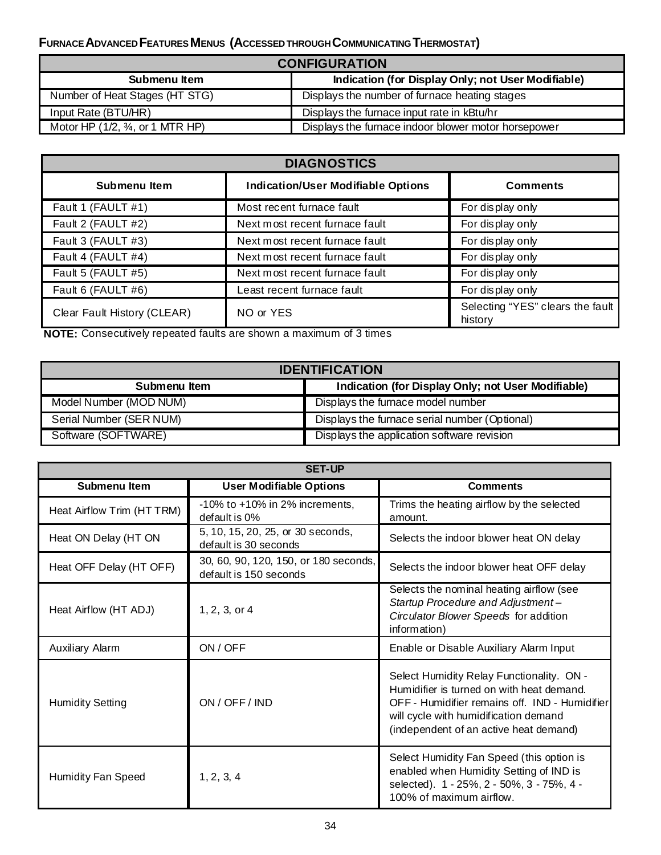# **FURNACE ADVANCED FEATURES MENUS (ACCESSED THROUGH COMMUNICATING THERMOSTAT)**

| <b>CONFIGURATION</b>                                                                      |                                               |  |  |  |
|-------------------------------------------------------------------------------------------|-----------------------------------------------|--|--|--|
| Indication (for Display Only; not User Modifiable)<br>Submenu Item                        |                                               |  |  |  |
| Number of Heat Stages (HT STG)                                                            | Displays the number of furnace heating stages |  |  |  |
| Input Rate (BTU/HR)                                                                       | Displays the furnace input rate in kBtu/hr    |  |  |  |
| Motor HP $(1/2, 3/4,$ or 1 MTR HP)<br>Displays the furnace indoor blower motor horsepower |                                               |  |  |  |

| <b>DIAGNOSTICS</b>          |                                           |                                             |  |  |
|-----------------------------|-------------------------------------------|---------------------------------------------|--|--|
| Submenu Item                | <b>Indication/User Modifiable Options</b> | <b>Comments</b>                             |  |  |
| Fault 1 (FAULT #1)          | Most recent furnace fault                 | For display only                            |  |  |
| Fault 2 (FAULT #2)          | Next most recent furnace fault            | For display only                            |  |  |
| Fault 3 (FAULT #3)          | Next most recent furnace fault            | For display only                            |  |  |
| Fault 4 (FAULT #4)          | Next most recent furnace fault            | For display only                            |  |  |
| Fault 5 (FAULT #5)          | Next most recent furnace fault            | For display only                            |  |  |
| Fault 6 (FAULT #6)          | Least recent furnace fault                | For display only                            |  |  |
| Clear Fault History (CLEAR) | NO or YES                                 | Selecting "YES" clears the fault<br>history |  |  |

**NOTE:** Consecutively repeated faults are shown a maximum of 3 times

| <b>IDENTIFICATION</b>   |                                                    |  |  |  |
|-------------------------|----------------------------------------------------|--|--|--|
| Submenu Item            | Indication (for Display Only; not User Modifiable) |  |  |  |
| Model Number (MOD NUM)  | Displays the furnace model number                  |  |  |  |
| Serial Number (SER NUM) | Displays the furnace serial number (Optional)      |  |  |  |
| Software (SOFTWARE)     | Displays the application software revision         |  |  |  |

|                           | <b>SET-UP</b>                                                   |                                                                                                                                                                                                                             |  |  |  |  |  |  |  |  |  |
|---------------------------|-----------------------------------------------------------------|-----------------------------------------------------------------------------------------------------------------------------------------------------------------------------------------------------------------------------|--|--|--|--|--|--|--|--|--|
| Submenu Item              | <b>User Modifiable Options</b>                                  | <b>Comments</b>                                                                                                                                                                                                             |  |  |  |  |  |  |  |  |  |
| Heat Airflow Trim (HTTRM) | $-10\%$ to $+10\%$ in 2% increments,<br>default is 0%           | Trims the heating airflow by the selected<br>amount.                                                                                                                                                                        |  |  |  |  |  |  |  |  |  |
| Heat ON Delay (HT ON      | 5, 10, 15, 20, 25, or 30 seconds,<br>default is 30 seconds      | Selects the indoor blower heat ON delay                                                                                                                                                                                     |  |  |  |  |  |  |  |  |  |
| Heat OFF Delay (HT OFF)   | 30, 60, 90, 120, 150, or 180 seconds,<br>default is 150 seconds | Selects the indoor blower heat OFF delay                                                                                                                                                                                    |  |  |  |  |  |  |  |  |  |
| Heat Airflow (HT ADJ)     | 1, 2, 3, or 4                                                   | Selects the nominal heating airflow (see<br>Startup Procedure and Adjustment-<br>Circulator Blower Speeds for addition<br>information)                                                                                      |  |  |  |  |  |  |  |  |  |
| <b>Auxiliary Alarm</b>    | ON / OFF                                                        | Enable or Disable Auxiliary Alarm Input                                                                                                                                                                                     |  |  |  |  |  |  |  |  |  |
| <b>Humidity Setting</b>   | ON / OFF / IND                                                  | Select Humidity Relay Functionality. ON -<br>Humidifier is turned on with heat demand.<br>OFF - Humidifier remains off. IND - Humidifier<br>will cycle with humidification demand<br>(independent of an active heat demand) |  |  |  |  |  |  |  |  |  |
| Humidity Fan Speed        | 1, 2, 3, 4                                                      | Select Humidity Fan Speed (this option is<br>enabled when Humidity Setting of IND is<br>selected). 1 - 25%, 2 - 50%, 3 - 75%, 4 -<br>100% of maximum airflow.                                                               |  |  |  |  |  |  |  |  |  |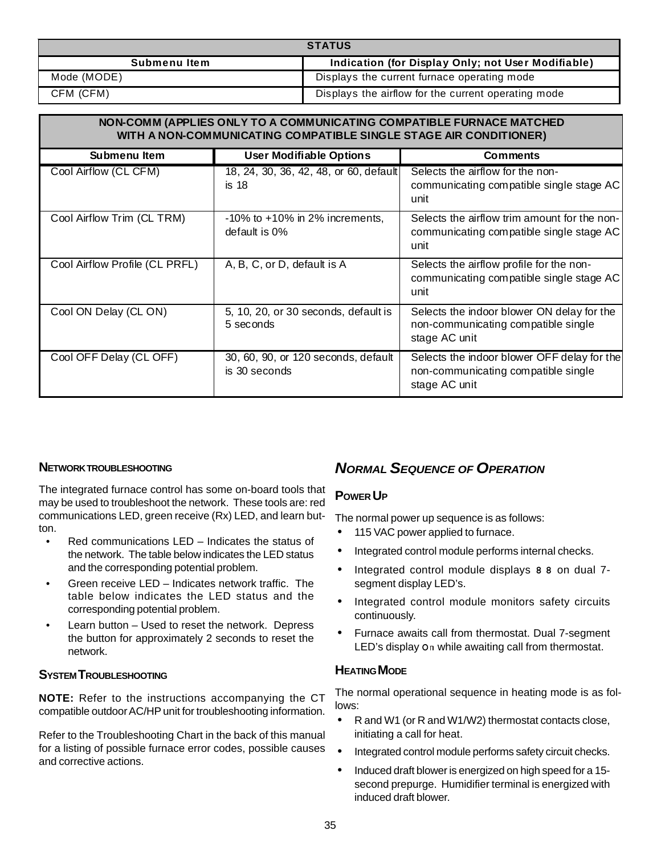| <b>STATUS</b> |                                                     |  |  |  |  |  |  |
|---------------|-----------------------------------------------------|--|--|--|--|--|--|
| Submenu Item  | Indication (for Display Only; not User Modifiable)  |  |  |  |  |  |  |
| Mode (MODE)   | Displays the current furnace operating mode         |  |  |  |  |  |  |
| CFM (CFM)     | Displays the airflow for the current operating mode |  |  |  |  |  |  |

#### **Submenu Item User Modifiable Options Comments** Cool Airflow (CL CFM) 18, 24, 30, 36, 42, 48, or 60, default is 18 Selects the airflow for the noncommunicating compatible single stage AC unit **NON-COMM (APPLIES ONLY TO A COMMUNICATING COMPATIBLE FURNACE MATCHED WITH A NON-COMMUNICATING COMPATIBLE SINGLE STAGE AIR CONDITIONER)**

| Cool Airflow Trim (CL TRM)     | $-10\%$ to $+10\%$ in 2% increments,<br>default is 0% | Selects the airflow trim amount for the non-<br>communicating compatible single stage AC<br>unit    |
|--------------------------------|-------------------------------------------------------|-----------------------------------------------------------------------------------------------------|
| Cool Airflow Profile (CL PRFL) | A, B, C, or D, default is A                           | Selects the airflow profile for the non-<br>communicating compatible single stage AC<br>unit        |
| Cool ON Delay (CL ON)          | 5, 10, 20, or 30 seconds, default is<br>5 seconds     | Selects the indoor blower ON delay for the<br>non-communicating compatible single<br>stage AC unit  |
| Cool OFF Delay (CL OFF)        | 30, 60, 90, or 120 seconds, default<br>is 30 seconds  | Selects the indoor blower OFF delay for the<br>non-communicating compatible single<br>stage AC unit |

### **NETWORKTROUBLESHOOTING**

The integrated furnace control has some on-board tools that may be used to troubleshoot the network. These tools are: red communications LED, green receive (Rx) LED, and learn button.

- Red communications LED Indicates the status of the network. The table below indicates the LED status and the corresponding potential problem.
- Green receive LED Indicates network traffic. The table below indicates the LED status and the corresponding potential problem.
- Learn button Used to reset the network. Depress the button for approximately 2 seconds to reset the network.

### **SYSTEM TROUBLESHOOTING**

**NOTE:** Refer to the instructions accompanying the CT compatible outdoor AC/HP unit for troubleshooting information.

Refer to the Troubleshooting Chart in the back of this manual for a listing of possible furnace error codes, possible causes and corrective actions.

# *NORMAL SEQUENCE OF OPERATION*

### **POWER UP**

The normal power up sequence is as follows:

- 115 VAC power applied to furnace.
- Integrated control module performs internal checks.
- Integrated control module displays **8 8** on dual 7 segment display LED's.
- Integrated control module monitors safety circuits continuously.
- Furnace awaits call from thermostat. Dual 7-segment LED's display **O** while awaiting call from thermostat.

### **HEATING MODE**

The normal operational sequence in heating mode is as follows:

- R and W1 (or R and W1/W2) thermostat contacts close, initiating a call for heat.
- Integrated control module performs safety circuit checks.
- Induced draft blower is energized on high speed for a 15 second prepurge. Humidifier terminal is energized with induced draft blower.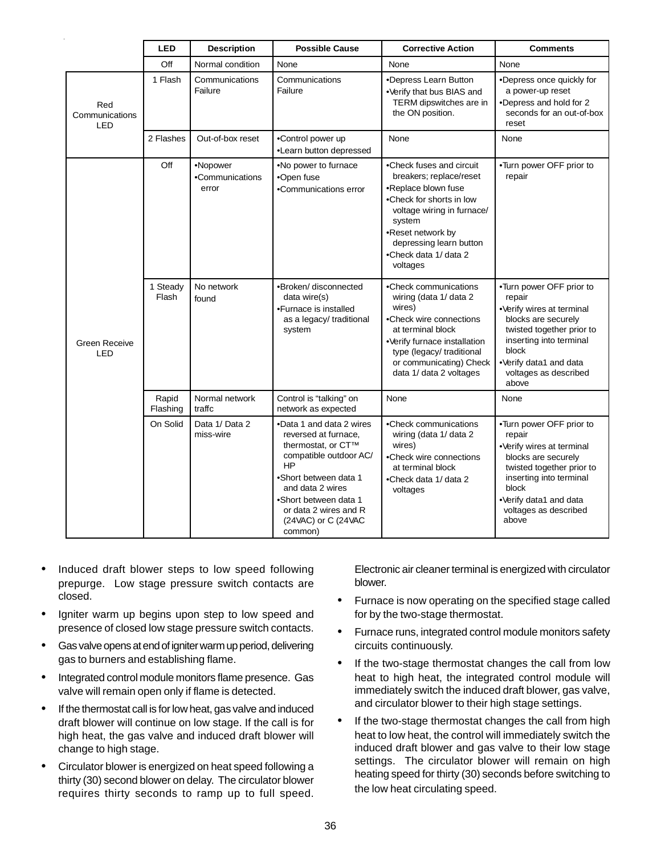|                              | <b>LED</b>                                  | <b>Description</b>          | <b>Possible Cause</b>                                                                                                                                                                                                                   | <b>Corrective Action</b>                                                                                                                                                                                                            | <b>Comments</b>                                                                                                                                                                                                     |
|------------------------------|---------------------------------------------|-----------------------------|-----------------------------------------------------------------------------------------------------------------------------------------------------------------------------------------------------------------------------------------|-------------------------------------------------------------------------------------------------------------------------------------------------------------------------------------------------------------------------------------|---------------------------------------------------------------------------------------------------------------------------------------------------------------------------------------------------------------------|
|                              | Off                                         | Normal condition            | None                                                                                                                                                                                                                                    | None                                                                                                                                                                                                                                | None                                                                                                                                                                                                                |
| Red<br>Communications<br>LED | 1 Flash                                     | Communications<br>Failure   | Communications<br>Failure                                                                                                                                                                                                               | •Depress Learn Button<br>•Verify that bus BIAS and<br>TERM dipswitches are in<br>the ON position.                                                                                                                                   | •Depress once quickly for<br>a power-up reset<br>•Depress and hold for 2<br>seconds for an out-of-box<br>reset                                                                                                      |
|                              | 2 Flashes                                   | Out-of-box reset            | •Control power up<br>•Learn button depressed                                                                                                                                                                                            | None                                                                                                                                                                                                                                | None                                                                                                                                                                                                                |
|                              | Off<br>•Nopower<br>•Communications<br>error |                             | .No power to furnace<br>•Open fuse<br>•Communications error                                                                                                                                                                             | •Check fuses and circuit<br>breakers; replace/reset<br>•Replace blown fuse<br>•Check for shorts in low<br>voltage wiring in furnace/<br>system<br>•Reset network by<br>depressing learn button<br>•Check data 1/ data 2<br>voltages | •Turn power OFF prior to<br>repair                                                                                                                                                                                  |
| Green Receive<br>LED         | 1 Steady<br>Flash                           | No network<br>found         | •Broken/ disconnected<br>data wire(s)<br>•Furnace is installed<br>as a legacy/ traditional<br>system                                                                                                                                    | •Check communications<br>wiring (data 1/ data 2<br>wires)<br>•Check wire connections<br>at terminal block<br>•Verify furnace installation<br>type (legacy/traditional<br>or communicating) Check<br>data 1/ data 2 voltages         | •Turn power OFF prior to<br>repair<br>·Verify wires at terminal<br>blocks are securely<br>twisted together prior to<br>inserting into terminal<br>block<br>·Verify data1 and data<br>voltages as described<br>above |
|                              | Rapid<br>Flashing                           | Normal network<br>traffc    | Control is "talking" on<br>network as expected                                                                                                                                                                                          | None                                                                                                                                                                                                                                | None                                                                                                                                                                                                                |
|                              | On Solid                                    | Data 1/ Data 2<br>miss-wire | •Data 1 and data 2 wires<br>reversed at furnace,<br>thermostat, or CT™<br>compatible outdoor AC/<br>HP<br>•Short between data 1<br>and data 2 wires<br>•Short between data 1<br>or data 2 wires and R<br>(24VAC) or C (24VAC<br>common) | •Check communications<br>wiring (data 1/ data 2<br>wires)<br>•Check wire connections<br>at terminal block<br>•Check data 1/ data 2<br>voltages                                                                                      | •Turn power OFF prior to<br>repair<br>•Verify wires at terminal<br>blocks are securely<br>twisted together prior to<br>inserting into terminal<br>block<br>·Verify data1 and data<br>voltages as described<br>above |

- Induced draft blower steps to low speed following prepurge. Low stage pressure switch contacts are closed.
- Igniter warm up begins upon step to low speed and presence of closed low stage pressure switch contacts.
- Gas valve opens at end of igniter warm up period, delivering gas to burners and establishing flame.
- Integrated control module monitors flame presence. Gas valve will remain open only if flame is detected.
- If the thermostat call is for low heat, gas valve and induced draft blower will continue on low stage. If the call is for high heat, the gas valve and induced draft blower will change to high stage.
- Circulator blower is energized on heat speed following a thirty (30) second blower on delay. The circulator blower requires thirty seconds to ramp up to full speed.

Electronic air cleaner terminal is energized with circulator blower.

- Furnace is now operating on the specified stage called for by the two-stage thermostat.
- Furnace runs, integrated control module monitors safety circuits continuously.
- If the two-stage thermostat changes the call from low heat to high heat, the integrated control module will immediately switch the induced draft blower, gas valve, and circulator blower to their high stage settings.
- If the two-stage thermostat changes the call from high heat to low heat, the control will immediately switch the induced draft blower and gas valve to their low stage settings. The circulator blower will remain on high heating speed for thirty (30) seconds before switching to the low heat circulating speed.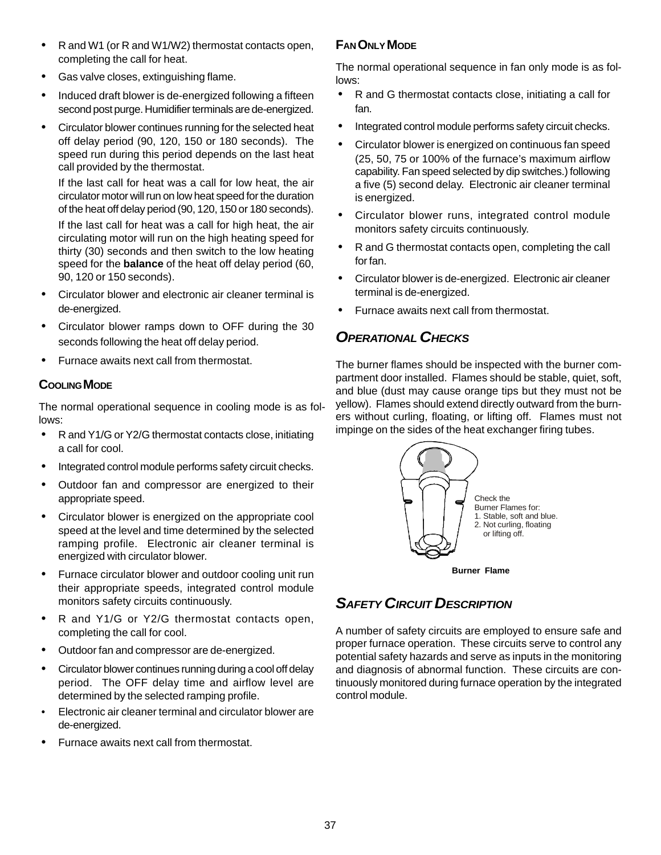- R and W1 (or R and W1/W2) thermostat contacts open, completing the call for heat.
- Gas valve closes, extinguishing flame.
- Induced draft blower is de-energized following a fifteen second post purge. Humidifier terminals are de-energized.
- Circulator blower continues running for the selected heat off delay period (90, 120, 150 or 180 seconds). The speed run during this period depends on the last heat call provided by the thermostat.

If the last call for heat was a call for low heat, the air circulator motor will run on low heat speed for the duration of the heat off delay period (90, 120, 150 or 180 seconds).

If the last call for heat was a call for high heat, the air circulating motor will run on the high heating speed for thirty (30) seconds and then switch to the low heating speed for the **balance** of the heat off delay period (60, 90, 120 or 150 seconds).

- Circulator blower and electronic air cleaner terminal is de-energized.
- Circulator blower ramps down to OFF during the 30 seconds following the heat off delay period.
- Furnace awaits next call from thermostat.

# **COOLING MODE**

The normal operational sequence in cooling mode is as follows:

- R and Y1/G or Y2/G thermostat contacts close, initiating a call for cool.
- Integrated control module performs safety circuit checks.
- Outdoor fan and compressor are energized to their appropriate speed.
- Circulator blower is energized on the appropriate cool speed at the level and time determined by the selected ramping profile. Electronic air cleaner terminal is energized with circulator blower.
- Furnace circulator blower and outdoor cooling unit run their appropriate speeds, integrated control module monitors safety circuits continuously.
- R and Y1/G or Y2/G thermostat contacts open, completing the call for cool.
- Outdoor fan and compressor are de-energized.
- Circulator blower continues running during a cool off delay period. The OFF delay time and airflow level are determined by the selected ramping profile.
- Electronic air cleaner terminal and circulator blower are de-energized.
- Furnace awaits next call from thermostat.

# **FAN ONLY MODE**

The normal operational sequence in fan only mode is as follows:

- R and G thermostat contacts close, initiating a call for fan.
- Integrated control module performs safety circuit checks.
- Circulator blower is energized on continuous fan speed (25, 50, 75 or 100% of the furnace's maximum airflow capability. Fan speed selected by dip switches.) following a five (5) second delay. Electronic air cleaner terminal is energized.
- Circulator blower runs, integrated control module monitors safety circuits continuously.
- R and G thermostat contacts open, completing the call for fan.
- Circulator blower is de-energized. Electronic air cleaner terminal is de-energized.
- Furnace awaits next call from thermostat.

# *OPERATIONAL CHECKS*

The burner flames should be inspected with the burner compartment door installed. Flames should be stable, quiet, soft, and blue (dust may cause orange tips but they must not be yellow). Flames should extend directly outward from the burners without curling, floating, or lifting off. Flames must not impinge on the sides of the heat exchanger firing tubes.



# *SAFETY CIRCUIT DESCRIPTION*

A number of safety circuits are employed to ensure safe and proper furnace operation. These circuits serve to control any potential safety hazards and serve as inputs in the monitoring and diagnosis of abnormal function. These circuits are continuously monitored during furnace operation by the integrated control module.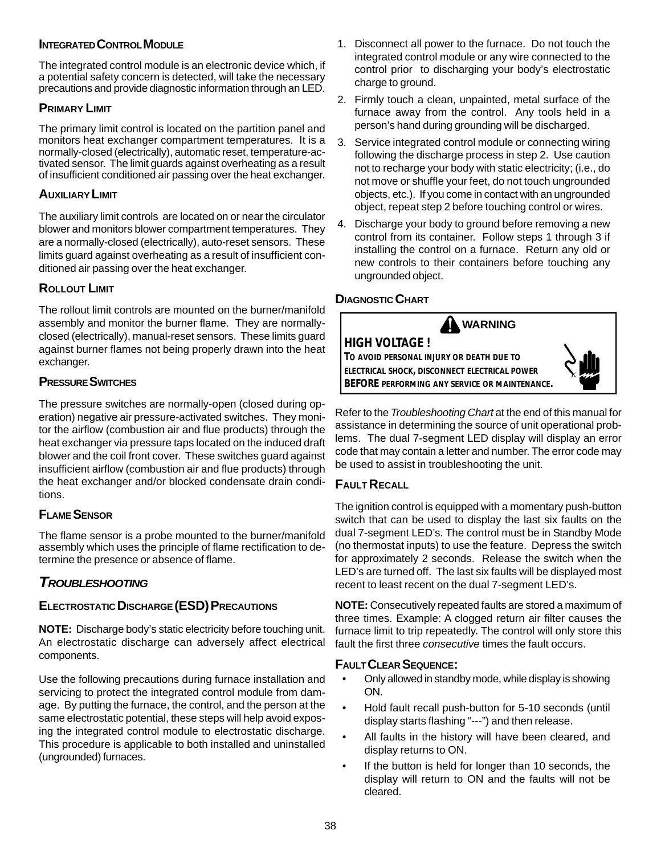# **INTEGRATED CONTROL MODULE**

The integrated control module is an electronic device which, if a potential safety concern is detected, will take the necessary precautions and provide diagnostic information through an LED.

### **PRIMARY LIMIT**

The primary limit control is located on the partition panel and monitors heat exchanger compartment temperatures. It is a normally-closed (electrically), automatic reset, temperature-activated sensor. The limit guards against overheating as a result of insufficient conditioned air passing over the heat exchanger.

# **AUXILIARY LIMIT**

The auxiliary limit controls are located on or near the circulator blower and monitors blower compartment temperatures. They are a normally-closed (electrically), auto-reset sensors. These limits guard against overheating as a result of insufficient conditioned air passing over the heat exchanger.

# **ROLLOUT LIMIT**

The rollout limit controls are mounted on the burner/manifold assembly and monitor the burner flame. They are normallyclosed (electrically), manual-reset sensors. These limits guard against burner flames not being properly drawn into the heat exchanger.

# **PRESSURE SWITCHES**

The pressure switches are normally-open (closed during operation) negative air pressure-activated switches. They monitor the airflow (combustion air and flue products) through the heat exchanger via pressure taps located on the induced draft blower and the coil front cover. These switches guard against insufficient airflow (combustion air and flue products) through the heat exchanger and/or blocked condensate drain conditions.

# **FLAME SENSOR**

The flame sensor is a probe mounted to the burner/manifold assembly which uses the principle of flame rectification to determine the presence or absence of flame.

# *TROUBLESHOOTING*

### **ELECTROSTATIC DISCHARGE (ESD) PRECAUTIONS**

**NOTE:** Discharge body's static electricity before touching unit. An electrostatic discharge can adversely affect electrical components.

Use the following precautions during furnace installation and servicing to protect the integrated control module from damage. By putting the furnace, the control, and the person at the same electrostatic potential, these steps will help avoid exposing the integrated control module to electrostatic discharge. This procedure is applicable to both installed and uninstalled (ungrounded) furnaces.

- 1. Disconnect all power to the furnace. Do not touch the integrated control module or any wire connected to the control prior to discharging your body's electrostatic charge to ground.
- 2. Firmly touch a clean, unpainted, metal surface of the furnace away from the control. Any tools held in a person's hand during grounding will be discharged.
- 3. Service integrated control module or connecting wiring following the discharge process in step 2. Use caution not to recharge your body with static electricity; (i.e., do not move or shuffle your feet, do not touch ungrounded objects, etc.). If you come in contact with an ungrounded object, repeat step 2 before touching control or wires.
- 4. Discharge your body to ground before removing a new control from its container. Follow steps 1 through 3 if installing the control on a furnace. Return any old or new controls to their containers before touching any ungrounded object.

# **DIAGNOSTIC CHART**

**HIGH VOLTAGE ! WARNING**

**TO AVOID PERSONAL INJURY OR DEATH DUE TO ELECTRICAL SHOCK, DISCONNECT ELECTRICAL POWER BEFORE PERFORMING ANY SERVICE OR MAINTENANCE.**

Refer to the *Troubleshooting Chart* at the end of this manual for assistance in determining the source of unit operational problems. The dual 7-segment LED display will display an error code that may contain a letter and number. The error code may be used to assist in troubleshooting the unit.

# **FAULT RECALL**

The ignition control is equipped with a momentary push-button switch that can be used to display the last six faults on the dual 7-segment LED's. The control must be in Standby Mode (no thermostat inputs) to use the feature. Depress the switch for approximately 2 seconds. Release the switch when the LED's are turned off. The last six faults will be displayed most recent to least recent on the dual 7-segment LED's.

**NOTE:** Consecutively repeated faults are stored a maximum of three times. Example: A clogged return air filter causes the furnace limit to trip repeatedly. The control will only store this fault the first three *consecutive* times the fault occurs.

### **FAULT CLEAR SEQUENCE:**

- Only allowed in standby mode, while display is showing ON.
- Hold fault recall push-button for 5-10 seconds (until display starts flashing "---") and then release.
- All faults in the history will have been cleared, and display returns to ON.
- If the button is held for longer than 10 seconds, the display will return to ON and the faults will not be cleared.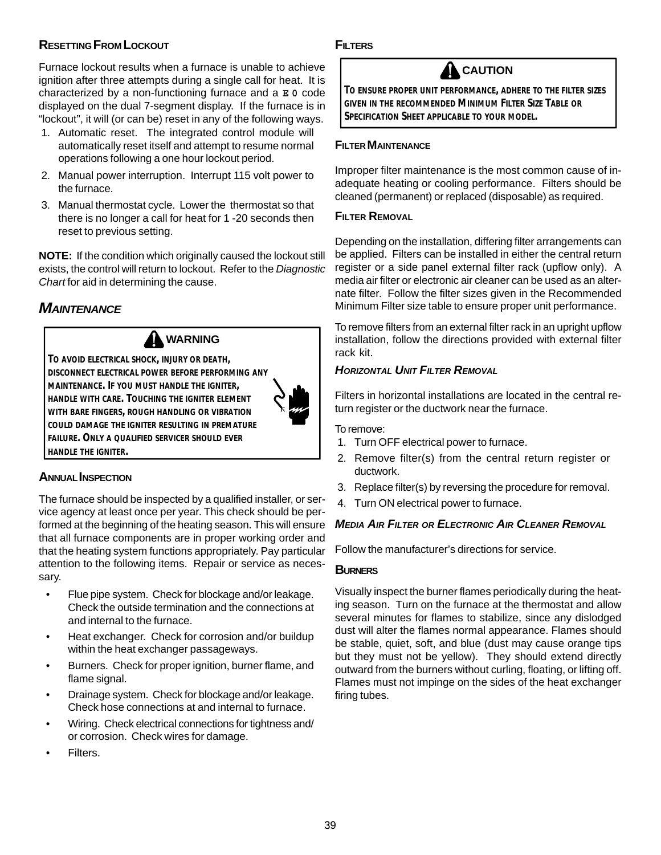# **RESETTING FROM LOCKOUT**

Furnace lockout results when a furnace is unable to achieve ignition after three attempts during a single call for heat. It is characterized by a non-functioning furnace and a **E 0** code displayed on the dual 7-segment display. If the furnace is in "lockout", it will (or can be) reset in any of the following ways.

- 1. Automatic reset. The integrated control module will automatically reset itself and attempt to resume normal operations following a one hour lockout period.
- 2. Manual power interruption. Interrupt 115 volt power to the furnace.
- 3. Manual thermostat cycle. Lower the thermostat so that there is no longer a call for heat for 1 -20 seconds then reset to previous setting.

**NOTE:** If the condition which originally caused the lockout still exists, the control will return to lockout. Refer to the *Diagnostic Chart* for aid in determining the cause.

# *MAINTENANCE*



**TO AVOID ELECTRICAL SHOCK, INJURY OR DEATH, DISCONNECT ELECTRICAL POWER BEFORE PERFORMING ANY MAINTENANCE. IF YOU MUST HANDLE THE IGNITER, HANDLE WITH CARE. TOUCHING THE IGNITER ELEMENT WITH BARE FINGERS, ROUGH HANDLING OR VIBRATION COULD DAMAGE THE IGNITER RESULTING IN PREMATURE FAILURE. ONLY A QUALIFIED SERVICER SHOULD EVER HANDLE THE IGNITER.**



### **ANNUAL INSPECTION**

The furnace should be inspected by a qualified installer, or service agency at least once per year. This check should be performed at the beginning of the heating season. This will ensure that all furnace components are in proper working order and that the heating system functions appropriately. Pay particular attention to the following items. Repair or service as necessary.

- Flue pipe system. Check for blockage and/or leakage. Check the outside termination and the connections at and internal to the furnace.
- Heat exchanger. Check for corrosion and/or buildup within the heat exchanger passageways.
- Burners. Check for proper ignition, burner flame, and flame signal.
- Drainage system. Check for blockage and/or leakage. Check hose connections at and internal to furnace.
- Wiring. Check electrical connections for tightness and/ or corrosion. Check wires for damage.

#### Filters.

# **FILTERS**

# **CAUTION**

**TO ENSURE PROPER UNIT PERFORMANCE, ADHERE TO THE FILTER SIZES GIVEN IN THE RECOMMENDED MINIMUM FILTER SIZE TABLE OR SPECIFICATION SHEET APPLICABLE TO YOUR MODEL.**

#### **FILTER MAINTENANCE**

Improper filter maintenance is the most common cause of inadequate heating or cooling performance. Filters should be cleaned (permanent) or replaced (disposable) as required.

#### **FILTER REMOVAL**

Depending on the installation, differing filter arrangements can be applied. Filters can be installed in either the central return register or a side panel external filter rack (upflow only). A media air filter or electronic air cleaner can be used as an alternate filter. Follow the filter sizes given in the Recommended Minimum Filter size table to ensure proper unit performance.

To remove filters from an external filter rack in an upright upflow installation, follow the directions provided with external filter rack kit.

### *HORIZONTAL UNIT FILTER REMOVAL*

Filters in horizontal installations are located in the central return register or the ductwork near the furnace.

#### To remove:

- 1. Turn OFF electrical power to furnace.
- 2. Remove filter(s) from the central return register or ductwork.
- 3. Replace filter(s) by reversing the procedure for removal.
- 4. Turn ON electrical power to furnace.

### *MEDIA AIR FILTER OR ELECTRONIC AIR CLEANER REMOVAL*

Follow the manufacturer's directions for service.

### **BURNERS**

Visually inspect the burner flames periodically during the heating season. Turn on the furnace at the thermostat and allow several minutes for flames to stabilize, since any dislodged dust will alter the flames normal appearance. Flames should be stable, quiet, soft, and blue (dust may cause orange tips but they must not be yellow). They should extend directly outward from the burners without curling, floating, or lifting off. Flames must not impinge on the sides of the heat exchanger firing tubes.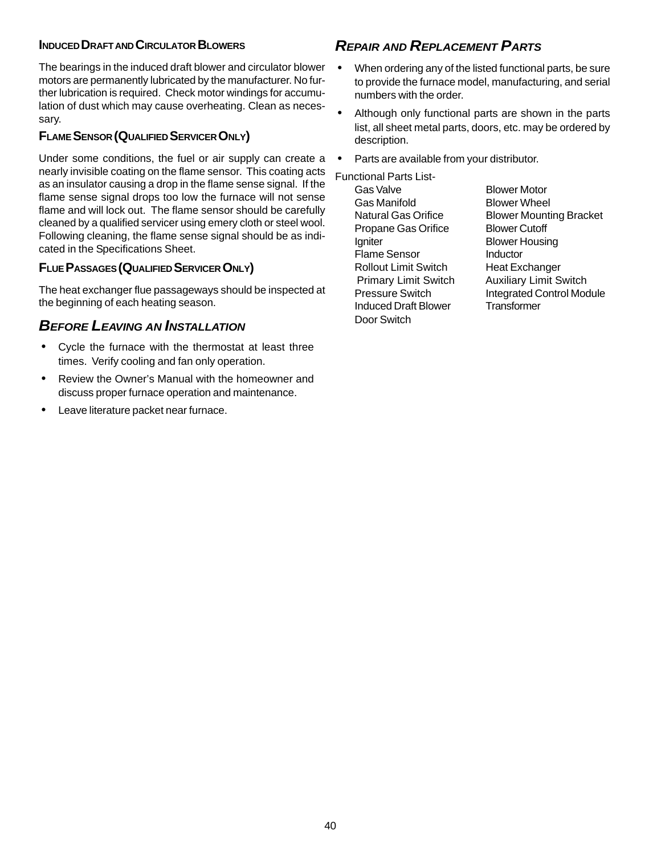# **INDUCED DRAFTAND CIRCULATOR BLOWERS**

The bearings in the induced draft blower and circulator blower motors are permanently lubricated by the manufacturer. No further lubrication is required. Check motor windings for accumulation of dust which may cause overheating. Clean as necessary.

# **FLAME SENSOR (QUALIFIED SERVICER ONLY)**

Under some conditions, the fuel or air supply can create a nearly invisible coating on the flame sensor. This coating acts as an insulator causing a drop in the flame sense signal. If the flame sense signal drops too low the furnace will not sense flame and will lock out. The flame sensor should be carefully cleaned by a qualified servicer using emery cloth or steel wool. Following cleaning, the flame sense signal should be as indicated in the Specifications Sheet.

# **FLUE PASSAGES (QUALIFIED SERVICER ONLY)**

The heat exchanger flue passageways should be inspected at the beginning of each heating season.

# *BEFORE LEAVING AN INSTALLATION*

- Cycle the furnace with the thermostat at least three times. Verify cooling and fan only operation.
- Review the Owner's Manual with the homeowner and discuss proper furnace operation and maintenance.
- Leave literature packet near furnace.

# *REPAIR AND REPLACEMENT PARTS*

- When ordering any of the listed functional parts, be sure to provide the furnace model, manufacturing, and serial numbers with the order.
- Although only functional parts are shown in the parts list, all sheet metal parts, doors, etc. may be ordered by description.
- Parts are available from your distributor.

Functional Parts List-Gas Valve **Blower Motor** Gas Manifold Blower Wheel Propane Gas Orifice Blower Cutoff Igniter Blower Housing Flame Sensor **Inductor** Rollout Limit Switch Heat Exchanger Primary Limit Switch Auxiliary Limit Switch Induced Draft Blower Transformer Door Switch

Natural Gas Orifice Blower Mounting Bracket Pressure Switch Integrated Control Module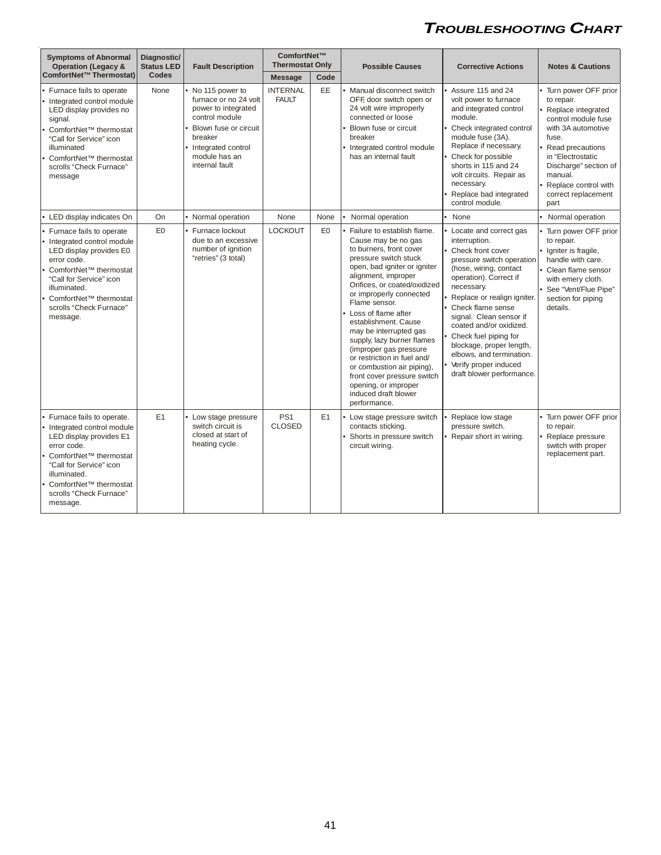| <b>Symptoms of Abnormal</b>                                                                                                                                                                                                                                   | Diagnostic/                |                                                                                                                                                                                | ComfortNet™                              |                |                                                                                                                                                                                                                                                                                                                                                                                                                                                                                                                                          |                                                                                                                                                                                                                                                                                                                                                                                                                      |                                                                                                                                                                                                                                                      |  |
|---------------------------------------------------------------------------------------------------------------------------------------------------------------------------------------------------------------------------------------------------------------|----------------------------|--------------------------------------------------------------------------------------------------------------------------------------------------------------------------------|------------------------------------------|----------------|------------------------------------------------------------------------------------------------------------------------------------------------------------------------------------------------------------------------------------------------------------------------------------------------------------------------------------------------------------------------------------------------------------------------------------------------------------------------------------------------------------------------------------------|----------------------------------------------------------------------------------------------------------------------------------------------------------------------------------------------------------------------------------------------------------------------------------------------------------------------------------------------------------------------------------------------------------------------|------------------------------------------------------------------------------------------------------------------------------------------------------------------------------------------------------------------------------------------------------|--|
| <b>Operation (Legacy &amp;</b><br>ComfortNet™ Thermostat)                                                                                                                                                                                                     | <b>Status LED</b><br>Codes | <b>Fault Description</b>                                                                                                                                                       | <b>Thermostat Only</b><br><b>Message</b> | Code           | <b>Possible Causes</b>                                                                                                                                                                                                                                                                                                                                                                                                                                                                                                                   | <b>Corrective Actions</b>                                                                                                                                                                                                                                                                                                                                                                                            | <b>Notes &amp; Cautions</b>                                                                                                                                                                                                                          |  |
| Furnace fails to operate<br>Integrated control module<br>LED display provides no<br>signal.<br>ComfortNet <sup>™</sup> thermostat<br>"Call for Service" icon<br>illuminated<br>ComfortNet <sup>™</sup> thermostat<br>scrolls "Check Furnace"<br>message       | None                       | No 115 power to<br>furnace or no 24 volt<br>power to integrated<br>control module<br>Blown fuse or circuit<br>breaker<br>Integrated control<br>module has an<br>internal fault | <b>INTERNAL</b><br><b>FAULT</b>          | EE             | Manual disconnect switch<br>OFF, door switch open or<br>24 volt wire improperly<br>connected or loose<br>• Blown fuse or circuit<br>breaker<br>• Integrated control module<br>has an internal fault                                                                                                                                                                                                                                                                                                                                      | Assure 115 and 24<br>volt power to furnace<br>and integrated control<br>module.<br>• Check integrated control<br>module fuse (3A).<br>Replace if necessary.<br>• Check for possible<br>shorts in 115 and 24<br>volt circuits. Repair as<br>necessary.<br>Replace bad integrated<br>control module.                                                                                                                   | • Turn power OFF prior<br>to repair.<br>Replace integrated<br>control module fuse<br>with 3A automotive<br>fuse.<br>Read precautions<br>in "Electrostatic<br>Discharge" section of<br>manual.<br>Replace control with<br>correct replacement<br>part |  |
| • LED display indicates On                                                                                                                                                                                                                                    | On                         | • Normal operation                                                                                                                                                             | None                                     | None           | Normal operation                                                                                                                                                                                                                                                                                                                                                                                                                                                                                                                         | • None                                                                                                                                                                                                                                                                                                                                                                                                               | Normal operation                                                                                                                                                                                                                                     |  |
| Furnace fails to operate<br>Integrated control module<br>LED display provides E0<br>error code.<br>ComfortNet <sup>™</sup> thermostat<br>"Call for Service" icon<br>illuminated.<br>ComfortNet <sup>™</sup> thermostat<br>scrolls "Check Furnace"<br>message. | E <sub>0</sub>             | Furnace lockout<br>due to an excessive<br>number of ianition<br>"retries" (3 total)                                                                                            | <b>LOCKOUT</b>                           | E <sub>0</sub> | Failure to establish flame.<br>Cause may be no gas<br>to burners, front cover<br>pressure switch stuck<br>open, bad igniter or igniter<br>alignment, improper<br>Orifices, or coated/oxidized<br>or improperly connected<br>Flame sensor.<br>• Loss of flame after<br>establishment. Cause<br>may be interrupted gas<br>supply, lazy burner flames<br>(improper gas pressure<br>or restriction in fuel and/<br>or combustion air piping),<br>front cover pressure switch<br>opening, or improper<br>induced draft blower<br>performance. | Locate and correct gas<br>interruption.<br>• Check front cover<br>pressure switch operation<br>(hose, wiring, contact<br>operation). Correct if<br>necessary.<br>Replace or realign igniter.<br>• Check flame sense<br>signal. Clean sensor if<br>coated and/or oxidized.<br>• Check fuel piping for<br>blockage, proper length,<br>elbows, and termination.<br>• Verify proper induced<br>draft blower performance. | Turn power OFF prior<br>to repair.<br>· Igniter is fragile,<br>handle with care.<br>• Clean flame sensor<br>with emery cloth.<br>See "Vent/Flue Pipe"<br>section for piping<br>details.                                                              |  |
| Furnace fails to operate.<br>Integrated control module<br>LED display provides E1<br>error code.<br>ComfortNet™ thermostat<br>"Call for Service" icon<br>illuminated.<br>ComfortNet <sup>™</sup> thermostat<br>scrolls "Check Furnace"<br>message.            | E1                         | Low stage pressure<br>switch circuit is<br>closed at start of<br>heating cycle.                                                                                                | PS <sub>1</sub><br><b>CLOSED</b>         | E1             | • Low stage pressure switch<br>contacts sticking.<br>• Shorts in pressure switch<br>circuit wiring.                                                                                                                                                                                                                                                                                                                                                                                                                                      | Replace low stage<br>pressure switch.<br>Repair short in wiring.                                                                                                                                                                                                                                                                                                                                                     | • Turn power OFF prior<br>to repair.<br>Replace pressure<br>switch with proper<br>replacement part.                                                                                                                                                  |  |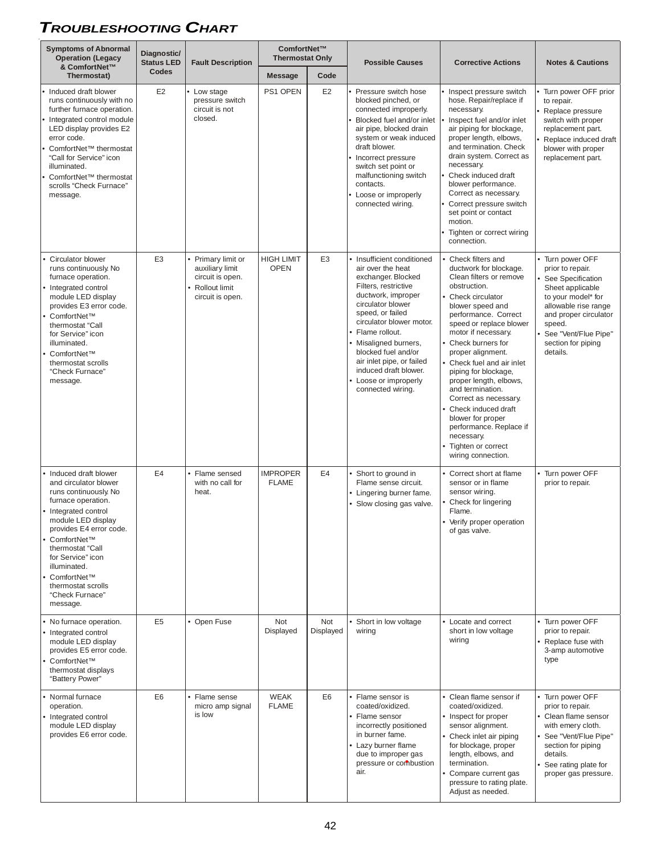| <b>Symptoms of Abnormal</b><br><b>Operation (Legacy</b><br>& ComfortNet™                                                                                                                                                                                                                    |                                                                                                                                                                                                                                                                                                                         | Diagnostic/<br><b>Status LED</b> | <b>Fault Description</b>                                                                     | ComfortNet™<br><b>Thermostat Only</b> |                  | <b>Possible Causes</b>                                                                                                                                                                                                                                                                                                                                           | <b>Corrective Actions</b>                                                                                                                                                                                                                                                                                                                                                                                                                                                                                                  | <b>Notes &amp; Cautions</b>                                                                                                                                                                                            |  |
|---------------------------------------------------------------------------------------------------------------------------------------------------------------------------------------------------------------------------------------------------------------------------------------------|-------------------------------------------------------------------------------------------------------------------------------------------------------------------------------------------------------------------------------------------------------------------------------------------------------------------------|----------------------------------|----------------------------------------------------------------------------------------------|---------------------------------------|------------------|------------------------------------------------------------------------------------------------------------------------------------------------------------------------------------------------------------------------------------------------------------------------------------------------------------------------------------------------------------------|----------------------------------------------------------------------------------------------------------------------------------------------------------------------------------------------------------------------------------------------------------------------------------------------------------------------------------------------------------------------------------------------------------------------------------------------------------------------------------------------------------------------------|------------------------------------------------------------------------------------------------------------------------------------------------------------------------------------------------------------------------|--|
|                                                                                                                                                                                                                                                                                             | Thermostat)                                                                                                                                                                                                                                                                                                             | Codes                            |                                                                                              | <b>Message</b>                        | Code             |                                                                                                                                                                                                                                                                                                                                                                  |                                                                                                                                                                                                                                                                                                                                                                                                                                                                                                                            |                                                                                                                                                                                                                        |  |
|                                                                                                                                                                                                                                                                                             | Induced draft blower<br>runs continuously with no<br>further furnace operation.<br>Integrated control module<br>LED display provides E2<br>error code.<br>ComfortNet™ thermostat<br>"Call for Service" icon<br>illuminated.<br>ComfortNet <sup>™</sup> thermostat<br>scrolls "Check Furnace"<br>message.                | E2                               | Low stage<br>pressure switch<br>circuit is not<br>closed.                                    | PS1 OPEN                              | E <sub>2</sub>   | Pressure switch hose<br>blocked pinched, or<br>connected improperly.<br>Blocked fuel and/or inlet<br>air pipe, blocked drain<br>system or weak induced<br>draft blower.<br>Incorrect pressure<br>switch set point or<br>malfunctioning switch<br>contacts.<br>Loose or improperly<br>connected wiring.                                                           | Inspect pressure switch<br>hose. Repair/replace if<br>necessary.<br>Inspect fuel and/or inlet<br>air piping for blockage,<br>proper length, elbows,<br>and termination. Check<br>drain system. Correct as<br>necessary.<br>Check induced draft<br>blower performance.<br>Correct as necessary.<br>Correct pressure switch<br>set point or contact<br>motion.<br>Tighten or correct wiring<br>connection.                                                                                                                   | Turn power OFF prior<br>to repair.<br>Replace pressure<br>switch with proper<br>replacement part.<br>Replace induced draft<br>blower with proper<br>replacement part.                                                  |  |
| • Circulator blower<br>runs continuously. No<br>furnace operation.<br>• Integrated control<br>module LED display<br>provides E3 error code.<br>• ComfortNet™<br>thermostat "Call<br>for Service" icon<br>illuminated.<br>• ComfortNet™<br>thermostat scrolls<br>"Check Furnace"<br>message. |                                                                                                                                                                                                                                                                                                                         | E <sub>3</sub>                   | Primary limit or<br>auxiliary limit<br>circuit is open.<br>Rollout limit<br>circuit is open. | <b>HIGH LIMIT</b><br><b>OPEN</b>      | E <sub>3</sub>   | • Insufficient conditioned<br>air over the heat<br>exchanger. Blocked<br>Filters, restrictive<br>ductwork, improper<br>circulator blower<br>speed, or failed<br>circulator blower motor.<br>• Flame rollout.<br>· Misaligned burners,<br>blocked fuel and/or<br>air inlet pipe, or failed<br>induced draft blower.<br>• Loose or improperly<br>connected wiring. | • Check filters and<br>ductwork for blockage.<br>Clean filters or remove<br>obstruction.<br>• Check circulator<br>blower speed and<br>performance. Correct<br>speed or replace blower<br>motor if necessary.<br>• Check burners for<br>proper alignment.<br>• Check fuel and air inlet<br>piping for blockage,<br>proper length, elbows,<br>and termination.<br>Correct as necessary.<br>• Check induced draft<br>blower for proper<br>performance. Replace if<br>necessary.<br>• Tighten or correct<br>wiring connection. | Turn power OFF<br>prior to repair.<br>See Specification<br>Sheet applicable<br>to your model* for<br>allowable rise range<br>and proper circulator<br>speed.<br>See "Vent/Flue Pipe"<br>section for piping<br>details. |  |
|                                                                                                                                                                                                                                                                                             | • Induced draft blower<br>and circulator blower<br>runs continuously. No<br>furnace operation.<br>• Integrated control<br>module LED display<br>provides E4 error code.<br>• ComfortNet™<br>thermostat "Call<br>for Service" icon<br>illuminated.<br>• ComfortNet™<br>thermostat scrolls<br>"Check Furnace"<br>message. | E <sub>4</sub>                   | Flame sensed<br>with no call for<br>heat.                                                    | <b>IMPROPER</b><br><b>FLAME</b>       | E4               | • Short to ground in<br>Flame sense circuit.<br>• Lingering burner fame.<br>• Slow closing gas valve.                                                                                                                                                                                                                                                            | • Correct short at flame<br>sensor or in flame<br>sensor wiring.<br>• Check for lingering<br>Flame.<br>• Verify proper operation<br>of gas valve.                                                                                                                                                                                                                                                                                                                                                                          | • Turn power OFF<br>prior to repair.                                                                                                                                                                                   |  |
|                                                                                                                                                                                                                                                                                             | • No furnace operation.<br>• Integrated control<br>module LED display<br>provides E5 error code.<br>• ComfortNet <sup>TM</sup><br>thermostat displays<br>"Battery Power"                                                                                                                                                | E <sub>5</sub>                   | • Open Fuse                                                                                  | Not<br>Displayed                      | Not<br>Displayed | • Short in low voltage<br>wiring                                                                                                                                                                                                                                                                                                                                 | • Locate and correct<br>short in low voltage<br>wiring                                                                                                                                                                                                                                                                                                                                                                                                                                                                     | • Turn power OFF<br>prior to repair.<br>Replace fuse with<br>3-amp automotive<br>type                                                                                                                                  |  |
|                                                                                                                                                                                                                                                                                             | • Normal furnace<br>operation.<br>• Integrated control<br>module LED display<br>provides E6 error code.                                                                                                                                                                                                                 | E <sub>6</sub>                   | • Flame sense<br>micro amp signal<br>is low                                                  | <b>WEAK</b><br><b>FLAME</b>           | E <sub>6</sub>   | • Flame sensor is<br>coated/oxidized.<br>• Flame sensor<br>incorrectly positioned<br>in burner fame.<br>• Lazy burner flame<br>due to improper gas<br>pressure or combustion<br>air.                                                                                                                                                                             | • Clean flame sensor if<br>coated/oxidized.<br>• Inspect for proper<br>sensor alignment.<br>• Check inlet air piping<br>for blockage, proper<br>length, elbows, and<br>termination.<br>• Compare current gas<br>pressure to rating plate.<br>Adjust as needed.                                                                                                                                                                                                                                                             | • Turn power OFF<br>prior to repair.<br>• Clean flame sensor<br>with emery cloth.<br>• See "Vent/Flue Pipe"<br>section for piping<br>details.<br>• See rating plate for<br>proper gas pressure.                        |  |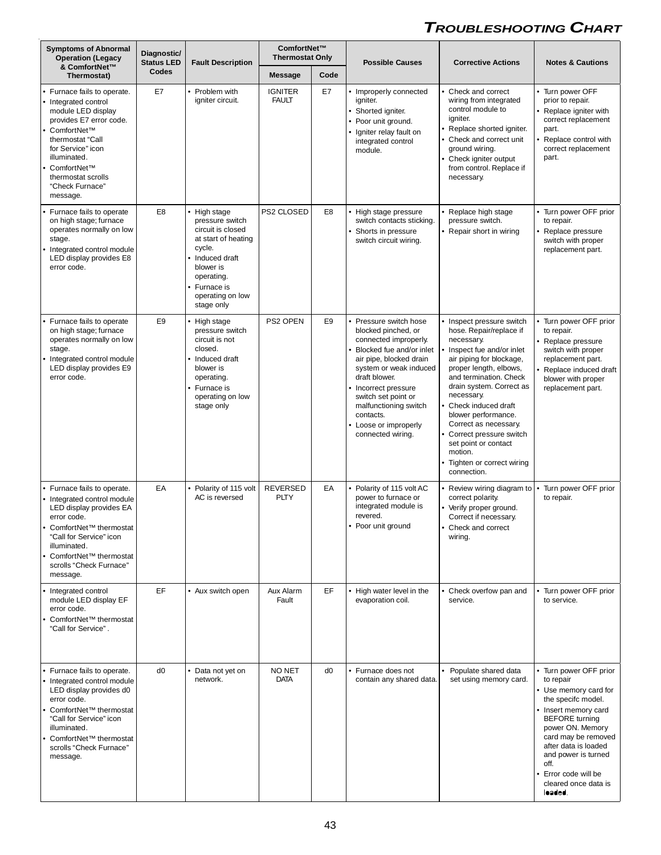| <b>Symptoms of Abnormal</b><br><b>Operation (Legacy</b> |                                                                                                                                                                                                                                                      | Diagnostic/<br><b>Status LED</b> | <b>Fault Description</b>                                                                                                                                                              | ComfortNet™<br><b>Thermostat Only</b> |                | <b>Possible Causes</b>                                                                                                                                                                                                                                                                                | <b>Corrective Actions</b>                                                                                                                                                                                                                                                                                                                                                                                   | <b>Notes &amp; Cautions</b>                                                                                                                                                                                                                                                                      |  |
|---------------------------------------------------------|------------------------------------------------------------------------------------------------------------------------------------------------------------------------------------------------------------------------------------------------------|----------------------------------|---------------------------------------------------------------------------------------------------------------------------------------------------------------------------------------|---------------------------------------|----------------|-------------------------------------------------------------------------------------------------------------------------------------------------------------------------------------------------------------------------------------------------------------------------------------------------------|-------------------------------------------------------------------------------------------------------------------------------------------------------------------------------------------------------------------------------------------------------------------------------------------------------------------------------------------------------------------------------------------------------------|--------------------------------------------------------------------------------------------------------------------------------------------------------------------------------------------------------------------------------------------------------------------------------------------------|--|
|                                                         | & ComfortNet™<br>Thermostat)                                                                                                                                                                                                                         | Codes                            |                                                                                                                                                                                       | <b>Message</b>                        | Code           |                                                                                                                                                                                                                                                                                                       |                                                                                                                                                                                                                                                                                                                                                                                                             |                                                                                                                                                                                                                                                                                                  |  |
|                                                         | Furnace fails to operate.<br>Integrated control<br>module LED display<br>provides E7 error code.<br>ComfortNet™<br>thermostat "Call<br>for Service" icon<br>illuminated.<br>ComfortNet™<br>thermostat scrolls<br>"Check Furnace"<br>message.         | E7                               | • Problem with<br>igniter circuit.                                                                                                                                                    | <b>IGNITER</b><br><b>FAULT</b>        | E7             | Improperly connected<br>ianiter.<br>Shorted igniter.<br>• Poor unit ground.<br>Igniter relay fault on<br>integrated control<br>module.                                                                                                                                                                | Check and correct<br>wiring from integrated<br>control module to<br>igniter.<br>Replace shorted igniter.<br>• Check and correct unit<br>ground wiring.<br>• Check igniter output<br>from control. Replace if<br>necessary.                                                                                                                                                                                  | • Turn power OFF<br>prior to repair.<br>• Replace igniter with<br>correct replacement<br>part.<br>• Replace control with<br>correct replacement<br>part.                                                                                                                                         |  |
|                                                         | Furnace fails to operate<br>on high stage; furnace<br>operates normally on low<br>stage.<br>• Integrated control module<br>LED display provides E8<br>error code.                                                                                    | E <sub>8</sub>                   | • High stage<br>pressure switch<br>circuit is closed<br>at start of heating<br>cycle.<br>· Induced draft<br>blower is<br>operating.<br>• Furnace is<br>operating on low<br>stage only | PS2 CLOSED                            | E8             | High stage pressure<br>switch contacts sticking.<br>Shorts in pressure<br>switch circuit wiring.                                                                                                                                                                                                      | Replace high stage<br>pressure switch.<br>• Repair short in wiring                                                                                                                                                                                                                                                                                                                                          | • Turn power OFF prior<br>to repair.<br>• Replace pressure<br>switch with proper<br>replacement part.                                                                                                                                                                                            |  |
|                                                         | Furnace fails to operate<br>on high stage; furnace<br>operates normally on low<br>stage.<br>• Integrated control module<br>LED display provides E9<br>error code.                                                                                    | E <sub>9</sub>                   | • High stage<br>pressure switch<br>circuit is not<br>closed.<br>• Induced draft<br>blower is<br>operating.<br>• Furnace is<br>operating on low<br>stage only                          | PS2 OPEN                              | E <sub>9</sub> | Pressure switch hose<br>blocked pinched, or<br>connected improperly.<br>Blocked fue and/or inlet<br>air pipe, blocked drain<br>system or weak induced<br>draft blower.<br>Incorrect pressure<br>switch set point or<br>malfunctioning switch<br>contacts.<br>Loose or improperly<br>connected wiring. | • Inspect pressure switch<br>hose. Repair/replace if<br>necessary.<br>Inspect fue and/or inlet<br>air piping for blockage,<br>proper length, elbows,<br>and termination. Check<br>drain system. Correct as<br>necessary.<br>Check induced draft<br>blower performance.<br>Correct as necessary.<br>Correct pressure switch<br>set point or contact<br>motion.<br>• Tighten or correct wiring<br>connection. | • Turn power OFF prior<br>to repair.<br>• Replace pressure<br>switch with proper<br>replacement part.<br>• Replace induced draft<br>blower with proper<br>replacement part.                                                                                                                      |  |
|                                                         | Furnace fails to operate.<br>Integrated control module<br>LED display provides EA<br>error code.<br>ComfortNet <sup>™</sup> thermostat<br>"Call for Service" icon<br>illuminated.<br>• ComfortNet™ thermostat<br>scrolls "Check Furnace"<br>message. | EA                               | • Polarity of 115 volt<br>AC is reversed                                                                                                                                              | <b>REVERSED</b><br><b>PLTY</b>        | EA             | Polarity of 115 volt AC<br>power to furnace or<br>integrated module is<br>revered.<br>• Poor unit ground                                                                                                                                                                                              | Review wiring diagram to<br>correct polarity.<br>• Verify proper ground.<br>Correct if necessary.<br>• Check and correct<br>wiring.                                                                                                                                                                                                                                                                         | • Turn power OFF prior<br>to repair.                                                                                                                                                                                                                                                             |  |
|                                                         | Integrated control<br>module LED display EF<br>error code.<br>ComfortNet <sup>™</sup> thermostat<br>"Call for Service".                                                                                                                              | EF.                              | • Aux switch open                                                                                                                                                                     | Aux Alarm<br>Fault                    | EF             | High water level in the<br>evaporation coil.                                                                                                                                                                                                                                                          | Check overfow pan and<br>service.                                                                                                                                                                                                                                                                                                                                                                           | • Turn power OFF prior<br>to service.                                                                                                                                                                                                                                                            |  |
|                                                         | Furnace fails to operate.<br>Integrated control module<br>LED display provides d0<br>error code.<br>• ComfortNet™ thermostat<br>"Call for Service" icon<br>illuminated.<br>• ComfortNet™ thermostat<br>scrolls "Check Furnace"<br>message.           | d <sub>0</sub>                   | • Data not yet on<br>network.                                                                                                                                                         | NO NET<br><b>DATA</b>                 | d0             | • Furnace does not<br>contain any shared data.                                                                                                                                                                                                                                                        | • Populate shared data<br>set using memory card.                                                                                                                                                                                                                                                                                                                                                            | • Turn power OFF prior<br>to repair<br>• Use memory card for<br>the specifc model.<br>• Insert memory card<br><b>BEFORE</b> turning<br>power ON. Memory<br>card may be removed<br>after data is loaded<br>and power is turned<br>off.<br>• Error code will be<br>cleared once data is<br>loaded. |  |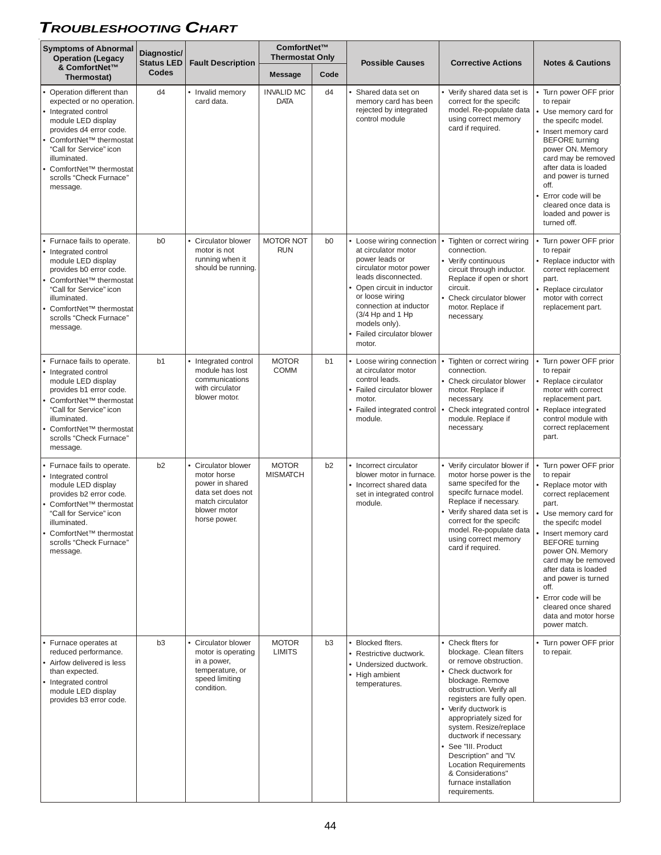|                                                                                                                                                                                                                                                                  | <b>Symptoms of Abnormal</b>                                                                                                                                                                                                                                                          | Diagnostic/                       |                                                                                                                              | ComfortNet™<br><b>Thermostat Only</b> |                |                                                                                                                                                                                                                                                                             |                                                                                                                                                                                                                                                                                                                                                                                                                              |                                                                                                                                                                                                                                                                                                                                                                             |
|------------------------------------------------------------------------------------------------------------------------------------------------------------------------------------------------------------------------------------------------------------------|--------------------------------------------------------------------------------------------------------------------------------------------------------------------------------------------------------------------------------------------------------------------------------------|-----------------------------------|------------------------------------------------------------------------------------------------------------------------------|---------------------------------------|----------------|-----------------------------------------------------------------------------------------------------------------------------------------------------------------------------------------------------------------------------------------------------------------------------|------------------------------------------------------------------------------------------------------------------------------------------------------------------------------------------------------------------------------------------------------------------------------------------------------------------------------------------------------------------------------------------------------------------------------|-----------------------------------------------------------------------------------------------------------------------------------------------------------------------------------------------------------------------------------------------------------------------------------------------------------------------------------------------------------------------------|
|                                                                                                                                                                                                                                                                  | <b>Operation (Legacy</b><br>& ComfortNet™<br>Thermostat)                                                                                                                                                                                                                             | <b>Status LED</b><br><b>Codes</b> | <b>Fault Description</b>                                                                                                     | <b>Message</b>                        | Code           | <b>Possible Causes</b>                                                                                                                                                                                                                                                      | <b>Corrective Actions</b>                                                                                                                                                                                                                                                                                                                                                                                                    | <b>Notes &amp; Cautions</b>                                                                                                                                                                                                                                                                                                                                                 |
|                                                                                                                                                                                                                                                                  | • Operation different than<br>expected or no operation.<br>• Integrated control<br>module LED display<br>provides d4 error code.<br>• ComfortNet™ thermostat<br>"Call for Service" icon<br>illuminated.<br>ComfortNet <sup>™</sup> thermostat<br>scrolls "Check Furnace"<br>message. | d4                                | Invalid memory<br>card data.                                                                                                 | <b>INVALID MC</b><br><b>DATA</b>      | d4             | Shared data set on<br>memory card has been<br>rejected by integrated<br>control module                                                                                                                                                                                      | • Verify shared data set is<br>correct for the specifc<br>model. Re-populate data<br>using correct memory<br>card if required.                                                                                                                                                                                                                                                                                               | Turn power OFF prior<br>to repair<br>Use memory card for<br>the specifc model.<br>Insert memory card<br><b>BEFORE</b> turning<br>power ON. Memory<br>card may be removed<br>after data is loaded<br>and power is turned<br>off.<br>Error code will be<br>cleared once data is<br>loaded and power is<br>turned off.                                                         |
| b <sub>0</sub><br>• Furnace fails to operate.<br>• Integrated control<br>module LED display<br>provides b0 error code.<br>• ComfortNet™ thermostat<br>"Call for Service" icon<br>illuminated.<br>• ComfortNet™ thermostat<br>scrolls "Check Furnace"<br>message. |                                                                                                                                                                                                                                                                                      |                                   | <b>Circulator blower</b><br>motor is not<br>running when it<br>should be running.                                            | <b>MOTOR NOT</b><br><b>RUN</b>        | b <sub>0</sub> | • Loose wiring connection<br>at circulator motor<br>power leads or<br>circulator motor power<br>leads disconnected.<br>• Open circuit in inductor<br>or loose wiring<br>connection at inductor<br>$(3/4$ Hp and 1 Hp<br>models only).<br>Failed circulator blower<br>motor. | Tighten or correct wiring<br>connection.<br>• Verify continuous<br>circuit through inductor.<br>Replace if open or short<br>circuit.<br>Check circulator blower<br>motor. Replace if<br>necessary.                                                                                                                                                                                                                           | Turn power OFF prior<br>to repair<br>Replace inductor with<br>correct replacement<br>part.<br>Replace circulator<br>motor with correct<br>replacement part.                                                                                                                                                                                                                 |
|                                                                                                                                                                                                                                                                  | • Furnace fails to operate.<br>• Integrated control<br>module LED display<br>provides b1 error code.<br>• ComfortNet™ thermostat<br>"Call for Service" icon<br>illuminated.<br>ComfortNet <sup>™</sup> thermostat<br>scrolls "Check Furnace"<br>message.                             | b <sub>1</sub>                    | Integrated control<br>module has lost<br>communications<br>with circulator<br>blower motor.                                  | <b>MOTOR</b><br><b>COMM</b>           | b <sub>1</sub> | Loose wiring connection<br>at circulator motor<br>control leads.<br>Failed circulator blower<br>motor.<br>Failed integrated control<br>module.                                                                                                                              | Tighten or correct wiring<br>connection.<br>• Check circulator blower<br>motor. Replace if<br>necessary.<br>Check integrated control<br>module. Replace if<br>necessary.                                                                                                                                                                                                                                                     | Turn power OFF prior<br>to repair<br>Replace circulator<br>motor with correct<br>replacement part.<br>Replace integrated<br>control module with<br>correct replacement<br>part.                                                                                                                                                                                             |
|                                                                                                                                                                                                                                                                  | • Furnace fails to operate.<br>• Integrated control<br>module LED display<br>provides b2 error code.<br>• ComfortNet™ thermostat<br>"Call for Service" icon<br>illuminated.<br>• ComfortNet™ thermostat<br>scrolls "Check Furnace"<br>message.                                       | b <sub>2</sub>                    | Circulator blower<br>motor horse<br>power in shared<br>data set does not<br>match circulator<br>blower motor<br>horse power. | <b>MOTOR</b><br><b>MISMATCH</b>       | b2             | • Incorrect circulator<br>blower motor in furnace.<br>Incorrect shared data<br>set in integrated control<br>module.                                                                                                                                                         | • Verify circulator blower if<br>motor horse power is the<br>same specifed for the<br>specifc furnace model.<br>Replace if necessary.<br>Verify shared data set is<br>correct for the specifc<br>model. Re-populate data<br>using correct memory<br>card if required.                                                                                                                                                        | Turn power OFF prior<br>to repair<br>Replace motor with<br>correct replacement<br>part.<br>Use memory card for<br>the specifc model<br>• Insert memory card<br><b>BEFORE</b> turning<br>power ON. Memory<br>card may be removed<br>after data is loaded<br>and power is turned<br>off.<br>Error code will be<br>cleared once shared<br>data and motor horse<br>power match. |
|                                                                                                                                                                                                                                                                  | • Furnace operates at<br>reduced performance.<br>• Airfow delivered is less<br>than expected.<br>• Integrated control<br>module LED display<br>provides b3 error code.                                                                                                               | b <sub>3</sub>                    | Circulator blower<br>motor is operating<br>in a power,<br>temperature, or<br>speed limiting<br>condition.                    | <b>MOTOR</b><br><b>LIMITS</b>         | b3             | • Blocked fiters.<br>• Restrictive ductwork.<br>• Undersized ductwork.<br>• High ambient<br>temperatures.                                                                                                                                                                   | Check fiters for<br>blockage. Clean filters<br>or remove obstruction.<br>• Check ductwork for<br>blockage. Remove<br>obstruction. Verify all<br>registers are fully open.<br>• Verify ductwork is<br>appropriately sized for<br>system. Resize/replace<br>ductwork if necessary.<br>See "III. Product<br>Description" and "IV.<br><b>Location Requirements</b><br>& Considerations"<br>furnace installation<br>requirements. | • Turn power OFF prior<br>to repair.                                                                                                                                                                                                                                                                                                                                        |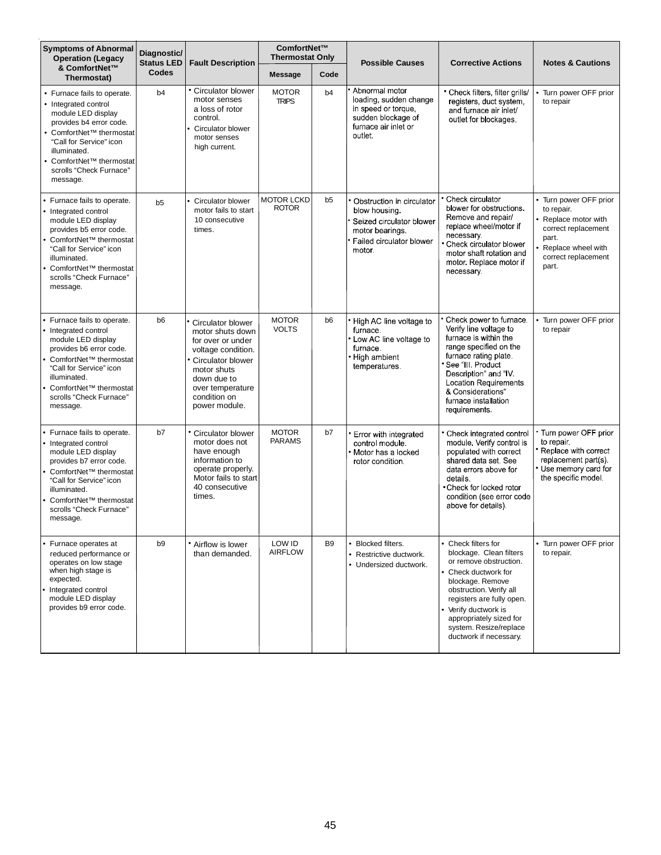| <b>Symptoms of Abnormal</b><br><b>Operation (Legacy</b>                                                                                                                                                                                                            | Diagnostic/<br><b>Status LED</b> | <b>Fault Description</b>                                                                                                                                                                   | ComfortNet™<br><b>Thermostat Only</b> |                | <b>Possible Causes</b>                                                                                                         | <b>Corrective Actions</b>                                                                                                                                                                                                                                                         | <b>Notes &amp; Cautions</b>                                                                                                                          |  |
|--------------------------------------------------------------------------------------------------------------------------------------------------------------------------------------------------------------------------------------------------------------------|----------------------------------|--------------------------------------------------------------------------------------------------------------------------------------------------------------------------------------------|---------------------------------------|----------------|--------------------------------------------------------------------------------------------------------------------------------|-----------------------------------------------------------------------------------------------------------------------------------------------------------------------------------------------------------------------------------------------------------------------------------|------------------------------------------------------------------------------------------------------------------------------------------------------|--|
| & ComfortNet™<br><b>Thermostat)</b>                                                                                                                                                                                                                                | <b>Codes</b>                     |                                                                                                                                                                                            | <b>Message</b>                        | Code           |                                                                                                                                |                                                                                                                                                                                                                                                                                   |                                                                                                                                                      |  |
| • Furnace fails to operate.<br>• Integrated control<br>module LED display<br>provides b4 error code.<br>• ComfortNet™ thermostat<br>"Call for Service" icon<br>illuminated.<br>• ComfortNet™ thermostat<br>scrolls "Check Furnace"<br>message.                     | b4                               | * Circulator blower<br>motor senses<br>a loss of rotor<br>control.<br>Circulator blower<br>motor senses<br>high current.                                                                   | <b>MOTOR</b><br><b>TRIPS</b>          | b <sub>4</sub> | Abnormal motor<br>loading, sudden change<br>in speed or torque,<br>sudden blockage of<br>furnace air inlet or<br>outlet.       | * Check filters, filter grills/<br>registers, duct system,<br>and furnace air inlet/<br>outlet for blockages.                                                                                                                                                                     | • Turn power OFF prior<br>to repair                                                                                                                  |  |
| Furnace fails to operate.<br>• Integrated control<br>module LED display<br>provides b5 error code.<br>• ComfortNet™ thermostat<br>"Call for Service" icon<br>illuminated.<br>• ComfortNet™ thermostat<br>scrolls "Check Furnace"<br>message.                       | b <sub>5</sub>                   | Circulator blower<br>motor fails to start<br>10 consecutive<br>times.                                                                                                                      | <b>MOTOR LCKD</b><br><b>ROTOR</b>     | b5             | Obstruction in circulator<br>blow housing<br>Seized circulator blower<br>motor bearings.<br>Failed circulator blower<br>motor. | * Check circulator<br>blower for obstructions.<br>Remove and repair/<br>replace wheel/motor if<br>necessary.<br>Check circulator blower<br>motor shaft rotation and<br>motor Replace motor if<br>necessary.                                                                       | • Turn power OFF prior<br>to repair.<br>• Replace motor with<br>correct replacement<br>part.<br>• Replace wheel with<br>correct replacement<br>part. |  |
| • Furnace fails to operate.<br>• Integrated control<br>module LED display<br>provides b6 error code.<br>ComfortNet <sup>™</sup> thermostat<br>"Call for Service" icon<br>illuminated.<br>ComfortNet <sup>™</sup> thermostat<br>scrolls "Check Furnace"<br>message. | b <sub>6</sub>                   | Circulator blower<br>motor shuts down<br>for over or under<br>voltage condition.<br>• Circulator blower<br>motor shuts<br>down due to<br>over temperature<br>condition on<br>power module. | <b>MOTOR</b><br><b>VOLTS</b>          | b6             | High AC line voltage to<br>furnace.<br>• Low AC line voltage to<br>furnace.<br>· High ambient<br>temperatures.                 | Check power to furnace.<br>Verify line voltage to<br>furnace is within the<br>range specified on the<br>furnace rating plate<br>See "III Product<br>Description" and "IV<br><b>Location Requirements</b><br>& Considerations"<br>furnace installation<br>requirements.            | • Turn power OFF prior<br>to repair                                                                                                                  |  |
| • Furnace fails to operate.<br>• Integrated control<br>module LED display<br>provides b7 error code.<br>ComfortNet <sup>™</sup> thermostat<br>"Call for Service" icon<br>illuminated.<br>• ComfortNet™ thermostat<br>scrolls "Check Furnace"<br>message.           | b7                               | • Circulator blower<br>motor does not<br>have enough<br>information to<br>operate properly.<br>Motor fails to start<br>40 consecutive<br>times.                                            | <b>MOTOR</b><br><b>PARAMS</b>         | b7             | Error with integrated<br>control module.<br>Motor has a locked<br>rotor condition.                                             | Check integrated control<br>module. Verify control is<br>populated with correct<br>shared data set. See<br>data errors above for<br>details.<br>Check for locked rotor<br>condition (see error code<br>above for details).                                                        | Turn power OFF prior<br>to repair.<br>Replace with correct<br>replacement part(s).<br>• Use memory card for<br>the specific model.                   |  |
| Furnace operates at<br>reduced performance or<br>operates on low stage<br>when high stage is<br>expected.<br>Integrated control<br>module LED display<br>provides b9 error code.                                                                                   | b9                               | • Airflow is lower<br>than demanded.                                                                                                                                                       | LOW ID<br><b>AIRFLOW</b>              | B <sub>9</sub> | • Blocked filters.<br>• Restrictive ductwork.<br>• Undersized ductwork.                                                        | • Check filters for<br>blockage. Clean filters<br>or remove obstruction.<br>• Check ductwork for<br>blockage. Remove<br>obstruction. Verify all<br>registers are fully open.<br>Verify ductwork is<br>appropriately sized for<br>system. Resize/replace<br>ductwork if necessary. | • Turn power OFF prior<br>to repair.                                                                                                                 |  |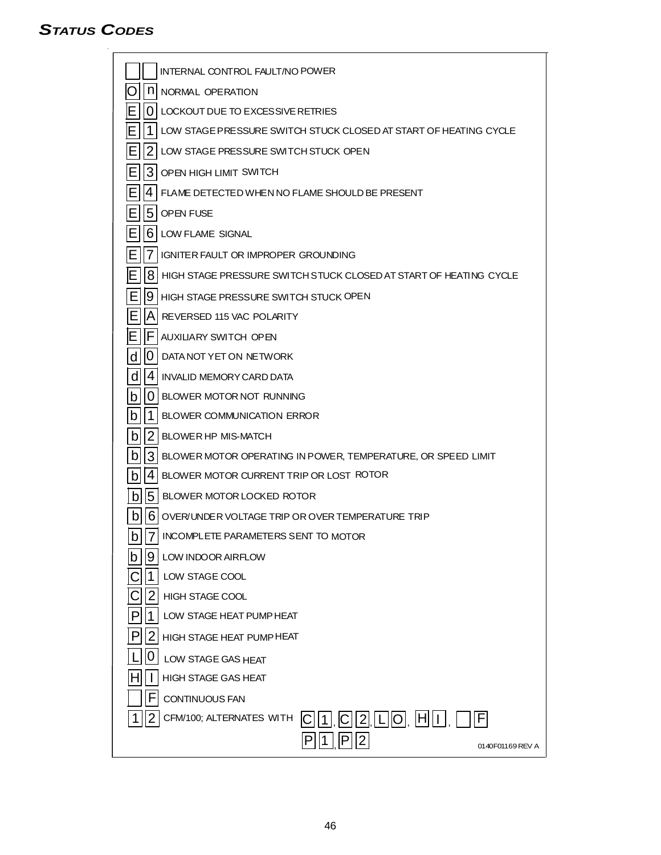# *STATUS CODES*

| INTERNAL CONTROL FAULT/NO POWER                                                    |
|------------------------------------------------------------------------------------|
| n NORMAL OPERATION                                                                 |
| 0 LOCKOUT DUE TO EXCESSIVE RETRIES                                                 |
| 1 <sup>1</sup><br>LOW STAGE PRESSURE SWITCH STUCK CLOSED AT START OF HEATING CYCLE |
| 2 LOW STAGE PRESSURE SWITCH STUCK OPEN                                             |
| 3 OPEN HIGH LIMIT SWITCH                                                           |
| $\vert 4 \vert$<br>FLAME DETECTED WHEN NO FLAME SHOULD BE PRESENT                  |
| $ 5 $ OPEN FUSE<br>EI                                                              |
| $ 6 $ LOW FLAME SIGNAL<br>E.                                                       |
| 7   IGNITER FAULT OR IMPROPER GROUNDING                                            |
| 8 HIGH STAGE PRESSURE SWITCH STUCK CLOSED AT START OF HEATING CYCLE                |
| 19<br>HIGH STAGE PRESSURE SWITCH STUCK OPEN                                        |
| $ A $ REVERSED 115 VAC POLARITY                                                    |
| $ F $ AUXILIARY SWITCH OPEN                                                        |
| d<br>0   DATA NOT YET ON NETWORK                                                   |
| d<br>4 INVALID MEMORY CARD DATA                                                    |
| 0 BLOWER MOTOR NOT RUNNING<br>b                                                    |
| b<br>1 BLOWER COMMUNICATION ERROR                                                  |
| $ 2 $ BLOWER HP MIS-MATCH<br>b                                                     |
| $\mathsf{b}$<br>3 BLOWER MOTOR OPERATING IN POWER, TEMPERATURE, OR SPEED LIMIT     |
| 4 BLOWER MOTOR CURRENT TRIP OR LOST ROTOR<br>b                                     |
| b<br>5<br>BLOWER MOTOR LOCKED ROTOR                                                |
| 6 OVER/UNDER VOLTAGE TRIP OR OVER TEMPERATURE TRIP<br>bl                           |
| b   7 INCOMPLETE PARAMETERS SENT TO MOTOR                                          |
| 9<br>b<br>LOW INDOOR AIRFLOW                                                       |
| LOW STAGE COOL                                                                     |
| 2<br>HIGH STAGE COOL                                                               |
| LOW STAGE HEAT PUMP HEAT                                                           |
| 2<br>HIGH STAGE HEAT PUMP HEAT                                                     |
| 0<br>LOW STAGE GAS HEAT                                                            |
| <b>HIGH STAGE GAS HEAT</b>                                                         |
| F<br>CONTINUOUS FAN                                                                |
| <u>, C 2, L O, H I , T</u><br>CFM/100; ALTERNATES WITH<br> F <br><u> 1 </u>        |
| 2 <br> P <br>P<br>0140F01169 REV A                                                 |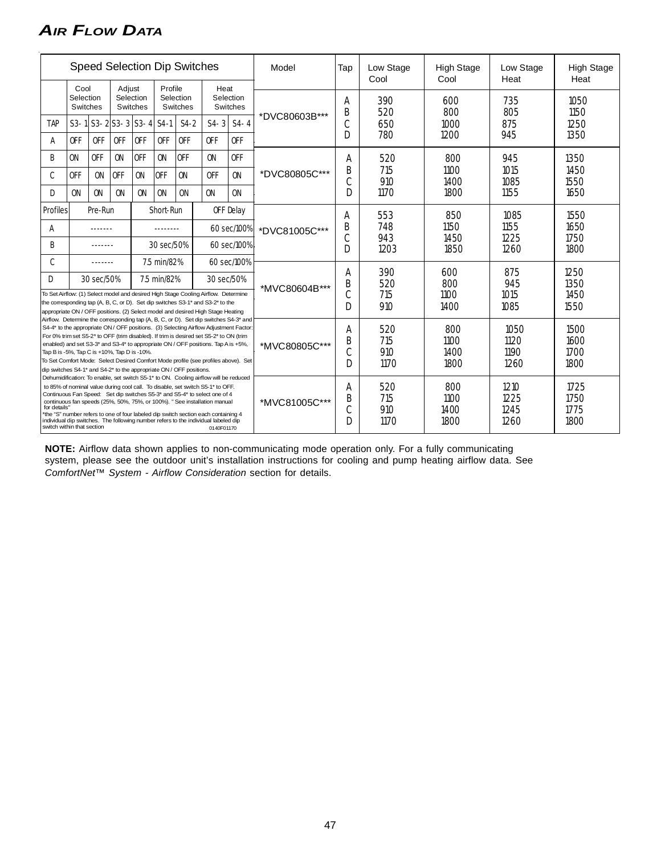# *AIR FLOW DATA*

|                                                                                                                                                                                                                                                                                                                                                                                                                                                                                                                                                                                                                                                             |                                                  | <b>Speed Selection Dip Switches</b> |                                                                      |                              |                            |                                        |                                                                                                                                                                                                            |                                          | Model                       | Tap                          | Low Stage<br>Cool            | <b>High Stage</b><br>Cool    | Low Stage<br>Heat            | <b>High Stage</b><br>Heat    |
|-------------------------------------------------------------------------------------------------------------------------------------------------------------------------------------------------------------------------------------------------------------------------------------------------------------------------------------------------------------------------------------------------------------------------------------------------------------------------------------------------------------------------------------------------------------------------------------------------------------------------------------------------------------|--------------------------------------------------|-------------------------------------|----------------------------------------------------------------------|------------------------------|----------------------------|----------------------------------------|------------------------------------------------------------------------------------------------------------------------------------------------------------------------------------------------------------|------------------------------------------|-----------------------------|------------------------------|------------------------------|------------------------------|------------------------------|------------------------------|
| TAP<br>A                                                                                                                                                                                                                                                                                                                                                                                                                                                                                                                                                                                                                                                    | Cool<br>Selection<br>Switches<br>$S3 - 1$<br>0FF | 0FF                                 | Adjust<br>S <sub>3</sub> -2S <sub>3</sub> -3S <sub>3</sub> -4<br>0FF | Selection<br>Switches<br>0FF | Profile<br>$S4-1$<br>0FF   | Selection<br>Switches<br>$S4-2$<br>0FF | Heat<br>$S4 - 3$<br>0FF                                                                                                                                                                                    | Selection<br>Switches<br>$S4 - 4$<br>OFF | *DVC80603B***               | A<br>B<br>Ċ<br>$\Box$        | 390<br>520<br>650<br>780     | 600<br>800<br>1000<br>1200   | 735<br>805<br>875<br>945     | 1050<br>1150<br>1250<br>1350 |
| B<br>C<br>D                                                                                                                                                                                                                                                                                                                                                                                                                                                                                                                                                                                                                                                 | ON<br>0FF<br>ON                                  | 0FF<br>0 <sub>N</sub><br>ON         | <b>ON</b><br>0FF<br>ON                                               | 0FF<br>ON<br><b>ON</b>       | <b>ON</b><br>OFF<br>ON     | OFF<br>ON<br>ON                        | 0N<br>0FF<br>ON                                                                                                                                                                                            | 0FF<br><b>ON</b><br>ON                   | *DVC80805C***               | А<br>B                       | 520<br>715<br>910<br>1170    | 800<br>1100<br>1400<br>1800  | 945<br>1015<br>1085<br>1155  | 1350<br>1450<br>1550<br>1650 |
| Profiles<br>A<br>R                                                                                                                                                                                                                                                                                                                                                                                                                                                                                                                                                                                                                                          |                                                  | Pre-Run<br>-------<br>-------       |                                                                      |                              | Short-Run<br>30 sec/50%    |                                        |                                                                                                                                                                                                            | OFF Delay<br>60 sec/100%<br>60 sec/100%  | *DVC81005C***               | A<br>B<br>Ć<br>D             | 553<br>748<br>943<br>1203    | 850<br>1150<br>1450<br>1850  | 1085<br>1155<br>1225<br>1260 | 1550<br>1650<br>1750<br>1800 |
| C.<br>D                                                                                                                                                                                                                                                                                                                                                                                                                                                                                                                                                                                                                                                     |                                                  | -------<br>30 sec/50%               |                                                                      |                              | 7.5 min/82%<br>7.5 min/82% |                                        | 30 sec/50%<br>To Set Airflow: (1) Select model and desired High Stage Cooling Airflow. Determine<br>the corresponding tap (A, B, C, or D). Set dip switches S3-1 <sup>*</sup> and S3-2 <sup>*</sup> to the | 60 sec/100%                              | *MVC80604B***               | A<br>B<br>C<br>D             | 390<br>520<br>715<br>910     | 600<br>800<br>1100<br>1400   | 875<br>945<br>1015<br>1085   | 1250<br>1350<br>1450<br>1550 |
| appropriate ON / OFF positions. (2) Select model and desired High Stage Heating<br>Airflow. Determine the corresponding tap (A, B, C, or D). Set dip switches S4-3* and<br>S4-4* to the appropriate ON / OFF positions. (3) Selecting Airflow Adjustment Factor:<br>For 0% trim set S5-2* to OFF (trim disabled). If trim is desired set S5-2* to ON (trim<br>enabled) and set S3-3* and S3-4* to appropriate ON / OFF positions. Tap A is +5%,<br>Tap B is -5%, Tap C is +10%, Tap D is -10%.<br>To Set Comfort Mode: Select Desired Comfort Mode profile (see profiles above). Set<br>dip switches S4-1* and S4-2* to the appropriate ON / OFF positions. |                                                  |                                     |                                                                      |                              |                            | *MVC80805C***                          | A<br>B<br>n                                                                                                                                                                                                | 520<br>715<br>910<br>1170                | 800<br>1100<br>1400<br>1800 | 1050<br>1120<br>1190<br>1260 | 1500<br>1600<br>1700<br>1800 |                              |                              |                              |
| Dehumidification: To enable, set switch S5-1* to ON. Cooling airflow will be reduced<br>to 85% of nominal value during cool call. To disable, set switch S5-1* to OFF.<br>Continuous Fan Speed: Set dip switches S5-3* and S5-4* to select one of 4<br>continuous fan speeds (25%, 50%, 75%, or 100%). "See installation manual<br>for details"<br>the "S" number refers to one of four labeled dip switch section each containing 4<br>individual dip switches. The following number refers to the individual labeled dip<br>switch within that section<br>0140F01170                                                                                      |                                                  |                                     |                                                                      |                              |                            |                                        |                                                                                                                                                                                                            | *MVC81005C***                            | A<br>B                      | 520<br>715<br>910<br>1170    | 800<br>1100<br>1400<br>1800  | 1210<br>1225<br>1245<br>1260 | 1725<br>1750<br>1775<br>1800 |                              |

**NOTE:** Airflow data shown applies to non-communicating mode operation only. For a fully communicating system, please see the outdoor unit's installation instructions for cooling and pump heating airflow data. See *ComfortNet™ System - Airflow Consideration* section for details.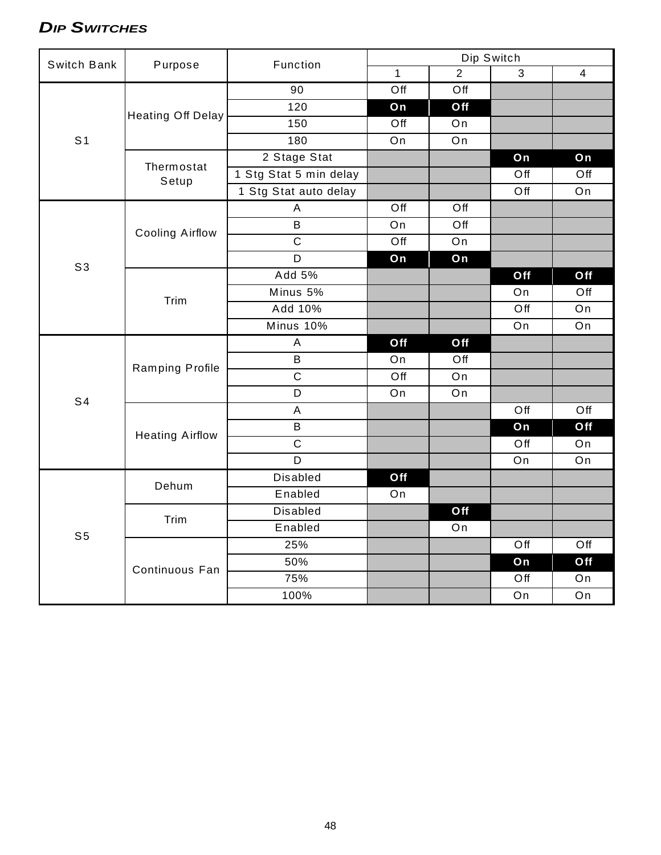# *DIP SWITCHES*

| Switch Bank    | Purpose                  | Function               | Dip Switch   |                |     |                |  |
|----------------|--------------------------|------------------------|--------------|----------------|-----|----------------|--|
|                |                          |                        | $\mathbf{1}$ | $\overline{2}$ | 3   | $\overline{4}$ |  |
|                |                          | 90                     | Off          | Off            |     |                |  |
|                | <b>Heating Off Delay</b> | 120                    | On           | Off            |     |                |  |
|                |                          | 150                    | Off          | On             |     |                |  |
| S <sub>1</sub> |                          | 180                    | On           | On             |     |                |  |
|                | Thermostat               | 2 Stage Stat           |              |                | On  | On             |  |
|                | Setup                    | 1 Stg Stat 5 min delay |              |                | Off | Off            |  |
|                |                          | 1 Stg Stat auto delay  |              |                | Off | On             |  |
|                |                          | $\overline{A}$         | Off          | Off            |     |                |  |
|                | <b>Cooling Airflow</b>   | B                      | On           | Off            |     |                |  |
|                |                          | $\overline{C}$         | Off          | On             |     |                |  |
| S <sub>3</sub> |                          | D                      | On           | On             |     |                |  |
|                |                          | Add 5%                 |              |                | Off | Off            |  |
|                | Trim                     | Minus 5%               |              |                | On  | Off            |  |
|                |                          | Add 10%                |              |                | Off | On             |  |
|                |                          | Minus 10%              |              |                | On  | On             |  |
|                |                          | A                      | Off          | Off            |     |                |  |
|                | Ramping Profile          | $\sf B$                | On           | Off            |     |                |  |
|                |                          | $\overline{C}$         | Off          | On             |     |                |  |
| S <sub>4</sub> |                          | D                      | On           | On             |     |                |  |
|                |                          | $\overline{A}$         |              |                | Off | Off            |  |
|                | <b>Heating Airflow</b>   | $\sf B$                |              |                | On  | Off            |  |
|                |                          | $\mathsf C$            |              |                | Off | On             |  |
|                |                          | $\overline{D}$         |              |                | On  | On             |  |
|                | Dehum                    | <b>Disabled</b>        | Off          |                |     |                |  |
|                |                          | Enabled                | On           |                |     |                |  |
|                | Trim                     | <b>Disabled</b>        |              | Off            |     |                |  |
| S <sub>5</sub> |                          | Enabled                |              | On             |     |                |  |
|                |                          | 25%                    |              |                | Off | Off            |  |
|                | Continuous Fan           | 50%                    |              |                | On  | Off            |  |
|                |                          | 75%                    |              |                | Off | On             |  |
|                |                          | 100%                   |              |                | On  | On             |  |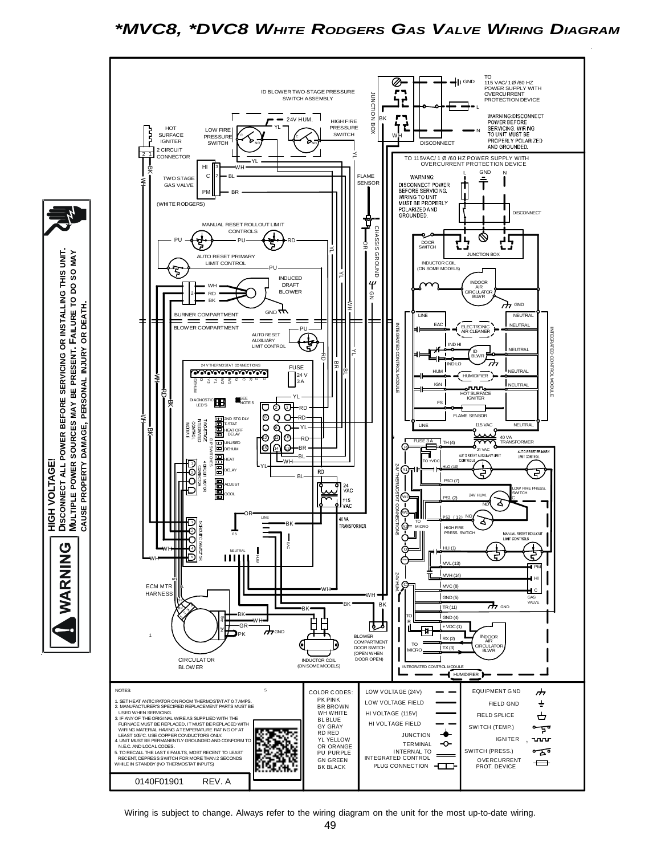# *\*MVC8, \*DVC8 WHITE RODGERS GAS VALVE WIRING DIAGRAM*



Wiring is subject to change. Always refer to the wiring diagram on the unit for the most up-to-date wiring.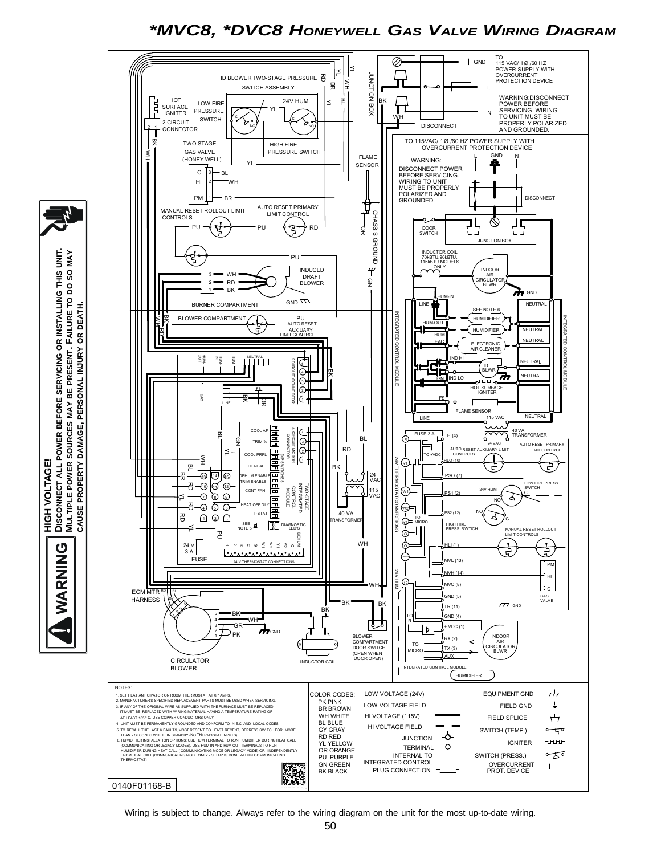# *\*MVC8, \*DVC8 HONEYWELL GAS VALVE WIRING DIAGRAM*



**HIGH VOLTAGE!**

WARNING

**DISCONNECT ALL POWER BEFORE SERVICING OR INSTALLING THIS UNIT. MULTIPLE POWER SOURCES MAY BE PRESENT. FAILURE TO DO SO MAY**

A

OR INSTALLING THIS UNIT.<br>F. FAILURE TO DO SO MAY<br>'Y OR DEATH.

**CAUSE PROPERTY DAMAGE, PERSONAL INJURY OR DEATH.**

Wiring is subject to change. Always refer to the wiring diagram on the unit for the most up-to-date wiring.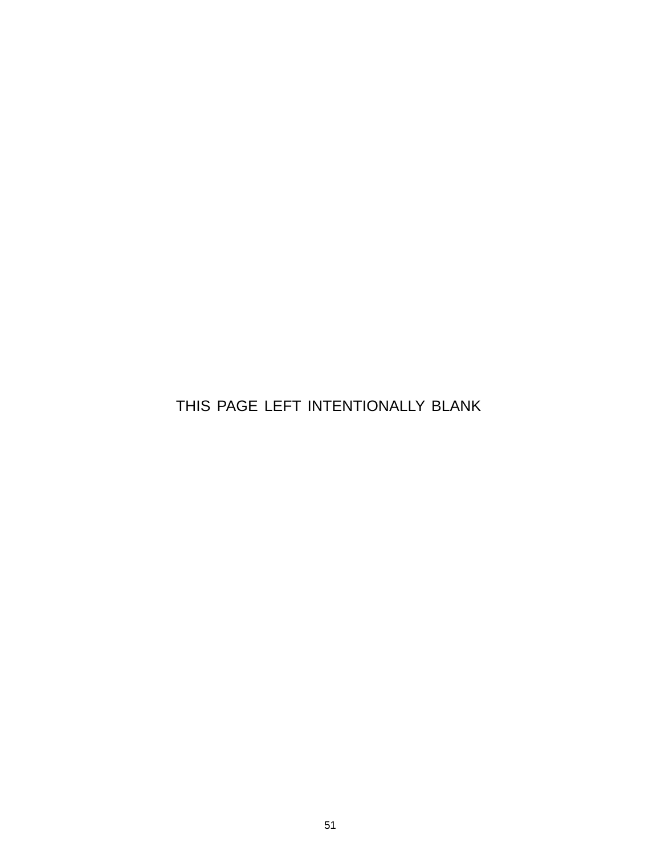THIS PAGE LEFT INTENTIONALLY BLANK